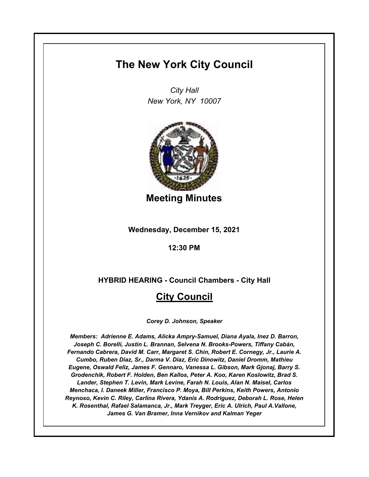# **The New York City Council**

*City Hall New York, NY 10007*



**Meeting Minutes**

**Wednesday, December 15, 2021**

**12:30 PM**

**HYBRID HEARING - Council Chambers - City Hall**

# **City Council**

*Corey D. Johnson, Speaker*

*Members: Adrienne E. Adams, Alicka Ampry-Samuel, Diana Ayala, Inez D. Barron, Joseph C. Borelli, Justin L. Brannan, Selvena N. Brooks-Powers, Tiffany Cabán, Fernando Cabrera, David M. Carr, Margaret S. Chin, Robert E. Cornegy, Jr., Laurie A. Cumbo, Ruben Diaz, Sr., Darma V. Diaz, Eric Dinowitz, Daniel Dromm, Mathieu Eugene, Oswald Feliz, James F. Gennaro, Vanessa L. Gibson, Mark Gjonaj, Barry S. Grodenchik, Robert F. Holden, Ben Kallos, Peter A. Koo, Karen Koslowitz, Brad S. Lander, Stephen T. Levin, Mark Levine, Farah N. Louis, Alan N. Maisel, Carlos Menchaca, I. Daneek Miller, Francisco P. Moya, Bill Perkins, Keith Powers, Antonio Reynoso, Kevin C. Riley, Carlina Rivera, Ydanis A. Rodriguez, Deborah L. Rose, Helen K. Rosenthal, Rafael Salamanca, Jr., Mark Treyger, Eric A. Ulrich, Paul A.Vallone, James G. Van Bramer, Inna Vernikov and Kalman Yeger*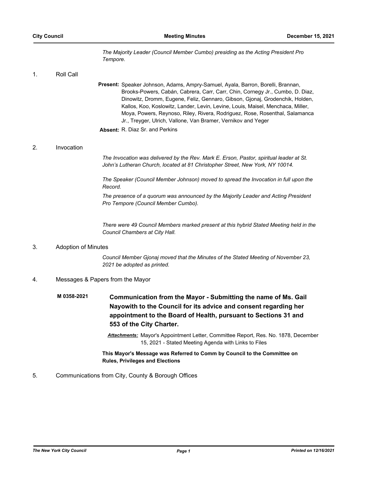*The Majority Leader (Council Member Cumbo) presiding as the Acting President Pro Tempore.*

1. Roll Call

Present: Speaker Johnson, Adams, Ampry-Samuel, Ayala, Barron, Borelli, Brannan, Brooks-Powers, Cabán, Cabrera, Carr, Carr, Chin, Cornegy Jr., Cumbo, D. Diaz, Dinowitz, Dromm, Eugene, Feliz, Gennaro, Gibson, Gjonaj, Grodenchik, Holden, Kallos, Koo, Koslowitz, Lander, Levin, Levine, Louis, Maisel, Menchaca, Miller, Moya, Powers, Reynoso, Riley, Rivera, Rodriguez, Rose, Rosenthal, Salamanca Jr., Treyger, Ulrich, Vallone, Van Bramer, Vernikov and Yeger

**Absent:** R. Diaz Sr. and Perkins

### 2. Invocation

*The Invocation was delivered by the Rev. Mark E. Erson, Pastor, spiritual leader at St. John's Lutheran Church, located at 81 Christopher Street, New York, NY 10014.*

*The Speaker (Council Member Johnson) moved to spread the Invocation in full upon the Record.*

*The presence of a quorum was announced by the Majority Leader and Acting President Pro Tempore (Council Member Cumbo).*

*There were 49 Council Members marked present at this hybrid Stated Meeting held in the Council Chambers at City Hall.*

#### 3. Adoption of Minutes

*Council Member Gjonaj moved that the Minutes of the Stated Meeting of November 23, 2021 be adopted as printed.*

# 4. Messages & Papers from the Mayor

**Communication from the Mayor - Submitting the name of Ms. Gail Nayowith to the Council for its advice and consent regarding her appointment to the Board of Health, pursuant to Sections 31 and 553 of the City Charter. M 0358-2021**

> *Attachments:* Mayor's Appointment Letter, Committee Report, Res. No. 1878, December 15, 2021 - Stated Meeting Agenda with Links to Files

**This Mayor's Message was Referred to Comm by Council to the Committee on Rules, Privileges and Elections**

# 5. Communications from City, County & Borough Offices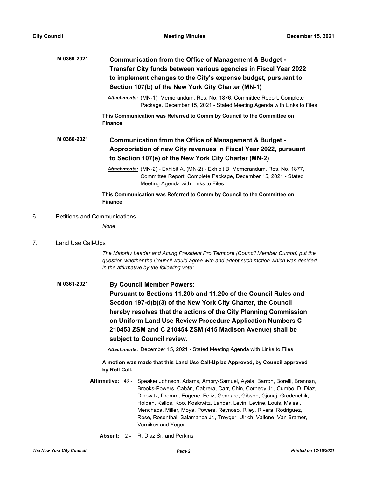|    | M 0359-2021                         | Communication from the Office of Management & Budget -<br>Transfer City funds between various agencies in Fiscal Year 2022<br>to implement changes to the City's expense budget, pursuant to<br>Section 107(b) of the New York City Charter (MN-1) |  |  |  |
|----|-------------------------------------|----------------------------------------------------------------------------------------------------------------------------------------------------------------------------------------------------------------------------------------------------|--|--|--|
|    |                                     | <b>Attachments:</b> (MN-1), Memorandum, Res. No. 1876, Committee Report, Complete<br>Package, December 15, 2021 - Stated Meeting Agenda with Links to Files                                                                                        |  |  |  |
|    |                                     | This Communication was Referred to Comm by Council to the Committee on<br><b>Finance</b>                                                                                                                                                           |  |  |  |
|    | M0360-2021                          | Communication from the Office of Management & Budget -<br>Appropriation of new City revenues in Fiscal Year 2022, pursuant<br>to Section 107(e) of the New York City Charter (MN-2)                                                                |  |  |  |
|    |                                     | Attachments: (MN-2) - Exhibit A, (MN-2) - Exhibit B, Memorandum, Res. No. 1877,<br>Committee Report, Complete Package, December 15, 2021 - Stated<br>Meeting Agenda with Links to Files                                                            |  |  |  |
|    |                                     | This Communication was Referred to Comm by Council to the Committee on<br><b>Finance</b>                                                                                                                                                           |  |  |  |
| 6. | <b>Petitions and Communications</b> |                                                                                                                                                                                                                                                    |  |  |  |
|    |                                     | None                                                                                                                                                                                                                                               |  |  |  |

# 7. Land Use Call-Ups

*The Majority Leader and Acting President Pro Tempore (Council Member Cumbo) put the question whether the Council would agree with and adopt such motion which was decided in the affirmative by the following vote:*

**By Council Member Powers: Pursuant to Sections 11.20b and 11.20c of the Council Rules and Section 197-d(b)(3) of the New York City Charter, the Council hereby resolves that the actions of the City Planning Commission on Uniform Land Use Review Procedure Application Numbers C 210453 ZSM and C 210454 ZSM (415 Madison Avenue) shall be subject to Council review. M 0361-2021**

*Attachments:* December 15, 2021 - Stated Meeting Agenda with Links to Files

**A motion was made that this Land Use Call-Up be Approved, by Council approved by Roll Call.**

**Affirmative:** Speaker Johnson, Adams, Ampry-Samuel, Ayala, Barron, Borelli, Brannan, Brooks-Powers, Cabán, Cabrera, Carr, Chin, Cornegy Jr., Cumbo, D. Diaz, Dinowitz, Dromm, Eugene, Feliz, Gennaro, Gibson, Gjonaj, Grodenchik, Holden, Kallos, Koo, Koslowitz, Lander, Levin, Levine, Louis, Maisel, Menchaca, Miller, Moya, Powers, Reynoso, Riley, Rivera, Rodriguez, Rose, Rosenthal, Salamanca Jr., Treyger, Ulrich, Vallone, Van Bramer, Vernikov and Yeger Affirmative: 49 -

**Absent:** 2 - R. Diaz Sr. and Perkins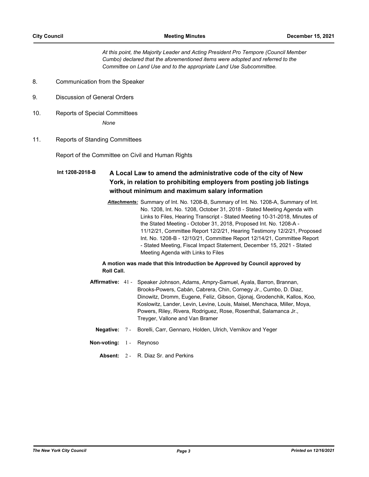*At this point, the Majority Leader and Acting President Pro Tempore (Council Member Cumbo) declared that the aforementioned items were adopted and referred to the Committee on Land Use and to the appropriate Land Use Subcommittee.*

- 8. Communication from the Speaker
- 9. Discussion of General Orders
- 10. Reports of Special Committees

*None*

11. Reports of Standing Committees

Report of the Committee on Civil and Human Rights

#### **A Local Law to amend the administrative code of the city of New York, in relation to prohibiting employers from posting job listings without minimum and maximum salary information Int 1208-2018-B**

*Attachments:* Summary of Int. No. 1208-B, Summary of Int. No. 1208-A, Summary of Int. No. 1208, Int. No. 1208, October 31, 2018 - Stated Meeting Agenda with Links to Files, Hearing Transcript - Stated Meeting 10-31-2018, Minutes of the Stated Meeting - October 31, 2018, Proposed Int. No. 1208-A - 11/12/21, Committee Report 12/2/21, Hearing Testimony 12/2/21, Proposed Int. No. 1208-B - 12/10/21, Committee Report 12/14/21, Committee Report - Stated Meeting, Fiscal Impact Statement, December 15, 2021 - Stated Meeting Agenda with Links to Files

## **A motion was made that this Introduction be Approved by Council approved by Roll Call.**

- Affirmative: 41 Speaker Johnson, Adams, Ampry-Samuel, Ayala, Barron, Brannan, Brooks-Powers, Cabán, Cabrera, Chin, Cornegy Jr., Cumbo, D. Diaz, Dinowitz, Dromm, Eugene, Feliz, Gibson, Gjonaj, Grodenchik, Kallos, Koo, Koslowitz, Lander, Levin, Levine, Louis, Maisel, Menchaca, Miller, Moya, Powers, Riley, Rivera, Rodriguez, Rose, Rosenthal, Salamanca Jr., Treyger, Vallone and Van Bramer
	- **Negative:** 7 Borelli, Carr, Gennaro, Holden, Ulrich, Vernikov and Yeger
- **Non-voting:** 1 Reynoso
	- **Absent:** 2 R. Diaz Sr. and Perkins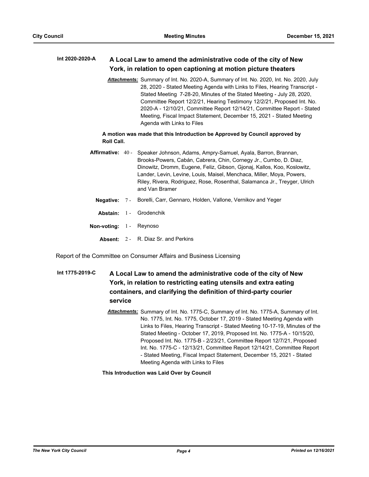#### **A Local Law to amend the administrative code of the city of New York, in relation to open captioning at motion picture theaters Int 2020-2020-A**

*Attachments:* Summary of Int. No. 2020-A, Summary of Int. No. 2020, Int. No. 2020, July 28, 2020 - Stated Meeting Agenda with Links to Files, Hearing Transcript - Stated Meeting 7-28-20, Minutes of the Stated Meeting - July 28, 2020, Committee Report 12/2/21, Hearing Testimony 12/2/21, Proposed Int. No. 2020-A - 12/10/21, Committee Report 12/14/21, Committee Report - Stated Meeting, Fiscal Impact Statement, December 15, 2021 - Stated Meeting Agenda with Links to Files

# **A motion was made that this Introduction be Approved by Council approved by Roll Call.**

- **Affirmative:** Speaker Johnson, Adams, Ampry-Samuel, Ayala, Barron, Brannan, Brooks-Powers, Cabán, Cabrera, Chin, Cornegy Jr., Cumbo, D. Diaz, Dinowitz, Dromm, Eugene, Feliz, Gibson, Gjonaj, Kallos, Koo, Koslowitz, Lander, Levin, Levine, Louis, Maisel, Menchaca, Miller, Moya, Powers, Riley, Rivera, Rodriguez, Rose, Rosenthal, Salamanca Jr., Treyger, Ulrich and Van Bramer Affirmative: 40 -
	- **Negative:** 7 Borelli, Carr, Gennaro, Holden, Vallone, Vernikov and Yeger
	- **Abstain:** 1 Grodenchik
- **Non-voting:** 1 Reynoso
	- **Absent:** 2 R. Diaz Sr. and Perkins

Report of the Committee on Consumer Affairs and Business Licensing

# **A Local Law to amend the administrative code of the city of New York, in relation to restricting eating utensils and extra eating containers, and clarifying the definition of third-party courier service Int 1775-2019-C**

*Attachments:* Summary of Int. No. 1775-C, Summary of Int. No. 1775-A, Summary of Int. No. 1775, Int. No. 1775, October 17, 2019 - Stated Meeting Agenda with Links to Files, Hearing Transcript - Stated Meeting 10-17-19, Minutes of the Stated Meeting - October 17, 2019, Proposed Int. No. 1775-A - 10/15/20, Proposed Int. No. 1775-B - 2/23/21, Committee Report 12/7/21, Proposed Int. No. 1775-C - 12/13/21, Committee Report 12/14/21, Committee Report - Stated Meeting, Fiscal Impact Statement, December 15, 2021 - Stated Meeting Agenda with Links to Files

**This Introduction was Laid Over by Council**

*The New York City Council Page 4 Printed on 12/16/2021*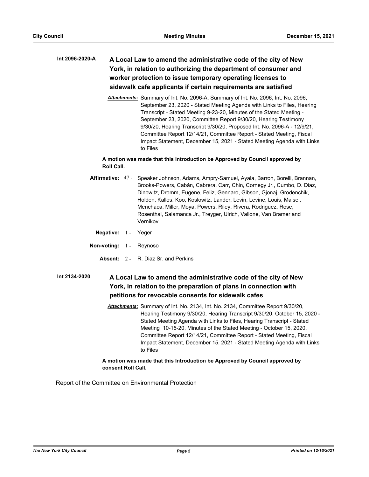# **A Local Law to amend the administrative code of the city of New York, in relation to authorizing the department of consumer and worker protection to issue temporary operating licenses to sidewalk cafe applicants if certain requirements are satisfied Int 2096-2020-A**

*Attachments:* Summary of Int. No. 2096-A, Summary of Int. No. 2096, Int. No. 2096, September 23, 2020 - Stated Meeting Agenda with Links to Files, Hearing Transcript - Stated Meeting 9-23-20, Minutes of the Stated Meeting - September 23, 2020, Committee Report 9/30/20, Hearing Testimony 9/30/20, Hearing Transcript 9/30/20, Proposed Int. No. 2096-A - 12/9/21, Committee Report 12/14/21, Committee Report - Stated Meeting, Fiscal Impact Statement, December 15, 2021 - Stated Meeting Agenda with Links to Files

# **A motion was made that this Introduction be Approved by Council approved by Roll Call.**

- Affirmative: 47 Speaker Johnson, Adams, Ampry-Samuel, Ayala, Barron, Borelli, Brannan, Brooks-Powers, Cabán, Cabrera, Carr, Chin, Cornegy Jr., Cumbo, D. Diaz, Dinowitz, Dromm, Eugene, Feliz, Gennaro, Gibson, Gjonaj, Grodenchik, Holden, Kallos, Koo, Koslowitz, Lander, Levin, Levine, Louis, Maisel, Menchaca, Miller, Moya, Powers, Riley, Rivera, Rodriguez, Rose, Rosenthal, Salamanca Jr., Treyger, Ulrich, Vallone, Van Bramer and Vernikov
	- **Negative:** 1 Yeger
- **Non-voting:** 1 Reynoso
	- **Absent:** 2 R. Diaz Sr. and Perkins

**A Local Law to amend the administrative code of the city of New York, in relation to the preparation of plans in connection with petitions for revocable consents for sidewalk cafes Int 2134-2020**

> *Attachments:* Summary of Int. No. 2134, Int. No. 2134, Committee Report 9/30/20, Hearing Testimony 9/30/20, Hearing Transcript 9/30/20, October 15, 2020 - Stated Meeting Agenda with Links to Files, Hearing Transcript - Stated Meeting 10-15-20, Minutes of the Stated Meeting - October 15, 2020, Committee Report 12/14/21, Committee Report - Stated Meeting, Fiscal Impact Statement, December 15, 2021 - Stated Meeting Agenda with Links to Files

# **A motion was made that this Introduction be Approved by Council approved by consent Roll Call.**

Report of the Committee on Environmental Protection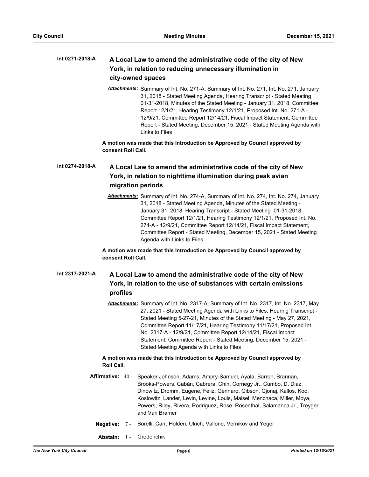#### **A Local Law to amend the administrative code of the city of New York, in relation to reducing unnecessary illumination in city-owned spaces Int 0271-2018-A**

*Attachments:* Summary of Int. No. 271-A, Summary of Int. No. 271, Int. No. 271, January 31, 2018 - Stated Meeting Agenda, Hearing Transcript - Stated Meeting 01-31-2018, Minutes of the Stated Meeting - January 31, 2018, Committee Report 12/1/21, Hearing Testimony 12/1/21, Proposed Int. No. 271-A - 12/9/21, Committee Report 12/14/21, Fiscal Impact Statement, Committee Report - Stated Meeting, December 15, 2021 - Stated Meeting Agenda with Links to Files

**A motion was made that this Introduction be Approved by Council approved by consent Roll Call.**

## **A Local Law to amend the administrative code of the city of New York, in relation to nighttime illumination during peak avian migration periods Int 0274-2018-A**

*Attachments:* Summary of Int. No. 274-A, Summary of Int. No. 274, Int. No. 274, January 31, 2018 - Stated Meeting Agenda, Minutes of the Stated Meeting - January 31, 2018, Hearing Transcript - Stated Meeting 01-31-2018, Committee Report 12/1/21, Hearing Testimony 12/1/21, Proposed Int. No. 274-A - 12/9/21, Committee Report 12/14/21, Fiscal Impact Statement, Committee Report - Stated Meeting, December 15, 2021 - Stated Meeting Agenda with Links to Files

**A motion was made that this Introduction be Approved by Council approved by consent Roll Call.**

#### **A Local Law to amend the administrative code of the city of New York, in relation to the use of substances with certain emissions profiles Int 2317-2021-A**

*Attachments:* Summary of Int. No. 2317-A, Summary of Int. No. 2317, Int. No. 2317, May 27, 2021 - Stated Meeting Agenda with Links to Files, Hearing Transcript - Stated Meeting 5-27-21, Minutes of the Stated Meeting - May 27, 2021, Committee Report 11/17/21, Hearing Testimony 11/17/21, Proposed Int. No. 2317-A - 12/9/21, Committee Report 12/14/21, Fiscal Impact Statement, Committee Report - Stated Meeting, December 15, 2021 - Stated Meeting Agenda with Links to Files

# **A motion was made that this Introduction be Approved by Council approved by Roll Call.**

- **Affirmative:** Speaker Johnson, Adams, Ampry-Samuel, Ayala, Barron, Brannan, Brooks-Powers, Cabán, Cabrera, Chin, Cornegy Jr., Cumbo, D. Diaz, Dinowitz, Dromm, Eugene, Feliz, Gennaro, Gibson, Gjonaj, Kallos, Koo, Koslowitz, Lander, Levin, Levine, Louis, Maisel, Menchaca, Miller, Moya, Powers, Riley, Rivera, Rodriguez, Rose, Rosenthal, Salamanca Jr., Treyger and Van Bramer Affirmative: 40 -
	- **Negative:** 7 Borelli, Carr, Holden, Ulrich, Vallone, Vernikov and Yeger
	- **Abstain:** 1 Grodenchik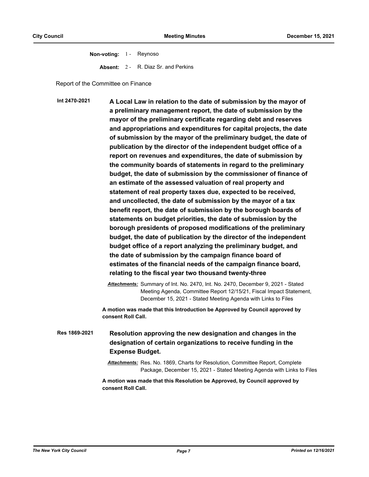**Non-voting:** 1 - Reynoso **Absent:** 2 - R. Diaz Sr. and Perkins

Report of the Committee on Finance

**A Local Law in relation to the date of submission by the mayor of a preliminary management report, the date of submission by the mayor of the preliminary certificate regarding debt and reserves and appropriations and expenditures for capital projects, the date of submission by the mayor of the preliminary budget, the date of publication by the director of the independent budget office of a report on revenues and expenditures, the date of submission by the community boards of statements in regard to the preliminary budget, the date of submission by the commissioner of finance of an estimate of the assessed valuation of real property and statement of real property taxes due, expected to be received, and uncollected, the date of submission by the mayor of a tax benefit report, the date of submission by the borough boards of statements on budget priorities, the date of submission by the borough presidents of proposed modifications of the preliminary budget, the date of publication by the director of the independent budget office of a report analyzing the preliminary budget, and the date of submission by the campaign finance board of estimates of the financial needs of the campaign finance board, relating to the fiscal year two thousand twenty-three Int 2470-2021**

> *Attachments:* Summary of Int. No. 2470, Int. No. 2470, December 9, 2021 - Stated Meeting Agenda, Committee Report 12/15/21, Fiscal Impact Statement, December 15, 2021 - Stated Meeting Agenda with Links to Files

**A motion was made that this Introduction be Approved by Council approved by consent Roll Call.**

**Resolution approving the new designation and changes in the designation of certain organizations to receive funding in the Expense Budget. Res 1869-2021**

> *Attachments:* Res. No. 1869, Charts for Resolution, Committee Report, Complete Package, December 15, 2021 - Stated Meeting Agenda with Links to Files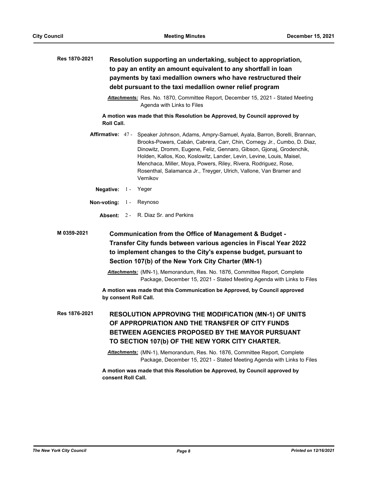| Res 1870-2021                                                                                                             |  |  | Resolution supporting an undertaking, subject to appropriation,                                                                                                                                                                                                                                                                                                                                                                                                           |  |
|---------------------------------------------------------------------------------------------------------------------------|--|--|---------------------------------------------------------------------------------------------------------------------------------------------------------------------------------------------------------------------------------------------------------------------------------------------------------------------------------------------------------------------------------------------------------------------------------------------------------------------------|--|
|                                                                                                                           |  |  | to pay an entity an amount equivalent to any shortfall in loan                                                                                                                                                                                                                                                                                                                                                                                                            |  |
| payments by taxi medallion owners who have restructured their<br>debt pursuant to the taxi medallion owner relief program |  |  |                                                                                                                                                                                                                                                                                                                                                                                                                                                                           |  |
| Attachments: Res. No. 1870, Committee Report, December 15, 2021 - Stated Meeting<br>Agenda with Links to Files            |  |  |                                                                                                                                                                                                                                                                                                                                                                                                                                                                           |  |
| <b>Roll Call.</b>                                                                                                         |  |  | A motion was made that this Resolution be Approved, by Council approved by                                                                                                                                                                                                                                                                                                                                                                                                |  |
|                                                                                                                           |  |  | Affirmative: 47 - Speaker Johnson, Adams, Ampry-Samuel, Ayala, Barron, Borelli, Brannan,<br>Brooks-Powers, Cabán, Cabrera, Carr, Chin, Cornegy Jr., Cumbo, D. Diaz,<br>Dinowitz, Dromm, Eugene, Feliz, Gennaro, Gibson, Gjonaj, Grodenchik,<br>Holden, Kallos, Koo, Koslowitz, Lander, Levin, Levine, Louis, Maisel,<br>Menchaca, Miller, Moya, Powers, Riley, Rivera, Rodriguez, Rose,<br>Rosenthal, Salamanca Jr., Treyger, Ulrich, Vallone, Van Bramer and<br>Vernikov |  |
| Negative: $1 -$                                                                                                           |  |  | Yeger                                                                                                                                                                                                                                                                                                                                                                                                                                                                     |  |
| Non-voting: $1 -$                                                                                                         |  |  | Reynoso                                                                                                                                                                                                                                                                                                                                                                                                                                                                   |  |
|                                                                                                                           |  |  | <b>Absent: 2 - R. Diaz Sr. and Perkins</b>                                                                                                                                                                                                                                                                                                                                                                                                                                |  |
| M 0359-2021                                                                                                               |  |  | Communication from the Office of Management & Budget -                                                                                                                                                                                                                                                                                                                                                                                                                    |  |
|                                                                                                                           |  |  | Transfer City funds between various agencies in Fiscal Year 2022                                                                                                                                                                                                                                                                                                                                                                                                          |  |
|                                                                                                                           |  |  | to implement changes to the City's expense budget, pursuant to                                                                                                                                                                                                                                                                                                                                                                                                            |  |
|                                                                                                                           |  |  | Section 107(b) of the New York City Charter (MN-1)                                                                                                                                                                                                                                                                                                                                                                                                                        |  |
|                                                                                                                           |  |  | Attachments: (MN-1), Memorandum, Res. No. 1876, Committee Report, Complete<br>Package, December 15, 2021 - Stated Meeting Agenda with Links to Files                                                                                                                                                                                                                                                                                                                      |  |
|                                                                                                                           |  |  | A motion was made that this Communication be Approved, by Council approved<br>by consent Roll Call.                                                                                                                                                                                                                                                                                                                                                                       |  |
| Res 1876-2021                                                                                                             |  |  | <b>RESOLUTION APPROVING THE MODIFICATION (MN-1) OF UNITS</b><br>OF APPROPRIATION AND THE TRANSFER OF CITY FUNDS<br>BETWEEN AGENCIES PROPOSED BY THE MAYOR PURSUANT<br>TO SECTION 107(b) OF THE NEW YORK CITY CHARTER.                                                                                                                                                                                                                                                     |  |
|                                                                                                                           |  |  | Attachments: (MN-1), Memorandum, Res. No. 1876, Committee Report, Complete<br>Package, December 15, 2021 - Stated Meeting Agenda with Links to Files                                                                                                                                                                                                                                                                                                                      |  |
|                                                                                                                           |  |  | <b>Contract Contract Contract Contract</b>                                                                                                                                                                                                                                                                                                                                                                                                                                |  |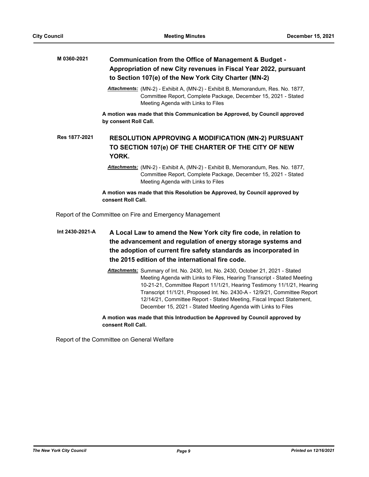| M 0360-2021   | Communication from the Office of Management & Budget -<br>Appropriation of new City revenues in Fiscal Year 2022, pursuant<br>to Section 107(e) of the New York City Charter (MN-2)     |  |  |  |  |
|---------------|-----------------------------------------------------------------------------------------------------------------------------------------------------------------------------------------|--|--|--|--|
|               | Attachments: (MN-2) - Exhibit A, (MN-2) - Exhibit B, Memorandum, Res. No. 1877,<br>Committee Report, Complete Package, December 15, 2021 - Stated<br>Meeting Agenda with Links to Files |  |  |  |  |
|               | A motion was made that this Communication be Approved, by Council approved<br>by consent Roll Call.                                                                                     |  |  |  |  |
| Res 1877-2021 | <b>RESOLUTION APPROVING A MODIFICATION (MN-2) PURSUANT</b><br>TO SECTION 107(e) OF THE CHARTER OF THE CITY OF NEW<br>YORK.                                                              |  |  |  |  |
|               | Attachments: (MN-2) - Exhibit A, (MN-2) - Exhibit B, Memorandum, Res. No. 1877,<br>Committee Report, Complete Package, December 15, 2021 - Stated<br>Meeting Agenda with Links to Files |  |  |  |  |
|               | A motion was made that this Resolution be Approved, by Council approved by<br>consent Roll Call.                                                                                        |  |  |  |  |
|               | Report of the Committee on Fire and Emergency Management                                                                                                                                |  |  |  |  |

**A Local Law to amend the New York city fire code, in relation to the advancement and regulation of energy storage systems and the adoption of current fire safety standards as incorporated in the 2015 edition of the international fire code. Int 2430-2021-A**

> *Attachments:* Summary of Int. No. 2430, Int. No. 2430, October 21, 2021 - Stated Meeting Agenda with Links to Files, Hearing Transcript - Stated Meeting 10-21-21, Committee Report 11/1/21, Hearing Testimony 11/1/21, Hearing Transcript 11/1/21, Proposed Int. No. 2430-A - 12/9/21, Committee Report 12/14/21, Committee Report - Stated Meeting, Fiscal Impact Statement, December 15, 2021 - Stated Meeting Agenda with Links to Files

**A motion was made that this Introduction be Approved by Council approved by consent Roll Call.**

Report of the Committee on General Welfare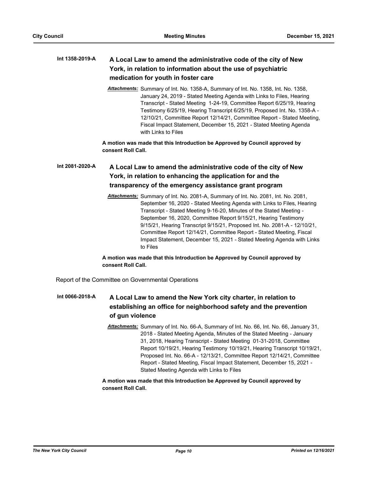#### **A Local Law to amend the administrative code of the city of New York, in relation to information about the use of psychiatric medication for youth in foster care Int 1358-2019-A**

*Attachments:* Summary of Int. No. 1358-A, Summary of Int. No. 1358, Int. No. 1358, January 24, 2019 - Stated Meeting Agenda with Links to Files, Hearing Transcript - Stated Meeting 1-24-19, Committee Report 6/25/19, Hearing Testimony 6/25/19, Hearing Transcript 6/25/19, Proposed Int. No. 1358-A - 12/10/21, Committee Report 12/14/21, Committee Report - Stated Meeting, Fiscal Impact Statement, December 15, 2021 - Stated Meeting Agenda with Links to Files

**A motion was made that this Introduction be Approved by Council approved by consent Roll Call.**

# **A Local Law to amend the administrative code of the city of New York, in relation to enhancing the application for and the transparency of the emergency assistance grant program Int 2081-2020-A**

*Attachments:* Summary of Int. No. 2081-A, Summary of Int. No. 2081, Int. No. 2081, September 16, 2020 - Stated Meeting Agenda with Links to Files, Hearing Transcript - Stated Meeting 9-16-20, Minutes of the Stated Meeting - September 16, 2020, Committee Report 9/15/21, Hearing Testimony 9/15/21, Hearing Transcript 9/15/21, Proposed Int. No. 2081-A - 12/10/21, Committee Report 12/14/21, Committee Report - Stated Meeting, Fiscal Impact Statement, December 15, 2021 - Stated Meeting Agenda with Links to Files

# **A motion was made that this Introduction be Approved by Council approved by consent Roll Call.**

Report of the Committee on Governmental Operations

#### **A Local Law to amend the New York city charter, in relation to establishing an office for neighborhood safety and the prevention of gun violence Int 0066-2018-A**

*Attachments:* Summary of Int. No. 66-A, Summary of Int. No. 66, Int. No. 66, January 31, 2018 - Stated Meeting Agenda, Minutes of the Stated Meeting - January 31, 2018, Hearing Transcript - Stated Meeting 01-31-2018, Committee Report 10/19/21, Hearing Testimony 10/19/21, Hearing Transcript 10/19/21, Proposed Int. No. 66-A - 12/13/21, Committee Report 12/14/21, Committee Report - Stated Meeting, Fiscal Impact Statement, December 15, 2021 - Stated Meeting Agenda with Links to Files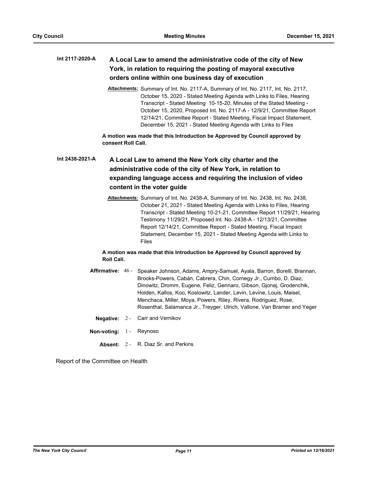#### **A Local Law to amend the administrative code of the city of New York, in relation to requiring the posting of mayoral executive orders online within one business day of execution Int 2117-2020-A**

*Attachments:* Summary of Int. No. 2117-A, Summary of Int. No. 2117, Int. No. 2117, October 15, 2020 - Stated Meeting Agenda with Links to Files, Hearing Transcript - Stated Meeting 10-15-20, Minutes of the Stated Meeting - October 15, 2020, Proposed Int. No. 2117-A - 12/9/21, Committee Report 12/14/21, Committee Report - Stated Meeting, Fiscal Impact Statement, December 15, 2021 - Stated Meeting Agenda with Links to Files

**A motion was made that this Introduction be Approved by Council approved by consent Roll Call.**

# **A Local Law to amend the New York city charter and the administrative code of the city of New York, in relation to expanding language access and requiring the inclusion of video content in the voter guide Int 2438-2021-A**

*Attachments:* Summary of Int. No. 2438-A, Summary of Int. No. 2438, Int. No. 2438, October 21, 2021 - Stated Meeting Agenda with Links to Files, Hearing Transcript - Stated Meeting 10-21-21, Committee Report 11/29/21, Hearing Testimony 11/29/21, Proposed Int. No. 2438-A - 12/13/21, Committee Report 12/14/21, Committee Report - Stated Meeting, Fiscal Impact Statement, December 15, 2021 - Stated Meeting Agenda with Links to Files

## **A motion was made that this Introduction be Approved by Council approved by Roll Call.**

- Affirmative: 46 Speaker Johnson, Adams, Ampry-Samuel, Ayala, Barron, Borelli, Brannan, Brooks-Powers, Cabán, Cabrera, Chin, Cornegy Jr., Cumbo, D. Diaz, Dinowitz, Dromm, Eugene, Feliz, Gennaro, Gibson, Gjonaj, Grodenchik, Holden, Kallos, Koo, Koslowitz, Lander, Levin, Levine, Louis, Maisel, Menchaca, Miller, Moya, Powers, Riley, Rivera, Rodriguez, Rose, Rosenthal, Salamanca Jr., Treyger, Ulrich, Vallone, Van Bramer and Yeger
	- **Negative:** 2 Carr and Vernikov
- **Non-voting:** 1 Reynoso
	- **Absent:** 2 R. Diaz Sr. and Perkins

Report of the Committee on Health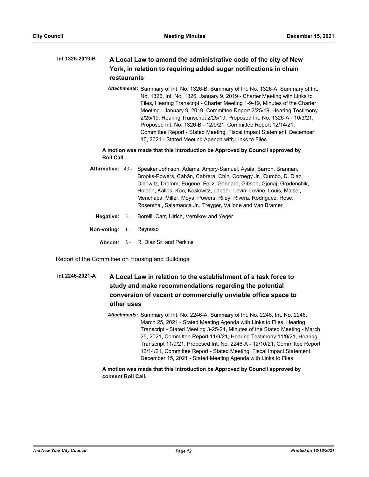#### **A Local Law to amend the administrative code of the city of New York, in relation to requiring added sugar notifications in chain restaurants Int 1326-2019-B**

*Attachments:* Summary of Int. No. 1326-B, Summary of Int. No. 1326-A, Summary of Int. No. 1326, Int. No. 1326, January 9, 2019 - Charter Meeting with Links to Files, Hearing Transcript - Charter Meeting 1-9-19, Minutes of the Charter Meeting - January 9, 2019, Committee Report 2/25/19, Hearing Testimony 2/25/19, Hearing Transcript 2/25/19, Proposed Int. No. 1326-A - 10/3/21, Proposed Int. No. 1326-B - 12/9/21, Committee Report 12/14/21, Committee Report - Stated Meeting, Fiscal Impact Statement, December 15, 2021 - Stated Meeting Agenda with Links to Files

## **A motion was made that this Introduction be Approved by Council approved by Roll Call.**

- Affirmative: 43 Speaker Johnson, Adams, Ampry-Samuel, Ayala, Barron, Brannan, Brooks-Powers, Cabán, Cabrera, Chin, Cornegy Jr., Cumbo, D. Diaz, Dinowitz, Dromm, Eugene, Feliz, Gennaro, Gibson, Gjonaj, Grodenchik, Holden, Kallos, Koo, Koslowitz, Lander, Levin, Levine, Louis, Maisel, Menchaca, Miller, Moya, Powers, Riley, Rivera, Rodriguez, Rose, Rosenthal, Salamanca Jr., Treyger, Vallone and Van Bramer
	- **Negative:** 5 Borelli, Carr, Ulrich, Vernikov and Yeger
- **Non-voting:** 1 Reynoso
	- **Absent:** 2 R. Diaz Sr. and Perkins

Report of the Committee on Housing and Buildings

# **A Local Law in relation to the establishment of a task force to study and make recommendations regarding the potential conversion of vacant or commercially unviable office space to other uses Int 2246-2021-A**

*Attachments:* Summary of Int. No. 2246-A, Summary of Int. No. 2246, Int. No. 2246, March 25, 2021 - Stated Meeting Agenda with Links to Files, Hearing Transcript - Stated Meeting 3-25-21, Minutes of the Stated Meeting - March 25, 2021, Committee Report 11/9/21, Hearing Testimony 11/9/21, Hearing Transcript 11/9/21, Proposed Int. No. 2246-A - 12/10/21, Committee Report 12/14/21, Committee Report - Stated Meeting, Fiscal Impact Statement, December 15, 2021 - Stated Meeting Agenda with Links to Files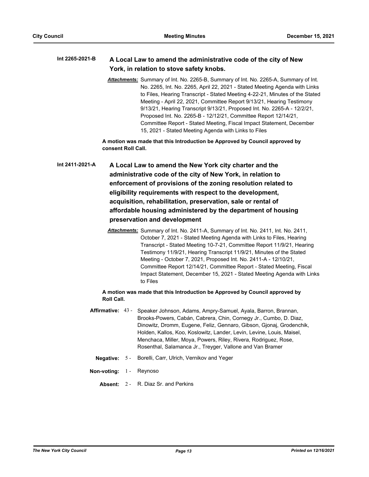#### **A Local Law to amend the administrative code of the city of New York, in relation to stove safety knobs. Int 2265-2021-B**

*Attachments:* Summary of Int. No. 2265-B, Summary of Int. No. 2265-A, Summary of Int. No. 2265, Int. No. 2265, April 22, 2021 - Stated Meeting Agenda with Links to Files, Hearing Transcript - Stated Meeting 4-22-21, Minutes of the Stated Meeting - April 22, 2021, Committee Report 9/13/21, Hearing Testimony 9/13/21, Hearing Transcript 9/13/21, Proposed Int. No. 2265-A - 12/2/21, Proposed Int. No. 2265-B - 12/12/21, Committee Report 12/14/21, Committee Report - Stated Meeting, Fiscal Impact Statement, December 15, 2021 - Stated Meeting Agenda with Links to Files

**A motion was made that this Introduction be Approved by Council approved by consent Roll Call.**

**A Local Law to amend the New York city charter and the administrative code of the city of New York, in relation to enforcement of provisions of the zoning resolution related to eligibility requirements with respect to the development, acquisition, rehabilitation, preservation, sale or rental of affordable housing administered by the department of housing preservation and development Int 2411-2021-A**

> *Attachments:* Summary of Int. No. 2411-A, Summary of Int. No. 2411, Int. No. 2411, October 7, 2021 - Stated Meeting Agenda with Links to Files, Hearing Transcript - Stated Meeting 10-7-21, Committee Report 11/9/21, Hearing Testimony 11/9/21, Hearing Transcript 11/9/21, Minutes of the Stated Meeting - October 7, 2021, Proposed Int. No. 2411-A - 12/10/21, Committee Report 12/14/21, Committee Report - Stated Meeting, Fiscal Impact Statement, December 15, 2021 - Stated Meeting Agenda with Links to Files

## **A motion was made that this Introduction be Approved by Council approved by Roll Call.**

- **Affirmative:** Speaker Johnson, Adams, Ampry-Samuel, Ayala, Barron, Brannan, Brooks-Powers, Cabán, Cabrera, Chin, Cornegy Jr., Cumbo, D. Diaz, Dinowitz, Dromm, Eugene, Feliz, Gennaro, Gibson, Gjonaj, Grodenchik, Holden, Kallos, Koo, Koslowitz, Lander, Levin, Levine, Louis, Maisel, Menchaca, Miller, Moya, Powers, Riley, Rivera, Rodriguez, Rose, Rosenthal, Salamanca Jr., Treyger, Vallone and Van Bramer Affirmative: 43 -
	- **Negative:** 5 Borelli, Carr, Ulrich, Vernikov and Yeger
- **Non-voting:** 1 Reynoso
	- **Absent:** 2 R. Diaz Sr. and Perkins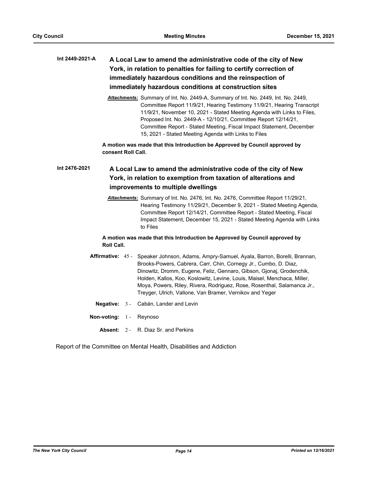# **A Local Law to amend the administrative code of the city of New York, in relation to penalties for failing to certify correction of immediately hazardous conditions and the reinspection of immediately hazardous conditions at construction sites Int 2449-2021-A**

*Attachments:* Summary of Int. No. 2449-A, Summary of Int. No. 2449, Int. No. 2449, Committee Report 11/9/21, Hearing Testimony 11/9/21, Hearing Transcript 11/9/21, November 10, 2021 - Stated Meeting Agenda with Links to Files, Proposed Int. No. 2449-A - 12/10/21, Committee Report 12/14/21, Committee Report - Stated Meeting, Fiscal Impact Statement, December 15, 2021 - Stated Meeting Agenda with Links to Files

**A motion was made that this Introduction be Approved by Council approved by consent Roll Call.**

#### **A Local Law to amend the administrative code of the city of New York, in relation to exemption from taxation of alterations and improvements to multiple dwellings Int 2476-2021**

*Attachments:* Summary of Int. No. 2476, Int. No. 2476, Committee Report 11/29/21, Hearing Testimony 11/29/21, December 9, 2021 - Stated Meeting Agenda, Committee Report 12/14/21, Committee Report - Stated Meeting, Fiscal Impact Statement, December 15, 2021 - Stated Meeting Agenda with Links to Files

## **A motion was made that this Introduction be Approved by Council approved by Roll Call.**

- Affirmative: 45 Speaker Johnson, Adams, Ampry-Samuel, Ayala, Barron, Borelli, Brannan, Brooks-Powers, Cabrera, Carr, Chin, Cornegy Jr., Cumbo, D. Diaz, Dinowitz, Dromm, Eugene, Feliz, Gennaro, Gibson, Gjonaj, Grodenchik, Holden, Kallos, Koo, Koslowitz, Levine, Louis, Maisel, Menchaca, Miller, Moya, Powers, Riley, Rivera, Rodriguez, Rose, Rosenthal, Salamanca Jr., Treyger, Ulrich, Vallone, Van Bramer, Vernikov and Yeger
	- **Negative:** 3 Cabán, Lander and Levin
- **Non-voting:** 1 Reynoso
	- **Absent:** 2 R. Diaz Sr. and Perkins

Report of the Committee on Mental Health, Disabilities and Addiction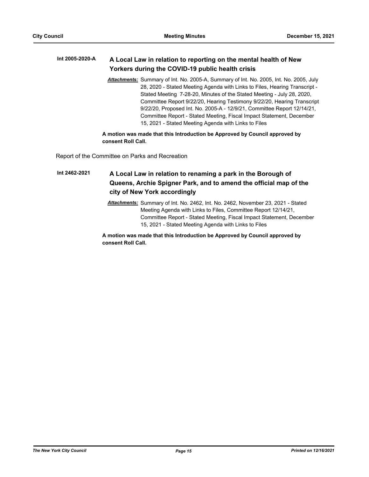#### **A Local Law in relation to reporting on the mental health of New Yorkers during the COVID-19 public health crisis Int 2005-2020-A**

*Attachments:* Summary of Int. No. 2005-A, Summary of Int. No. 2005, Int. No. 2005, July 28, 2020 - Stated Meeting Agenda with Links to Files, Hearing Transcript - Stated Meeting 7-28-20, Minutes of the Stated Meeting - July 28, 2020, Committee Report 9/22/20, Hearing Testimony 9/22/20, Hearing Transcript 9/22/20, Proposed Int. No. 2005-A - 12/9/21, Committee Report 12/14/21, Committee Report - Stated Meeting, Fiscal Impact Statement, December 15, 2021 - Stated Meeting Agenda with Links to Files

## **A motion was made that this Introduction be Approved by Council approved by consent Roll Call.**

Report of the Committee on Parks and Recreation

**A Local Law in relation to renaming a park in the Borough of Queens, Archie Spigner Park, and to amend the official map of the city of New York accordingly Int 2462-2021**

> *Attachments:* Summary of Int. No. 2462, Int. No. 2462, November 23, 2021 - Stated Meeting Agenda with Links to Files, Committee Report 12/14/21, Committee Report - Stated Meeting, Fiscal Impact Statement, December 15, 2021 - Stated Meeting Agenda with Links to Files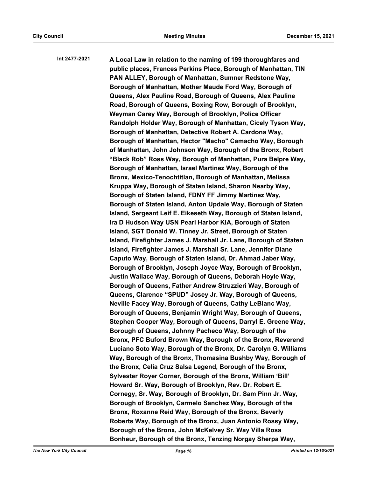**A Local Law in relation to the naming of 199 thoroughfares and public places, Frances Perkins Place, Borough of Manhattan, TIN PAN ALLEY, Borough of Manhattan, Sumner Redstone Way, Borough of Manhattan, Mother Maude Ford Way, Borough of Queens, Alex Pauline Road, Borough of Queens, Alex Pauline Road, Borough of Queens, Boxing Row, Borough of Brooklyn, Weyman Carey Way, Borough of Brooklyn, Police Officer Randolph Holder Way, Borough of Manhattan, Cicely Tyson Way, Borough of Manhattan, Detective Robert A. Cardona Way, Borough of Manhattan, Hector "Macho" Camacho Way, Borough of Manhattan, John Johnson Way, Borough of the Bronx, Robert "Black Rob" Ross Way, Borough of Manhattan, Pura Belpre Way, Borough of Manhattan, Israel Martinez Way, Borough of the Bronx, Mexico-Tenochtitlan, Borough of Manhattan, Melissa Kruppa Way, Borough of Staten Island, Sharon Nearby Way, Borough of Staten Island, FDNY FF Jimmy Martinez Way, Borough of Staten Island, Anton Updale Way, Borough of Staten Island, Sergeant Leif E. Eikeseth Way, Borough of Staten Island, Ira D Hudson Way USN Pearl Harbor KIA, Borough of Staten Island, SGT Donald W. Tinney Jr. Street, Borough of Staten Island, Firefighter James J. Marshall Jr. Lane, Borough of Staten Island, Firefighter James J. Marshall Sr. Lane, Jennifer Diane Caputo Way, Borough of Staten Island, Dr. Ahmad Jaber Way, Borough of Brooklyn, Joseph Joyce Way, Borough of Brooklyn, Justin Wallace Way, Borough of Queens, Deborah Hoyle Way, Borough of Queens, Father Andrew Struzzieri Way, Borough of Queens, Clarence "SPUD" Josey Jr. Way, Borough of Queens, Neville Facey Way, Borough of Queens, Cathy LeBlanc Way, Borough of Queens, Benjamin Wright Way, Borough of Queens, Stephen Cooper Way, Borough of Queens, Darryl E. Greene Way, Borough of Queens, Johnny Pacheco Way, Borough of the Bronx, PFC Buford Brown Way, Borough of the Bronx, Reverend Luciano Soto Way, Borough of the Bronx, Dr. Carolyn G. Williams Way, Borough of the Bronx, Thomasina Bushby Way, Borough of the Bronx, Celia Cruz Salsa Legend, Borough of the Bronx, Sylvester Royer Corner, Borough of the Bronx, William 'Bill' Howard Sr. Way, Borough of Brooklyn, Rev. Dr. Robert E. Cornegy, Sr. Way, Borough of Brooklyn, Dr. Sam Pinn Jr. Way, Borough of Brooklyn, Carmelo Sanchez Way, Borough of the Bronx, Roxanne Reid Way, Borough of the Bronx, Beverly Roberts Way, Borough of the Bronx, Juan Antonio Rossy Way, Borough of the Bronx, John McKelvey Sr. Way Villa Rosa Bonheur, Borough of the Bronx, Tenzing Norgay Sherpa Way, Int 2477-2021**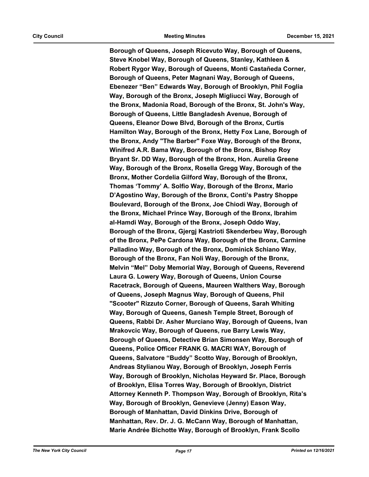**Borough of Queens, Joseph Ricevuto Way, Borough of Queens, Steve Knobel Way, Borough of Queens, Stanley, Kathleen & Robert Rygor Way, Borough of Queens, Monti Castañeda Corner, Borough of Queens, Peter Magnani Way, Borough of Queens, Ebenezer "Ben" Edwards Way, Borough of Brooklyn, Phil Foglia Way, Borough of the Bronx, Joseph Migliucci Way, Borough of the Bronx, Madonia Road, Borough of the Bronx, St. John's Way, Borough of Queens, Little Bangladesh Avenue, Borough of Queens, Eleanor Dowe Blvd, Borough of the Bronx, Curtis Hamilton Way, Borough of the Bronx, Hetty Fox Lane, Borough of the Bronx, Andy "The Barber" Foxe Way, Borough of the Bronx, Winifred A.R. Bama Way, Borough of the Bronx, Bishop Roy Bryant Sr. DD Way, Borough of the Bronx, Hon. Aurelia Greene Way, Borough of the Bronx, Rosella Gregg Way, Borough of the Bronx, Mother Cordelia Gilford Way, Borough of the Bronx, Thomas 'Tommy' A. Solfio Way, Borough of the Bronx, Mario D'Agostino Way, Borough of the Bronx, Conti's Pastry Shoppe Boulevard, Borough of the Bronx, Joe Chiodi Way, Borough of the Bronx, Michael Prince Way, Borough of the Bronx, Ibrahim al-Hamdi Way, Borough of the Bronx, Joseph Oddo Way, Borough of the Bronx, Gjergj Kastrioti Skenderbeu Way, Borough of the Bronx, PePe Cardona Way, Borough of the Bronx, Carmine Palladino Way, Borough of the Bronx, Dominick Schiano Way, Borough of the Bronx, Fan Noli Way, Borough of the Bronx, Melvin "Mel" Doby Memorial Way, Borough of Queens, Reverend Laura G. Lowery Way, Borough of Queens, Union Course Racetrack, Borough of Queens, Maureen Walthers Way, Borough of Queens, Joseph Magnus Way, Borough of Queens, Phil "Scooter" Rizzuto Corner, Borough of Queens, Sarah Whiting Way, Borough of Queens, Ganesh Temple Street, Borough of Queens, Rabbi Dr. Asher Murciano Way, Borough of Queens, Ivan Mrakovcic Way, Borough of Queens, rue Barry Lewis Way, Borough of Queens, Detective Brian Simonsen Way, Borough of Queens, Police Officer FRANK G. MACRI WAY, Borough of Queens, Salvatore "Buddy" Scotto Way, Borough of Brooklyn, Andreas Stylianou Way, Borough of Brooklyn, Joseph Ferris Way, Borough of Brooklyn, Nicholas Heyward Sr. Place, Borough of Brooklyn, Elisa Torres Way, Borough of Brooklyn, District Attorney Kenneth P. Thompson Way, Borough of Brooklyn, Rita's Way, Borough of Brooklyn, Genevieve (Jenny) Eason Way, Borough of Manhattan, David Dinkins Drive, Borough of Manhattan, Rev. Dr. J. G. McCann Way, Borough of Manhattan, Marie Andrée Bichotte Way, Borough of Brooklyn, Frank Scollo**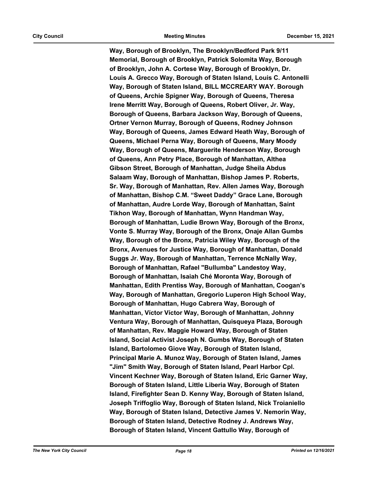**Way, Borough of Brooklyn, The Brooklyn/Bedford Park 9/11 Memorial, Borough of Brooklyn, Patrick Solomita Way, Borough of Brooklyn, John A. Cortese Way, Borough of Brooklyn, Dr. Louis A. Grecco Way, Borough of Staten Island, Louis C. Antonelli Way, Borough of Staten Island, BILL MCCREARY WAY. Borough of Queens, Archie Spigner Way, Borough of Queens, Theresa Irene Merritt Way, Borough of Queens, Robert Oliver, Jr. Way, Borough of Queens, Barbara Jackson Way, Borough of Queens, Ortner Vernon Murray, Borough of Queens, Rodney Johnson Way, Borough of Queens, James Edward Heath Way, Borough of Queens, Michael Perna Way, Borough of Queens, Mary Moody Way, Borough of Queens, Marguerite Henderson Way, Borough of Queens, Ann Petry Place, Borough of Manhattan, Althea Gibson Street, Borough of Manhattan, Judge Sheila Abdus Salaam Way, Borough of Manhattan, Bishop James P. Roberts, Sr. Way, Borough of Manhattan, Rev. Allen James Way, Borough of Manhattan, Bishop C.M. "Sweet Daddy" Grace Lane, Borough of Manhattan, Audre Lorde Way, Borough of Manhattan, Saint Tikhon Way, Borough of Manhattan, Wynn Handman Way, Borough of Manhattan, Ludie Brown Way, Borough of the Bronx, Vonte S. Murray Way, Borough of the Bronx, Onaje Allan Gumbs Way, Borough of the Bronx, Patricia Wiley Way, Borough of the Bronx, Avenues for Justice Way, Borough of Manhattan, Donald Suggs Jr. Way, Borough of Manhattan, Terrence McNally Way, Borough of Manhattan, Rafael "Bullumba" Landestoy Way, Borough of Manhattan, Isaiah Ché Moronta Way, Borough of Manhattan, Edith Prentiss Way, Borough of Manhattan, Coogan's Way, Borough of Manhattan, Gregorio Luperon High School Way, Borough of Manhattan, Hugo Cabrera Way, Borough of Manhattan, Víctor Víctor Way, Borough of Manhattan, Johnny Ventura Way, Borough of Manhattan, Quisqueya Plaza, Borough of Manhattan, Rev. Maggie Howard Way, Borough of Staten Island, Social Activist Joseph N. Gumbs Way, Borough of Staten Island, Bartolomeo Giove Way, Borough of Staten Island, Principal Marie A. Munoz Way, Borough of Staten Island, James "Jim" Smith Way, Borough of Staten Island, Pearl Harbor Cpl. Vincent Kechner Way, Borough of Staten Island, Eric Garner Way, Borough of Staten Island, Little Liberia Way, Borough of Staten Island, Firefighter Sean D. Kenny Way, Borough of Staten Island, Joseph Triffoglio Way, Borough of Staten Island, Nick Troianiello Way, Borough of Staten Island, Detective James V. Nemorin Way, Borough of Staten Island, Detective Rodney J. Andrews Way, Borough of Staten Island, Vincent Gattullo Way, Borough of**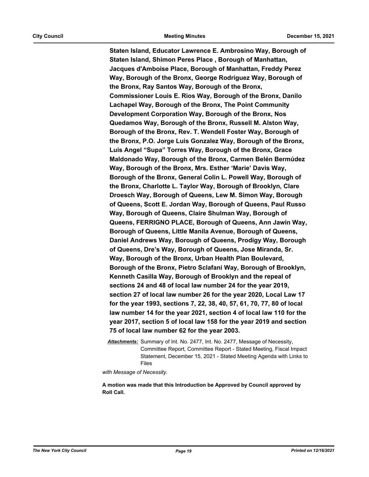**Staten Island, Educator Lawrence E. Ambrosino Way, Borough of Staten Island, Shimon Peres Place , Borough of Manhattan, Jacques d'Amboise Place, Borough of Manhattan, Freddy Perez Way, Borough of the Bronx, George Rodriguez Way, Borough of the Bronx, Ray Santos Way, Borough of the Bronx, Commissioner Louis E. Rios Way, Borough of the Bronx, Danilo Lachapel Way, Borough of the Bronx, The Point Community Development Corporation Way, Borough of the Bronx, Nos Quedamos Way, Borough of the Bronx, Russell M. Alston Way, Borough of the Bronx, Rev. T. Wendell Foster Way, Borough of the Bronx, P.O. Jorge Luis Gonzalez Way, Borough of the Bronx, Luis Angel "Supa" Torres Way, Borough of the Bronx, Grace Maldonado Way, Borough of the Bronx, Carmen Belén Bermúdez Way, Borough of the Bronx, Mrs. Esther 'Marie' Davis Way, Borough of the Bronx, General Colin L. Powell Way, Borough of the Bronx, Charlotte L. Taylor Way, Borough of Brooklyn, Clare Droesch Way, Borough of Queens, Lew M. Simon Way, Borough of Queens, Scott E. Jordan Way, Borough of Queens, Paul Russo Way, Borough of Queens, Claire Shulman Way, Borough of Queens, FERRIGNO PLACE, Borough of Queens, Ann Jawin Way, Borough of Queens, Little Manila Avenue, Borough of Queens, Daniel Andrews Way, Borough of Queens, Prodigy Way, Borough of Queens, Dre's Way, Borough of Queens, Jose Miranda, Sr. Way, Borough of the Bronx, Urban Health Plan Boulevard, Borough of the Bronx, Pietro Sclafani Way, Borough of Brooklyn, Kenneth Casilla Way, Borough of Brooklyn and the repeal of sections 24 and 48 of local law number 24 for the year 2019, section 27 of local law number 26 for the year 2020, Local Law 17 for the year 1993, sections 7, 22, 38, 40, 57, 61, 70, 77, 80 of local law number 14 for the year 2021, section 4 of local law 110 for the year 2017, section 5 of local law 158 for the year 2019 and section 75 of local law number 62 for the year 2003.**

*Attachments:* Summary of Int. No. 2477, Int. No. 2477, Message of Necessity, Committee Report, Committee Report - Stated Meeting, Fiscal Impact Statement, December 15, 2021 - Stated Meeting Agenda with Links to Files

*with Message of Necessity.*

**A motion was made that this Introduction be Approved by Council approved by Roll Call.**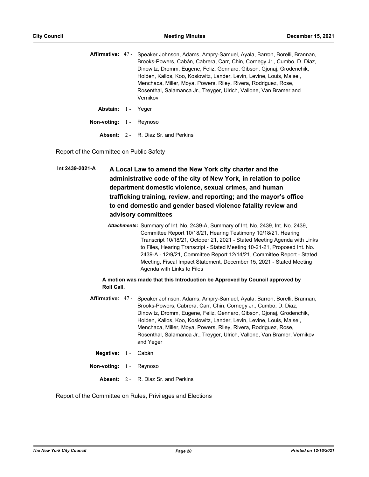|                    | Affirmative: 47 - Speaker Johnson, Adams, Ampry-Samuel, Ayala, Barron, Borelli, Brannan,<br>Brooks-Powers, Cabán, Cabrera, Carr, Chin, Cornegy Jr., Cumbo, D. Diaz, |  |  |  |  |
|--------------------|---------------------------------------------------------------------------------------------------------------------------------------------------------------------|--|--|--|--|
|                    | Dinowitz, Dromm, Eugene, Feliz, Gennaro, Gibson, Gionai, Grodenchik,                                                                                                |  |  |  |  |
|                    | Holden, Kallos, Koo, Koslowitz, Lander, Levin, Levine, Louis, Maisel,                                                                                               |  |  |  |  |
|                    | Menchaca, Miller, Moya, Powers, Riley, Rivera, Rodriguez, Rose,                                                                                                     |  |  |  |  |
|                    | Rosenthal, Salamanca Jr., Treyger, Ulrich, Vallone, Van Bramer and                                                                                                  |  |  |  |  |
|                    | Vernikov                                                                                                                                                            |  |  |  |  |
| Abstain: 1 - Yeger |                                                                                                                                                                     |  |  |  |  |

**Non-voting:** 1 - Reynoso

**Absent:** 2 - R. Diaz Sr. and Perkins

Report of the Committee on Public Safety

**A Local Law to amend the New York city charter and the administrative code of the city of New York, in relation to police department domestic violence, sexual crimes, and human trafficking training, review, and reporting; and the mayor's office to end domestic and gender based violence fatality review and advisory committees Int 2439-2021-A**

> *Attachments:* Summary of Int. No. 2439-A, Summary of Int. No. 2439, Int. No. 2439, Committee Report 10/18/21, Hearing Testimony 10/18/21, Hearing Transcript 10/18/21, October 21, 2021 - Stated Meeting Agenda with Links to Files, Hearing Transcript - Stated Meeting 10-21-21, Proposed Int. No. 2439-A - 12/9/21, Committee Report 12/14/21, Committee Report - Stated Meeting, Fiscal Impact Statement, December 15, 2021 - Stated Meeting Agenda with Links to Files

## **A motion was made that this Introduction be Approved by Council approved by Roll Call.**

- **Affirmative:** Speaker Johnson, Adams, Ampry-Samuel, Ayala, Barron, Borelli, Brannan, Brooks-Powers, Cabrera, Carr, Chin, Cornegy Jr., Cumbo, D. Diaz, Dinowitz, Dromm, Eugene, Feliz, Gennaro, Gibson, Gjonaj, Grodenchik, Holden, Kallos, Koo, Koslowitz, Lander, Levin, Levine, Louis, Maisel, Menchaca, Miller, Moya, Powers, Riley, Rivera, Rodriguez, Rose, Rosenthal, Salamanca Jr., Treyger, Ulrich, Vallone, Van Bramer, Vernikov and Yeger Affirmative: 47-
	- **Negative:** 1 Cabán
- **Non-voting:** 1 Reynoso
	- **Absent:** 2 R. Diaz Sr. and Perkins

Report of the Committee on Rules, Privileges and Elections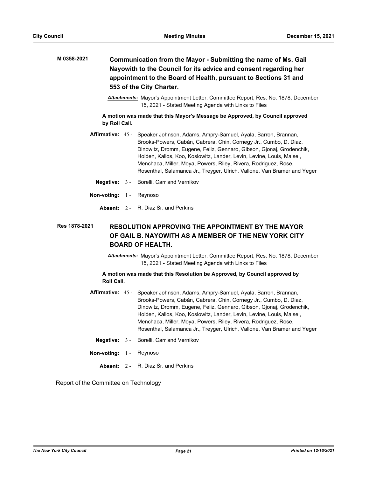| M 0358-2021 | Communication from the Mayor - Submitting the name of Ms. Gail<br>Nayowith to the Council for its advice and consent regarding her<br>appointment to the Board of Health, pursuant to Sections 31 and<br>553 of the City Charter.<br><b>Attachments:</b> Mayor's Appointment Letter, Committee Report, Res. No. 1878, December<br>15, 2021 - Stated Meeting Agenda with Links to Files |  |                                                                                                                                                                                                                                                                                                                                                                                                                                                      |  |  |
|-------------|----------------------------------------------------------------------------------------------------------------------------------------------------------------------------------------------------------------------------------------------------------------------------------------------------------------------------------------------------------------------------------------|--|------------------------------------------------------------------------------------------------------------------------------------------------------------------------------------------------------------------------------------------------------------------------------------------------------------------------------------------------------------------------------------------------------------------------------------------------------|--|--|
|             |                                                                                                                                                                                                                                                                                                                                                                                        |  |                                                                                                                                                                                                                                                                                                                                                                                                                                                      |  |  |
|             | A motion was made that this Mayor's Message be Approved, by Council approved<br>by Roll Call.                                                                                                                                                                                                                                                                                          |  |                                                                                                                                                                                                                                                                                                                                                                                                                                                      |  |  |
|             |                                                                                                                                                                                                                                                                                                                                                                                        |  | Affirmative: 45 - Speaker Johnson, Adams, Ampry-Samuel, Ayala, Barron, Brannan,<br>Brooks-Powers, Cabán, Cabrera, Chin, Cornegy Jr., Cumbo, D. Diaz,<br>Dinowitz, Dromm, Eugene, Feliz, Gennaro, Gibson, Gjonaj, Grodenchik,<br>Holden, Kallos, Koo, Koslowitz, Lander, Levin, Levine, Louis, Maisel,<br>Menchaca, Miller, Moya, Powers, Riley, Rivera, Rodriguez, Rose,<br>Rosenthal, Salamanca Jr., Treyger, Ulrich, Vallone, Van Bramer and Yeger |  |  |
|             | Negative: $3 -$                                                                                                                                                                                                                                                                                                                                                                        |  | Borelli, Carr and Vernikov                                                                                                                                                                                                                                                                                                                                                                                                                           |  |  |

- **Non-voting:** 1 Reynoso
	- **Absent:** 2 R. Diaz Sr. and Perkins

#### **RESOLUTION APPROVING THE APPOINTMENT BY THE MAYOR OF GAIL B. NAYOWITH AS A MEMBER OF THE NEW YORK CITY BOARD OF HEALTH. Res 1878-2021**

*Attachments:* Mayor's Appointment Letter, Committee Report, Res. No. 1878, December 15, 2021 - Stated Meeting Agenda with Links to Files

**A motion was made that this Resolution be Approved, by Council approved by Roll Call.**

- Affirmative: 45 Speaker Johnson, Adams, Ampry-Samuel, Ayala, Barron, Brannan, Brooks-Powers, Cabán, Cabrera, Chin, Cornegy Jr., Cumbo, D. Diaz, Dinowitz, Dromm, Eugene, Feliz, Gennaro, Gibson, Gjonaj, Grodenchik, Holden, Kallos, Koo, Koslowitz, Lander, Levin, Levine, Louis, Maisel, Menchaca, Miller, Moya, Powers, Riley, Rivera, Rodriguez, Rose, Rosenthal, Salamanca Jr., Treyger, Ulrich, Vallone, Van Bramer and Yeger
	- **Negative:** 3 Borelli, Carr and Vernikov
- **Non-voting:** 1 Reynoso
	- **Absent:** 2 R. Diaz Sr. and Perkins

Report of the Committee on Technology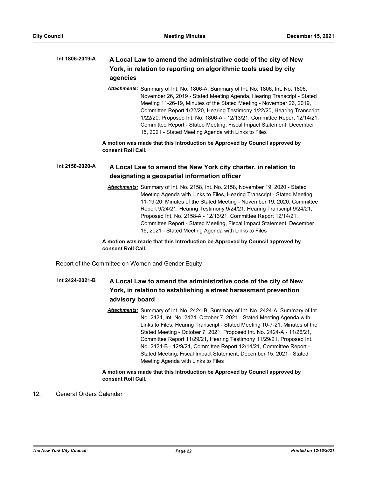#### **A Local Law to amend the administrative code of the city of New York, in relation to reporting on algorithmic tools used by city agencies Int 1806-2019-A**

*Attachments:* Summary of Int. No. 1806-A, Summary of Int. No. 1806, Int. No. 1806, November 26, 2019 - Stated Meeting Agenda, Hearing Transcript - Stated Meeting 11-26-19, Minutes of the Stated Meeting - November 26, 2019, Committee Report 1/22/20, Hearing Testimony 1/22/20, Hearing Transcript 1/22/20, Proposed Int. No. 1806-A - 12/13/21, Committee Report 12/14/21, Committee Report - Stated Meeting, Fiscal Impact Statement, December 15, 2021 - Stated Meeting Agenda with Links to Files

**A motion was made that this Introduction be Approved by Council approved by consent Roll Call.**

#### **A Local Law to amend the New York city charter, in relation to designating a geospatial information officer Int 2158-2020-A**

*Attachments:* Summary of Int. No. 2158, Int. No. 2158, November 19, 2020 - Stated Meeting Agenda with Links to Files, Hearing Transcript - Stated Meeting 11-19-20, Minutes of the Stated Meeting - November 19, 2020, Committee Report 9/24/21, Hearing Testimony 9/24/21, Hearing Transcript 9/24/21, Proposed Int. No. 2158-A - 12/13/21, Committee Report 12/14/21, Committee Report - Stated Meeting, Fiscal Impact Statement, December 15, 2021 - Stated Meeting Agenda with Links to Files

**A motion was made that this Introduction be Approved by Council approved by consent Roll Call.**

Report of the Committee on Women and Gender Equity

#### **A Local Law to amend the administrative code of the city of New York, in relation to establishing a street harassment prevention advisory board Int 2424-2021-B**

*Attachments:* Summary of Int. No. 2424-B, Summary of Int. No. 2424-A, Summary of Int. No. 2424, Int. No. 2424, October 7, 2021 - Stated Meeting Agenda with Links to Files, Hearing Transcript - Stated Meeting 10-7-21, Minutes of the Stated Meeting - October 7, 2021, Proposed Int. No. 2424-A - 11/26/21, Committee Report 11/29/21, Hearing Testimony 11/29/21, Proposed Int. No. 2424-B - 12/9/21, Committee Report 12/14/21, Committee Report - Stated Meeting, Fiscal Impact Statement, December 15, 2021 - Stated Meeting Agenda with Links to Files

# **A motion was made that this Introduction be Approved by Council approved by consent Roll Call.**

12. General Orders Calendar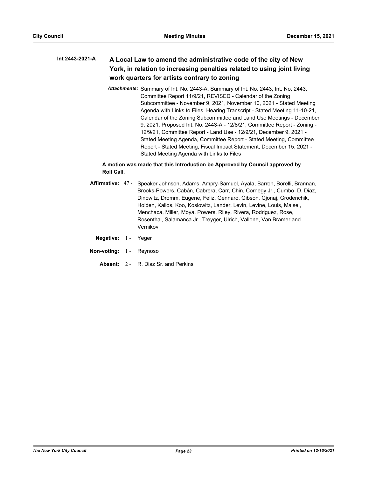#### **A Local Law to amend the administrative code of the city of New York, in relation to increasing penalties related to using joint living work quarters for artists contrary to zoning Int 2443-2021-A**

*Attachments:* Summary of Int. No. 2443-A, Summary of Int. No. 2443, Int. No. 2443, Committee Report 11/9/21, REVISED - Calendar of the Zoning Subcommittee - November 9, 2021, November 10, 2021 - Stated Meeting Agenda with Links to Files, Hearing Transcript - Stated Meeting 11-10-21, Calendar of the Zoning Subcommittee and Land Use Meetings - December 9, 2021, Proposed Int. No. 2443-A - 12/8/21, Committee Report - Zoning - 12/9/21, Committee Report - Land Use - 12/9/21, December 9, 2021 - Stated Meeting Agenda, Committee Report - Stated Meeting, Committee Report - Stated Meeting, Fiscal Impact Statement, December 15, 2021 - Stated Meeting Agenda with Links to Files

# **A motion was made that this Introduction be Approved by Council approved by Roll Call.**

- **Affirmative:** Speaker Johnson, Adams, Ampry-Samuel, Ayala, Barron, Borelli, Brannan, Brooks-Powers, Cabán, Cabrera, Carr, Chin, Cornegy Jr., Cumbo, D. Diaz, Dinowitz, Dromm, Eugene, Feliz, Gennaro, Gibson, Gjonaj, Grodenchik, Holden, Kallos, Koo, Koslowitz, Lander, Levin, Levine, Louis, Maisel, Menchaca, Miller, Moya, Powers, Riley, Rivera, Rodriguez, Rose, Rosenthal, Salamanca Jr., Treyger, Ulrich, Vallone, Van Bramer and Vernikov Affirmative: 47-
	- **Negative:** 1 Yeger
- **Non-voting:** 1 Reynoso
	- **Absent:** 2 R. Diaz Sr. and Perkins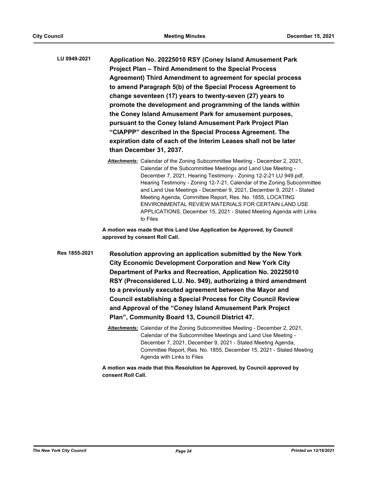| LU 0949-2021 | Application No. 20225010 RSY (Coney Island Amusement Park          |
|--------------|--------------------------------------------------------------------|
|              | Project Plan - Third Amendment to the Special Process              |
|              | <b>Agreement) Third Amendment to agreement for special process</b> |
|              | to amend Paragraph 5(b) of the Special Process Agreement to        |
|              | change seventeen (17) years to twenty-seven (27) years to          |
|              | promote the development and programming of the lands within        |
|              | the Coney Island Amusement Park for amusement purposes,            |
|              | pursuant to the Coney Island Amusement Park Project Plan           |
|              | "CIAPPP" described in the Special Process Agreement. The           |
|              | expiration date of each of the Interim Leases shall not be later   |
|              | than December 31, 2037.                                            |

*Attachments:* Calendar of the Zoning Subcommittee Meeting - December 2, 2021, Calendar of the Subcommittee Meetings and Land Use Meeting - December 7, 2021, Hearing Testimony - Zoning 12-2-21 LU 949.pdf, Hearing Testimony - Zoning 12-7-21, Calendar of the Zoning Subcommittee and Land Use Meetings - December 9, 2021, December 9, 2021 - Stated Meeting Agenda, Committee Report, Res. No. 1855, LOCATING ENVIRONMENTAL REVIEW MATERIALS FOR CERTAIN LAND USE APPLICATIONS, December 15, 2021 - Stated Meeting Agenda with Links to Files

**A motion was made that this Land Use Application be Approved, by Council approved by consent Roll Call.**

- **Resolution approving an application submitted by the New York City Economic Development Corporation and New York City Department of Parks and Recreation, Application No. 20225010 RSY (Preconsidered L.U. No. 949), authorizing a third amendment to a previously executed agreement between the Mayor and Council establishing a Special Process for City Council Review and Approval of the "Coney Island Amusement Park Project Plan", Community Board 13, Council District 47. Res 1855-2021**
	- *Attachments:* Calendar of the Zoning Subcommittee Meeting December 2, 2021, Calendar of the Subcommittee Meetings and Land Use Meeting - December 7, 2021, December 9, 2021 - Stated Meeting Agenda, Committee Report, Res. No. 1855, December 15, 2021 - Stated Meeting Agenda with Links to Files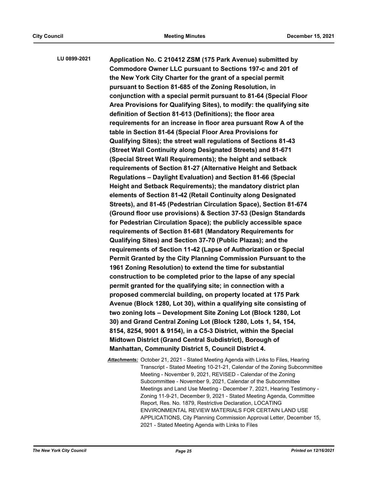**Application No. C 210412 ZSM (175 Park Avenue) submitted by Commodore Owner LLC pursuant to Sections 197-c and 201 of the New York City Charter for the grant of a special permit pursuant to Section 81-685 of the Zoning Resolution, in conjunction with a special permit pursuant to 81-64 (Special Floor Area Provisions for Qualifying Sites), to modify: the qualifying site definition of Section 81-613 (Definitions); the floor area requirements for an increase in floor area pursuant Row A of the table in Section 81-64 (Special Floor Area Provisions for Qualifying Sites); the street wall regulations of Sections 81-43 (Street Wall Continuity along Designated Streets) and 81-671 (Special Street Wall Requirements); the height and setback requirements of Section 81-27 (Alternative Height and Setback Regulations – Daylight Evaluation) and Section 81-66 (Special Height and Setback Requirements); the mandatory district plan elements of Section 81-42 (Retail Continuity along Designated Streets), and 81-45 (Pedestrian Circulation Space), Section 81-674 (Ground floor use provisions) & Section 37-53 (Design Standards for Pedestrian Circulation Space); the publicly accessible space requirements of Section 81-681 (Mandatory Requirements for Qualifying Sites) and Section 37-70 (Public Plazas); and the requirements of Section 11-42 (Lapse of Authorization or Special Permit Granted by the City Planning Commission Pursuant to the 1961 Zoning Resolution) to extend the time for substantial construction to be completed prior to the lapse of any special permit granted for the qualifying site; in connection with a proposed commercial building, on property located at 175 Park Avenue (Block 1280, Lot 30), within a qualifying site consisting of two zoning lots – Development Site Zoning Lot (Block 1280, Lot 30) and Grand Central Zoning Lot (Block 1280, Lots 1, 54, 154, 8154, 8254, 9001 & 9154), in a C5-3 District, within the Special Midtown District (Grand Central Subdistrict), Borough of Manhattan, Community District 5, Council District 4. LU 0899-2021**

> *Attachments:* October 21, 2021 - Stated Meeting Agenda with Links to Files, Hearing Transcript - Stated Meeting 10-21-21, Calendar of the Zoning Subcommittee Meeting - November 9, 2021, REVISED - Calendar of the Zoning Subcommittee - November 9, 2021, Calendar of the Subcommittee Meetings and Land Use Meeting - December 7, 2021, Hearing Testimony - Zoning 11-9-21, December 9, 2021 - Stated Meeting Agenda, Committee Report, Res. No. 1879, Restrictive Declaration, LOCATING ENVIRONMENTAL REVIEW MATERIALS FOR CERTAIN LAND USE APPLICATIONS, City Planning Commission Approval Letter, December 15, 2021 - Stated Meeting Agenda with Links to Files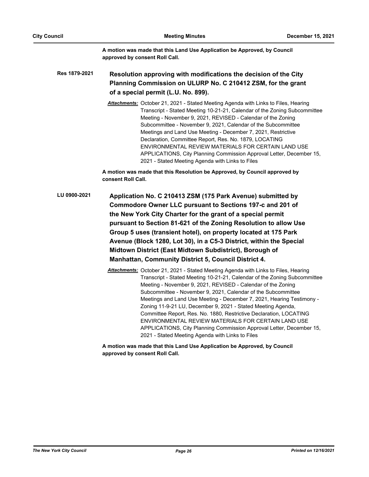**A motion was made that this Land Use Application be Approved, by Council approved by consent Roll Call.**

**Resolution approving with modifications the decision of the City Planning Commission on ULURP No. C 210412 ZSM, for the grant of a special permit (L.U. No. 899). Res 1879-2021**

> *Attachments:* October 21, 2021 - Stated Meeting Agenda with Links to Files, Hearing Transcript - Stated Meeting 10-21-21, Calendar of the Zoning Subcommittee Meeting - November 9, 2021, REVISED - Calendar of the Zoning Subcommittee - November 9, 2021, Calendar of the Subcommittee Meetings and Land Use Meeting - December 7, 2021, Restrictive Declaration, Committee Report, Res. No. 1879, LOCATING ENVIRONMENTAL REVIEW MATERIALS FOR CERTAIN LAND USE APPLICATIONS, City Planning Commission Approval Letter, December 15, 2021 - Stated Meeting Agenda with Links to Files

**A motion was made that this Resolution be Approved, by Council approved by consent Roll Call.**

- **Application No. C 210413 ZSM (175 Park Avenue) submitted by Commodore Owner LLC pursuant to Sections 197-c and 201 of the New York City Charter for the grant of a special permit pursuant to Section 81-621 of the Zoning Resolution to allow Use Group 5 uses (transient hotel), on property located at 175 Park Avenue (Block 1280, Lot 30), in a C5-3 District, within the Special Midtown District (East Midtown Subdistrict), Borough of Manhattan, Community District 5, Council District 4. LU 0900-2021**
	- *Attachments:* October 21, 2021 Stated Meeting Agenda with Links to Files, Hearing Transcript - Stated Meeting 10-21-21, Calendar of the Zoning Subcommittee Meeting - November 9, 2021, REVISED - Calendar of the Zoning Subcommittee - November 9, 2021, Calendar of the Subcommittee Meetings and Land Use Meeting - December 7, 2021, Hearing Testimony - Zoning 11-9-21 LU, December 9, 2021 - Stated Meeting Agenda, Committee Report, Res. No. 1880, Restrictive Declaration, LOCATING ENVIRONMENTAL REVIEW MATERIALS FOR CERTAIN LAND USE APPLICATIONS, City Planning Commission Approval Letter, December 15, 2021 - Stated Meeting Agenda with Links to Files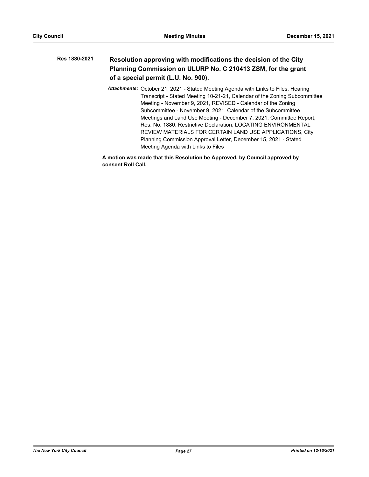| Res 1880-2021 | Resolution approving with modifications the decision of the City |
|---------------|------------------------------------------------------------------|
|               | Planning Commission on ULURP No. C 210413 ZSM, for the grant     |
|               | of a special permit (L.U. No. 900).                              |

*Attachments:* October 21, 2021 - Stated Meeting Agenda with Links to Files, Hearing Transcript - Stated Meeting 10-21-21, Calendar of the Zoning Subcommittee Meeting - November 9, 2021, REVISED - Calendar of the Zoning Subcommittee - November 9, 2021, Calendar of the Subcommittee Meetings and Land Use Meeting - December 7, 2021, Committee Report, Res. No. 1880, Restrictive Declaration, LOCATING ENVIRONMENTAL REVIEW MATERIALS FOR CERTAIN LAND USE APPLICATIONS, City Planning Commission Approval Letter, December 15, 2021 - Stated Meeting Agenda with Links to Files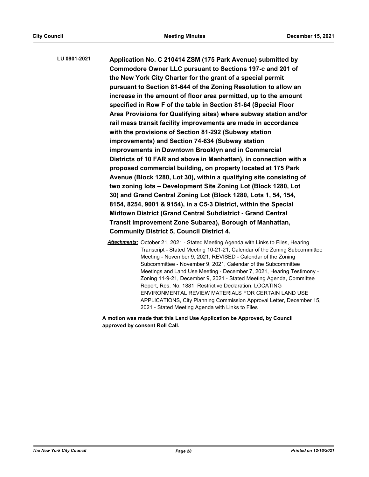**Application No. C 210414 ZSM (175 Park Avenue) submitted by Commodore Owner LLC pursuant to Sections 197-c and 201 of the New York City Charter for the grant of a special permit pursuant to Section 81-644 of the Zoning Resolution to allow an increase in the amount of floor area permitted, up to the amount specified in Row F of the table in Section 81-64 (Special Floor Area Provisions for Qualifying sites) where subway station and/or rail mass transit facility improvements are made in accordance with the provisions of Section 81-292 (Subway station improvements) and Section 74-634 (Subway station improvements in Downtown Brooklyn and in Commercial Districts of 10 FAR and above in Manhattan), in connection with a proposed commercial building, on property located at 175 Park Avenue (Block 1280, Lot 30), within a qualifying site consisting of two zoning lots – Development Site Zoning Lot (Block 1280, Lot 30) and Grand Central Zoning Lot (Block 1280, Lots 1, 54, 154, 8154, 8254, 9001 & 9154), in a C5-3 District, within the Special Midtown District (Grand Central Subdistrict - Grand Central Transit Improvement Zone Subarea), Borough of Manhattan, Community District 5, Council District 4. LU 0901-2021**

> *Attachments:* October 21, 2021 - Stated Meeting Agenda with Links to Files, Hearing Transcript - Stated Meeting 10-21-21, Calendar of the Zoning Subcommittee Meeting - November 9, 2021, REVISED - Calendar of the Zoning Subcommittee - November 9, 2021, Calendar of the Subcommittee Meetings and Land Use Meeting - December 7, 2021, Hearing Testimony - Zoning 11-9-21, December 9, 2021 - Stated Meeting Agenda, Committee Report, Res. No. 1881, Restrictive Declaration, LOCATING ENVIRONMENTAL REVIEW MATERIALS FOR CERTAIN LAND USE APPLICATIONS, City Planning Commission Approval Letter, December 15, 2021 - Stated Meeting Agenda with Links to Files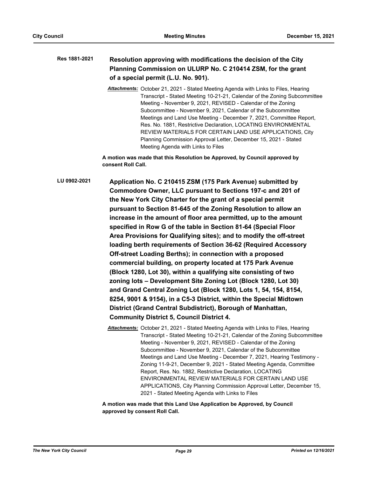#### **Resolution approving with modifications the decision of the City Planning Commission on ULURP No. C 210414 ZSM, for the grant of a special permit (L.U. No. 901). Res 1881-2021**

*Attachments:* October 21, 2021 - Stated Meeting Agenda with Links to Files, Hearing Transcript - Stated Meeting 10-21-21, Calendar of the Zoning Subcommittee Meeting - November 9, 2021, REVISED - Calendar of the Zoning Subcommittee - November 9, 2021, Calendar of the Subcommittee Meetings and Land Use Meeting - December 7, 2021, Committee Report, Res. No. 1881, Restrictive Declaration, LOCATING ENVIRONMENTAL REVIEW MATERIALS FOR CERTAIN LAND USE APPLICATIONS, City Planning Commission Approval Letter, December 15, 2021 - Stated Meeting Agenda with Links to Files

**A motion was made that this Resolution be Approved, by Council approved by consent Roll Call.**

**Application No. C 210415 ZSM (175 Park Avenue) submitted by Commodore Owner, LLC pursuant to Sections 197-c and 201 of the New York City Charter for the grant of a special permit pursuant to Section 81-645 of the Zoning Resolution to allow an increase in the amount of floor area permitted, up to the amount specified in Row G of the table in Section 81-64 (Special Floor Area Provisions for Qualifying sites); and to modify the off-street loading berth requirements of Section 36-62 (Required Accessory Off-street Loading Berths); in connection with a proposed commercial building, on property located at 175 Park Avenue (Block 1280, Lot 30), within a qualifying site consisting of two zoning lots – Development Site Zoning Lot (Block 1280, Lot 30) and Grand Central Zoning Lot (Block 1280, Lots 1, 54, 154, 8154, 8254, 9001 & 9154), in a C5-3 District, within the Special Midtown District (Grand Central Subdistrict), Borough of Manhattan, Community District 5, Council District 4. LU 0902-2021**

> *Attachments:* October 21, 2021 - Stated Meeting Agenda with Links to Files, Hearing Transcript - Stated Meeting 10-21-21, Calendar of the Zoning Subcommittee Meeting - November 9, 2021, REVISED - Calendar of the Zoning Subcommittee - November 9, 2021, Calendar of the Subcommittee Meetings and Land Use Meeting - December 7, 2021, Hearing Testimony - Zoning 11-9-21, December 9, 2021 - Stated Meeting Agenda, Committee Report, Res. No. 1882, Restrictive Declaration, LOCATING ENVIRONMENTAL REVIEW MATERIALS FOR CERTAIN LAND USE APPLICATIONS, City Planning Commission Approval Letter, December 15, 2021 - Stated Meeting Agenda with Links to Files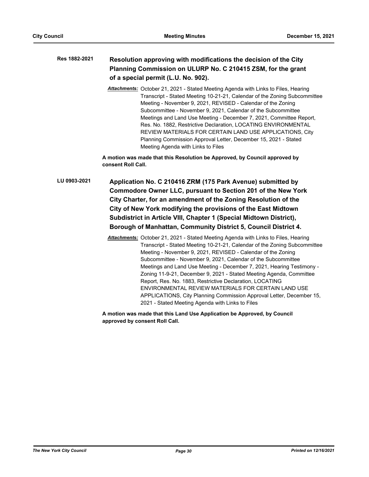#### **Resolution approving with modifications the decision of the City Planning Commission on ULURP No. C 210415 ZSM, for the grant of a special permit (L.U. No. 902). Res 1882-2021**

*Attachments:* October 21, 2021 - Stated Meeting Agenda with Links to Files, Hearing Transcript - Stated Meeting 10-21-21, Calendar of the Zoning Subcommittee Meeting - November 9, 2021, REVISED - Calendar of the Zoning Subcommittee - November 9, 2021, Calendar of the Subcommittee Meetings and Land Use Meeting - December 7, 2021, Committee Report, Res. No. 1882, Restrictive Declaration, LOCATING ENVIRONMENTAL REVIEW MATERIALS FOR CERTAIN LAND USE APPLICATIONS, City Planning Commission Approval Letter, December 15, 2021 - Stated Meeting Agenda with Links to Files

**A motion was made that this Resolution be Approved, by Council approved by consent Roll Call.**

**Application No. C 210416 ZRM (175 Park Avenue) submitted by Commodore Owner LLC, pursuant to Section 201 of the New York City Charter, for an amendment of the Zoning Resolution of the City of New York modifying the provisions of the East Midtown Subdistrict in Article VIII, Chapter 1 (Special Midtown District), Borough of Manhattan, Community District 5, Council District 4. LU 0903-2021**

> *Attachments:* October 21, 2021 - Stated Meeting Agenda with Links to Files, Hearing Transcript - Stated Meeting 10-21-21, Calendar of the Zoning Subcommittee Meeting - November 9, 2021, REVISED - Calendar of the Zoning Subcommittee - November 9, 2021, Calendar of the Subcommittee Meetings and Land Use Meeting - December 7, 2021, Hearing Testimony - Zoning 11-9-21, December 9, 2021 - Stated Meeting Agenda, Committee Report, Res. No. 1883, Restrictive Declaration, LOCATING ENVIRONMENTAL REVIEW MATERIALS FOR CERTAIN LAND USE APPLICATIONS, City Planning Commission Approval Letter, December 15, 2021 - Stated Meeting Agenda with Links to Files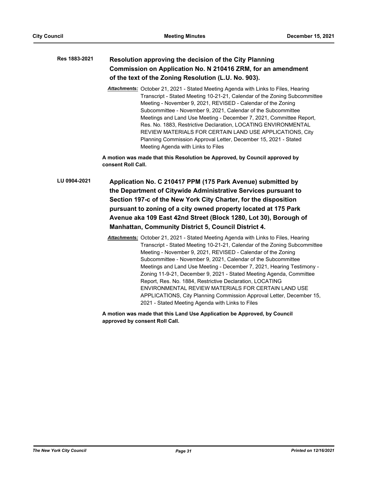#### **Resolution approving the decision of the City Planning Commission on Application No. N 210416 ZRM, for an amendment of the text of the Zoning Resolution (L.U. No. 903). Res 1883-2021**

*Attachments:* October 21, 2021 - Stated Meeting Agenda with Links to Files, Hearing Transcript - Stated Meeting 10-21-21, Calendar of the Zoning Subcommittee Meeting - November 9, 2021, REVISED - Calendar of the Zoning Subcommittee - November 9, 2021, Calendar of the Subcommittee Meetings and Land Use Meeting - December 7, 2021, Committee Report, Res. No. 1883, Restrictive Declaration, LOCATING ENVIRONMENTAL REVIEW MATERIALS FOR CERTAIN LAND USE APPLICATIONS, City Planning Commission Approval Letter, December 15, 2021 - Stated Meeting Agenda with Links to Files

**A motion was made that this Resolution be Approved, by Council approved by consent Roll Call.**

**Application No. C 210417 PPM (175 Park Avenue) submitted by the Department of Citywide Administrative Services pursuant to Section 197-c of the New York City Charter, for the disposition pursuant to zoning of a city owned property located at 175 Park Avenue aka 109 East 42nd Street (Block 1280, Lot 30), Borough of Manhattan, Community District 5, Council District 4. LU 0904-2021**

> *Attachments:* October 21, 2021 - Stated Meeting Agenda with Links to Files, Hearing Transcript - Stated Meeting 10-21-21, Calendar of the Zoning Subcommittee Meeting - November 9, 2021, REVISED - Calendar of the Zoning Subcommittee - November 9, 2021, Calendar of the Subcommittee Meetings and Land Use Meeting - December 7, 2021, Hearing Testimony - Zoning 11-9-21, December 9, 2021 - Stated Meeting Agenda, Committee Report, Res. No. 1884, Restrictive Declaration, LOCATING ENVIRONMENTAL REVIEW MATERIALS FOR CERTAIN LAND USE APPLICATIONS, City Planning Commission Approval Letter, December 15, 2021 - Stated Meeting Agenda with Links to Files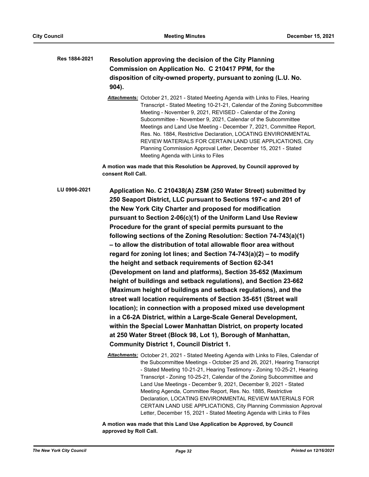# **Resolution approving the decision of the City Planning Commission on Application No. C 210417 PPM, for the disposition of city-owned property, pursuant to zoning (L.U. No. 904). Res 1884-2021**

*Attachments:* October 21, 2021 - Stated Meeting Agenda with Links to Files, Hearing Transcript - Stated Meeting 10-21-21, Calendar of the Zoning Subcommittee Meeting - November 9, 2021, REVISED - Calendar of the Zoning Subcommittee - November 9, 2021, Calendar of the Subcommittee Meetings and Land Use Meeting - December 7, 2021, Committee Report, Res. No. 1884, Restrictive Declaration, LOCATING ENVIRONMENTAL REVIEW MATERIALS FOR CERTAIN LAND USE APPLICATIONS, City Planning Commission Approval Letter, December 15, 2021 - Stated Meeting Agenda with Links to Files

**A motion was made that this Resolution be Approved, by Council approved by consent Roll Call.**

**Application No. C 210438(A) ZSM (250 Water Street) submitted by 250 Seaport District, LLC pursuant to Sections 197-c and 201 of the New York City Charter and proposed for modification pursuant to Section 2-06(c)(1) of the Uniform Land Use Review Procedure for the grant of special permits pursuant to the following sections of the Zoning Resolution: Section 74-743(a)(1) – to allow the distribution of total allowable floor area without regard for zoning lot lines; and Section 74-743(a)(2) – to modify the height and setback requirements of Section 62-341 (Development on land and platforms), Section 35-652 (Maximum height of buildings and setback regulations), and Section 23-662 (Maximum height of buildings and setback regulations), and the street wall location requirements of Section 35-651 (Street wall location); in connection with a proposed mixed use development in a C6-2A District, within a Large-Scale General Development, within the Special Lower Manhattan District, on property located at 250 Water Street (Block 98, Lot 1), Borough of Manhattan, Community District 1, Council District 1. LU 0906-2021**

> *Attachments:* October 21, 2021 - Stated Meeting Agenda with Links to Files, Calendar of the Subcommittee Meetings - October 25 and 26, 2021, Hearing Transcript - Stated Meeting 10-21-21, Hearing Testimony - Zoning 10-25-21, Hearing Transcript - Zoning 10-25-21, Calendar of the Zoning Subcommittee and Land Use Meetings - December 9, 2021, December 9, 2021 - Stated Meeting Agenda, Committee Report, Res. No. 1885, Restrictive Declaration, LOCATING ENVIRONMENTAL REVIEW MATERIALS FOR CERTAIN LAND USE APPLICATIONS, City Planning Commission Approval Letter, December 15, 2021 - Stated Meeting Agenda with Links to Files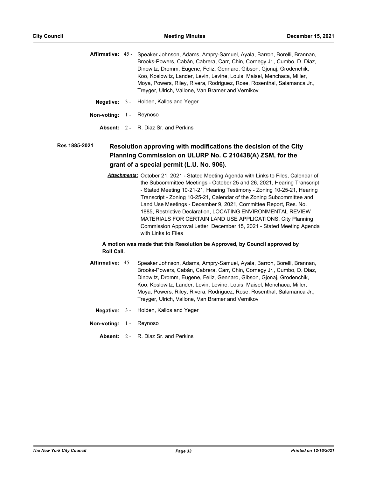| Affirmative: 45 - Speaker Johnson, Adams, Ampry-Samuel, Ayala, Barron, Borelli, Brannan, |
|------------------------------------------------------------------------------------------|
| Brooks-Powers, Cabán, Cabrera, Carr, Chin, Cornegy Jr., Cumbo, D. Diaz,                  |
| Dinowitz, Dromm, Eugene, Feliz, Gennaro, Gibson, Gionai, Grodenchik,                     |
| Koo, Koslowitz, Lander, Levin, Levine, Louis, Maisel, Menchaca, Miller,                  |
| Moya, Powers, Riley, Rivera, Rodriguez, Rose, Rosenthal, Salamanca Jr.,                  |
| Treyger, Ulrich, Vallone, Van Bramer and Vernikov                                        |
|                                                                                          |

- **Negative:** 3 Holden, Kallos and Yeger
- **Non-voting:** 1 Reynoso
	- **Absent:** 2 R. Diaz Sr. and Perkins

#### **Resolution approving with modifications the decision of the City Planning Commission on ULURP No. C 210438(A) ZSM, for the grant of a special permit (L.U. No. 906). Res 1885-2021**

*Attachments:* October 21, 2021 - Stated Meeting Agenda with Links to Files, Calendar of the Subcommittee Meetings - October 25 and 26, 2021, Hearing Transcript - Stated Meeting 10-21-21, Hearing Testimony - Zoning 10-25-21, Hearing Transcript - Zoning 10-25-21, Calendar of the Zoning Subcommittee and Land Use Meetings - December 9, 2021, Committee Report, Res. No. 1885, Restrictive Declaration, LOCATING ENVIRONMENTAL REVIEW MATERIALS FOR CERTAIN LAND USE APPLICATIONS, City Planning Commission Approval Letter, December 15, 2021 - Stated Meeting Agenda with Links to Files

# **A motion was made that this Resolution be Approved, by Council approved by Roll Call.**

- **Affirmative:** Speaker Johnson, Adams, Ampry-Samuel, Ayala, Barron, Borelli, Brannan, Brooks-Powers, Cabán, Cabrera, Carr, Chin, Cornegy Jr., Cumbo, D. Diaz, Dinowitz, Dromm, Eugene, Feliz, Gennaro, Gibson, Gjonaj, Grodenchik, Koo, Koslowitz, Lander, Levin, Levine, Louis, Maisel, Menchaca, Miller, Moya, Powers, Riley, Rivera, Rodriguez, Rose, Rosenthal, Salamanca Jr., Treyger, Ulrich, Vallone, Van Bramer and Vernikov Affirmative: 45 -
	- **Negative:** 3 Holden, Kallos and Yeger
- **Non-voting:** 1 Reynoso
	- **Absent:** 2 R. Diaz Sr. and Perkins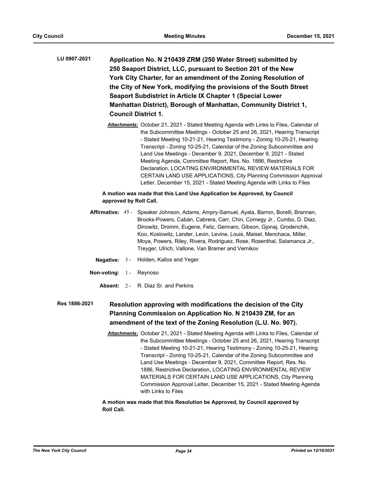**Application No. N 210439 ZRM (250 Water Street) submitted by 250 Seaport District, LLC, pursuant to Section 201 of the New York City Charter, for an amendment of the Zoning Resolution of the City of New York, modifying the provisions of the South Street Seaport Subdistrict in Article IX Chapter 1 (Special Lower Manhattan District), Borough of Manhattan, Community District 1, Council District 1. LU 0907-2021**

> *Attachments:* October 21, 2021 - Stated Meeting Agenda with Links to Files, Calendar of the Subcommittee Meetings - October 25 and 26, 2021, Hearing Transcript - Stated Meeting 10-21-21, Hearing Testimony - Zoning 10-25-21, Hearing Transcript - Zoning 10-25-21, Calendar of the Zoning Subcommittee and Land Use Meetings - December 9, 2021, December 9, 2021 - Stated Meeting Agenda, Committee Report, Res. No. 1886, Restrictive Declaration, LOCATING ENVIRONMENTAL REVIEW MATERIALS FOR CERTAIN LAND USE APPLICATIONS, City Planning Commission Approval Letter, December 15, 2021 - Stated Meeting Agenda with Links to Files

## **A motion was made that this Land Use Application be Approved, by Council approved by Roll Call.**

- Affirmative: 45 Speaker Johnson, Adams, Ampry-Samuel, Ayala, Barron, Borelli, Brannan, Brooks-Powers, Cabán, Cabrera, Carr, Chin, Cornegy Jr., Cumbo, D. Diaz, Dinowitz, Dromm, Eugene, Feliz, Gennaro, Gibson, Gjonaj, Grodenchik, Koo, Koslowitz, Lander, Levin, Levine, Louis, Maisel, Menchaca, Miller, Moya, Powers, Riley, Rivera, Rodriguez, Rose, Rosenthal, Salamanca Jr., Treyger, Ulrich, Vallone, Van Bramer and Vernikov
	- **Negative:** 3 Holden, Kallos and Yeger
- **Non-voting:** 1 Reynoso
	- **Absent:** 2 R. Diaz Sr. and Perkins

#### **Resolution approving with modifications the decision of the City Planning Commission on Application No. N 210439 ZM, for an amendment of the text of the Zoning Resolution (L.U. No. 907). Res 1886-2021**

*Attachments:* October 21, 2021 - Stated Meeting Agenda with Links to Files, Calendar of the Subcommittee Meetings - October 25 and 26, 2021, Hearing Transcript - Stated Meeting 10-21-21, Hearing Testimony - Zoning 10-25-21, Hearing Transcript - Zoning 10-25-21, Calendar of the Zoning Subcommittee and Land Use Meetings - December 9, 2021, Committee Report, Res. No. 1886, Restrictive Declaration, LOCATING ENVIRONMENTAL REVIEW MATERIALS FOR CERTAIN LAND USE APPLICATIONS, City Planning Commission Approval Letter, December 15, 2021 - Stated Meeting Agenda with Links to Files

# **A motion was made that this Resolution be Approved, by Council approved by Roll Call.**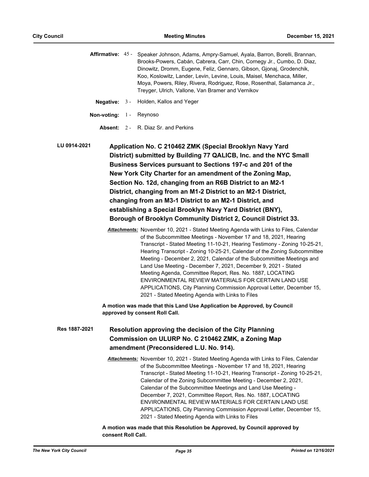|  | Affirmative: 45 - Speaker Johnson, Adams, Ampry-Samuel, Ayala, Barron, Borelli, Brannan, |
|--|------------------------------------------------------------------------------------------|
|  | Brooks-Powers, Cabán, Cabrera, Carr, Chin, Cornegy Jr., Cumbo, D. Diaz,                  |
|  | Dinowitz, Dromm, Eugene, Feliz, Gennaro, Gibson, Gionaj, Grodenchik,                     |
|  | Koo, Koslowitz, Lander, Levin, Levine, Louis, Maisel, Menchaca, Miller,                  |
|  | Moya, Powers, Riley, Rivera, Rodriguez, Rose, Rosenthal, Salamanca Jr.,                  |
|  | Treyger, Ulrich, Vallone, Van Bramer and Vernikov                                        |

- **Negative:** 3 Holden, Kallos and Yeger
- **Non-voting:** 1 Reynoso
	- **Absent:** 2 R. Diaz Sr. and Perkins

**Application No. C 210462 ZMK (Special Brooklyn Navy Yard District) submitted by Building 77 QALICB, Inc. and the NYC Small Business Services pursuant to Sections 197-c and 201 of the New York City Charter for an amendment of the Zoning Map, Section No. 12d, changing from an R6B District to an M2-1 District, changing from an M1-2 District to an M2-1 District, changing from an M3-1 District to an M2-1 District, and establishing a Special Brooklyn Navy Yard District (BNY), Borough of Brooklyn Community District 2, Council District 33. LU 0914-2021**

> *Attachments:* November 10, 2021 - Stated Meeting Agenda with Links to Files, Calendar of the Subcommittee Meetings - November 17 and 18, 2021, Hearing Transcript - Stated Meeting 11-10-21, Hearing Testimony - Zoning 10-25-21, Hearing Transcript - Zoning 10-25-21, Calendar of the Zoning Subcommittee Meeting - December 2, 2021, Calendar of the Subcommittee Meetings and Land Use Meeting - December 7, 2021, December 9, 2021 - Stated Meeting Agenda, Committee Report, Res. No. 1887, LOCATING ENVIRONMENTAL REVIEW MATERIALS FOR CERTAIN LAND USE APPLICATIONS, City Planning Commission Approval Letter, December 15, 2021 - Stated Meeting Agenda with Links to Files

**A motion was made that this Land Use Application be Approved, by Council approved by consent Roll Call.**

**Resolution approving the decision of the City Planning Commission on ULURP No. C 210462 ZMK, a Zoning Map amendment (Preconsidered L.U. No. 914). Res 1887-2021**

> *Attachments:* November 10, 2021 - Stated Meeting Agenda with Links to Files, Calendar of the Subcommittee Meetings - November 17 and 18, 2021, Hearing Transcript - Stated Meeting 11-10-21, Hearing Transcript - Zoning 10-25-21, Calendar of the Zoning Subcommittee Meeting - December 2, 2021, Calendar of the Subcommittee Meetings and Land Use Meeting - December 7, 2021, Committee Report, Res. No. 1887, LOCATING ENVIRONMENTAL REVIEW MATERIALS FOR CERTAIN LAND USE APPLICATIONS, City Planning Commission Approval Letter, December 15, 2021 - Stated Meeting Agenda with Links to Files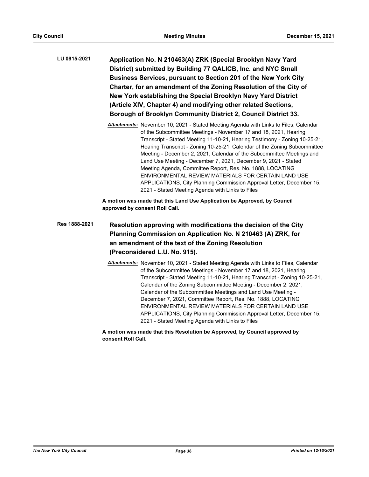| LU 0915-2021 | Application No. N 210463(A) ZRK (Special Brooklyn Navy Yard                                                                                                 |
|--------------|-------------------------------------------------------------------------------------------------------------------------------------------------------------|
|              | District) submitted by Building 77 QALICB, Inc. and NYC Small                                                                                               |
|              | Business Services, pursuant to Section 201 of the New York City                                                                                             |
|              | Charter, for an amendment of the Zoning Resolution of the City of                                                                                           |
|              | New York establishing the Special Brooklyn Navy Yard District                                                                                               |
|              | (Article XIV, Chapter 4) and modifying other related Sections,                                                                                              |
|              | Borough of Brooklyn Community District 2, Council District 33.                                                                                              |
|              | <b>Attachments:</b> November 10, 2021 - Stated Meeting Agenda with Links to Files, Calendar<br>of the Subcommittee Meetings Nevember 17 and 10 2021 Hearing |

of the Subcommittee Meetings - November 17 and 18, 2021, Hearing Transcript - Stated Meeting 11-10-21, Hearing Testimony - Zoning 10-25-21, Hearing Transcript - Zoning 10-25-21, Calendar of the Zoning Subcommittee Meeting - December 2, 2021, Calendar of the Subcommittee Meetings and Land Use Meeting - December 7, 2021, December 9, 2021 - Stated Meeting Agenda, Committee Report, Res. No. 1888, LOCATING ENVIRONMENTAL REVIEW MATERIALS FOR CERTAIN LAND USE APPLICATIONS, City Planning Commission Approval Letter, December 15, 2021 - Stated Meeting Agenda with Links to Files

**A motion was made that this Land Use Application be Approved, by Council approved by consent Roll Call.**

# **Resolution approving with modifications the decision of the City Planning Commission on Application No. N 210463 (A) ZRK, for an amendment of the text of the Zoning Resolution (Preconsidered L.U. No. 915). Res 1888-2021**

*Attachments:* November 10, 2021 - Stated Meeting Agenda with Links to Files, Calendar of the Subcommittee Meetings - November 17 and 18, 2021, Hearing Transcript - Stated Meeting 11-10-21, Hearing Transcript - Zoning 10-25-21, Calendar of the Zoning Subcommittee Meeting - December 2, 2021, Calendar of the Subcommittee Meetings and Land Use Meeting - December 7, 2021, Committee Report, Res. No. 1888, LOCATING ENVIRONMENTAL REVIEW MATERIALS FOR CERTAIN LAND USE APPLICATIONS, City Planning Commission Approval Letter, December 15, 2021 - Stated Meeting Agenda with Links to Files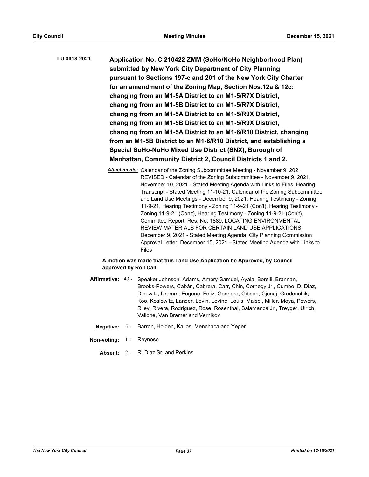| LU 0918-2021 | Application No. C 210422 ZMM (SoHo/NoHo Neighborhood Plan)         |
|--------------|--------------------------------------------------------------------|
|              | submitted by New York City Department of City Planning             |
|              | pursuant to Sections 197-c and 201 of the New York City Charter    |
|              | for an amendment of the Zoning Map, Section Nos.12a & 12c:         |
|              | changing from an M1-5A District to an M1-5/R7X District,           |
|              | changing from an M1-5B District to an M1-5/R7X District,           |
|              | changing from an M1-5A District to an M1-5/R9X District,           |
|              | changing from an M1-5B District to an M1-5/R9X District,           |
|              | changing from an M1-5A District to an M1-6/R10 District, changing  |
|              | from an M1-5B District to an M1-6/R10 District, and establishing a |
|              | Special SoHo-NoHo Mixed Use District (SNX), Borough of             |
|              | Manhattan, Community District 2, Council Districts 1 and 2.        |

*Attachments:* Calendar of the Zoning Subcommittee Meeting - November 9, 2021, REVISED - Calendar of the Zoning Subcommittee - November 9, 2021, November 10, 2021 - Stated Meeting Agenda with Links to Files, Hearing Transcript - Stated Meeting 11-10-21, Calendar of the Zoning Subcommittee and Land Use Meetings - December 9, 2021, Hearing Testimony - Zoning 11-9-21, Hearing Testimony - Zoning 11-9-21 (Con't), Hearing Testimony - Zoning 11-9-21 (Con't), Hearing Testimony - Zoning 11-9-21 (Con't), Committee Report, Res. No. 1889, LOCATING ENVIRONMENTAL REVIEW MATERIALS FOR CERTAIN LAND USE APPLICATIONS, December 9, 2021 - Stated Meeting Agenda, City Planning Commission Approval Letter, December 15, 2021 - Stated Meeting Agenda with Links to Files

# **A motion was made that this Land Use Application be Approved, by Council approved by Roll Call.**

- Affirmative: 43 Speaker Johnson, Adams, Ampry-Samuel, Ayala, Borelli, Brannan, Brooks-Powers, Cabán, Cabrera, Carr, Chin, Cornegy Jr., Cumbo, D. Diaz, Dinowitz, Dromm, Eugene, Feliz, Gennaro, Gibson, Gjonaj, Grodenchik, Koo, Koslowitz, Lander, Levin, Levine, Louis, Maisel, Miller, Moya, Powers, Riley, Rivera, Rodriguez, Rose, Rosenthal, Salamanca Jr., Treyger, Ulrich, Vallone, Van Bramer and Vernikov
	- **Negative:** 5 Barron, Holden, Kallos, Menchaca and Yeger
- **Non-voting:** 1 Reynoso
	- **Absent:** 2 R. Diaz Sr. and Perkins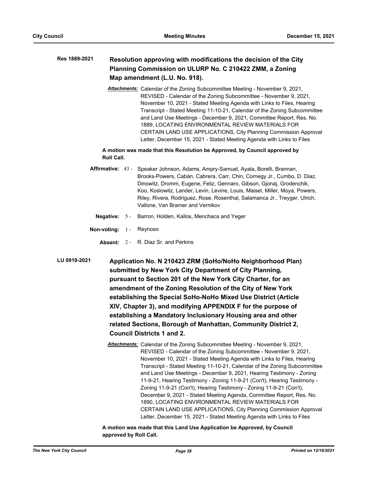### **Resolution approving with modifications the decision of the City Planning Commission on ULURP No. C 210422 ZMM, a Zoning Map amendment (L.U. No. 918). Res 1889-2021**

*Attachments:* Calendar of the Zoning Subcommittee Meeting - November 9, 2021, REVISED - Calendar of the Zoning Subcommittee - November 9, 2021, November 10, 2021 - Stated Meeting Agenda with Links to Files, Hearing Transcript - Stated Meeting 11-10-21, Calendar of the Zoning Subcommittee and Land Use Meetings - December 9, 2021, Committee Report, Res. No. 1889, LOCATING ENVIRONMENTAL REVIEW MATERIALS FOR CERTAIN LAND USE APPLICATIONS, City Planning Commission Approval Letter, December 15, 2021 - Stated Meeting Agenda with Links to Files

# **A motion was made that this Resolution be Approved, by Council approved by Roll Call.**

- Affirmative: 43 Speaker Johnson, Adams, Ampry-Samuel, Ayala, Borelli, Brannan, Brooks-Powers, Cabán, Cabrera, Carr, Chin, Cornegy Jr., Cumbo, D. Diaz, Dinowitz, Dromm, Eugene, Feliz, Gennaro, Gibson, Gjonaj, Grodenchik, Koo, Koslowitz, Lander, Levin, Levine, Louis, Maisel, Miller, Moya, Powers, Riley, Rivera, Rodriguez, Rose, Rosenthal, Salamanca Jr., Treyger, Ulrich, Vallone, Van Bramer and Vernikov
	- **Negative:** 5 Barron, Holden, Kallos, Menchaca and Yeger
- **Non-voting:** 1 Reynoso
	- **Absent:** 2 R. Diaz Sr. and Perkins

**Application No. N 210423 ZRM (SoHo/NoHo Neighborhood Plan) submitted by New York City Department of City Planning, pursuant to Section 201 of the New York City Charter, for an amendment of the Zoning Resolution of the City of New York establishing the Special SoHo-NoHo Mixed Use District (Article XIV, Chapter 3), and modifying APPENDIX F for the purpose of establishing a Mandatory Inclusionary Housing area and other related Sections, Borough of Manhattan, Community District 2, Council Districts 1 and 2. LU 0919-2021**

> *Attachments:* Calendar of the Zoning Subcommittee Meeting - November 9, 2021, REVISED - Calendar of the Zoning Subcommittee - November 9, 2021, November 10, 2021 - Stated Meeting Agenda with Links to Files, Hearing Transcript - Stated Meeting 11-10-21, Calendar of the Zoning Subcommittee and Land Use Meetings - December 9, 2021, Hearing Testimony - Zoning 11-9-21, Hearing Testimony - Zoning 11-9-21 (Con't), Hearing Testimony - Zoning 11-9-21 (Con't), Hearing Testimony - Zoning 11-9-21 (Con't), December 9, 2021 - Stated Meeting Agenda, Committee Report, Res. No. 1890, LOCATING ENVIRONMENTAL REVIEW MATERIALS FOR CERTAIN LAND USE APPLICATIONS, City Planning Commission Approval Letter, December 15, 2021 - Stated Meeting Agenda with Links to Files

**A motion was made that this Land Use Application be Approved, by Council approved by Roll Call.**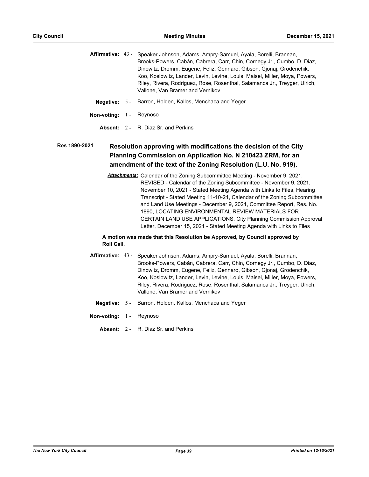Affirmative: 43 - Speaker Johnson, Adams, Ampry-Samuel, Ayala, Borelli, Brannan, Brooks-Powers, Cabán, Cabrera, Carr, Chin, Cornegy Jr., Cumbo, D. Diaz, Dinowitz, Dromm, Eugene, Feliz, Gennaro, Gibson, Gjonaj, Grodenchik, Koo, Koslowitz, Lander, Levin, Levine, Louis, Maisel, Miller, Moya, Powers, Riley, Rivera, Rodriguez, Rose, Rosenthal, Salamanca Jr., Treyger, Ulrich, Vallone, Van Bramer and Vernikov

- **Negative:** 5 Barron, Holden, Kallos, Menchaca and Yeger
- **Non-voting:** 1 Reynoso
	- **Absent:** 2 R. Diaz Sr. and Perkins

### **Resolution approving with modifications the decision of the City Planning Commission on Application No. N 210423 ZRM, for an amendment of the text of the Zoning Resolution (L.U. No. 919). Res 1890-2021**

*Attachments:* Calendar of the Zoning Subcommittee Meeting - November 9, 2021, REVISED - Calendar of the Zoning Subcommittee - November 9, 2021, November 10, 2021 - Stated Meeting Agenda with Links to Files, Hearing Transcript - Stated Meeting 11-10-21, Calendar of the Zoning Subcommittee and Land Use Meetings - December 9, 2021, Committee Report, Res. No. 1890, LOCATING ENVIRONMENTAL REVIEW MATERIALS FOR CERTAIN LAND USE APPLICATIONS, City Planning Commission Approval Letter, December 15, 2021 - Stated Meeting Agenda with Links to Files

- Affirmative: 43 Speaker Johnson, Adams, Ampry-Samuel, Ayala, Borelli, Brannan, Brooks-Powers, Cabán, Cabrera, Carr, Chin, Cornegy Jr., Cumbo, D. Diaz, Dinowitz, Dromm, Eugene, Feliz, Gennaro, Gibson, Gjonaj, Grodenchik, Koo, Koslowitz, Lander, Levin, Levine, Louis, Maisel, Miller, Moya, Powers, Riley, Rivera, Rodriguez, Rose, Rosenthal, Salamanca Jr., Treyger, Ulrich, Vallone, Van Bramer and Vernikov
	- **Negative:** 5 Barron, Holden, Kallos, Menchaca and Yeger
- **Non-voting:** 1 Reynoso
	- **Absent:** 2 R. Diaz Sr. and Perkins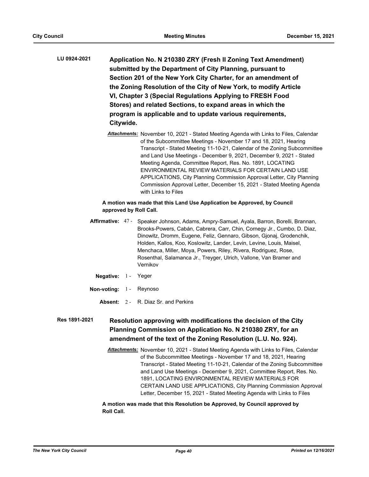**Application No. N 210380 ZRY (Fresh II Zoning Text Amendment) submitted by the Department of City Planning, pursuant to Section 201 of the New York City Charter, for an amendment of the Zoning Resolution of the City of New York, to modify Article VI, Chapter 3 (Special Regulations Applying to FRESH Food Stores) and related Sections, to expand areas in which the program is applicable and to update various requirements, Citywide. LU 0924-2021**

> *Attachments:* November 10, 2021 - Stated Meeting Agenda with Links to Files, Calendar of the Subcommittee Meetings - November 17 and 18, 2021, Hearing Transcript - Stated Meeting 11-10-21, Calendar of the Zoning Subcommittee and Land Use Meetings - December 9, 2021, December 9, 2021 - Stated Meeting Agenda, Committee Report, Res. No. 1891, LOCATING ENVIRONMENTAL REVIEW MATERIALS FOR CERTAIN LAND USE APPLICATIONS, City Planning Commission Approval Letter, City Planning Commission Approval Letter, December 15, 2021 - Stated Meeting Agenda with Links to Files

# **A motion was made that this Land Use Application be Approved, by Council approved by Roll Call.**

- Affirmative: 47 Speaker Johnson, Adams, Ampry-Samuel, Ayala, Barron, Borelli, Brannan, Brooks-Powers, Cabán, Cabrera, Carr, Chin, Cornegy Jr., Cumbo, D. Diaz, Dinowitz, Dromm, Eugene, Feliz, Gennaro, Gibson, Gjonaj, Grodenchik, Holden, Kallos, Koo, Koslowitz, Lander, Levin, Levine, Louis, Maisel, Menchaca, Miller, Moya, Powers, Riley, Rivera, Rodriguez, Rose, Rosenthal, Salamanca Jr., Treyger, Ulrich, Vallone, Van Bramer and Vernikov
	- **Negative:** 1 Yeger
- **Non-voting:** 1 Reynoso
	- **Absent:** 2 R. Diaz Sr. and Perkins

### **Resolution approving with modifications the decision of the City Planning Commission on Application No. N 210380 ZRY, for an amendment of the text of the Zoning Resolution (L.U. No. 924). Res 1891-2021**

*Attachments:* November 10, 2021 - Stated Meeting Agenda with Links to Files, Calendar of the Subcommittee Meetings - November 17 and 18, 2021, Hearing Transcript - Stated Meeting 11-10-21, Calendar of the Zoning Subcommittee and Land Use Meetings - December 9, 2021, Committee Report, Res. No. 1891, LOCATING ENVIRONMENTAL REVIEW MATERIALS FOR CERTAIN LAND USE APPLICATIONS, City Planning Commission Approval Letter, December 15, 2021 - Stated Meeting Agenda with Links to Files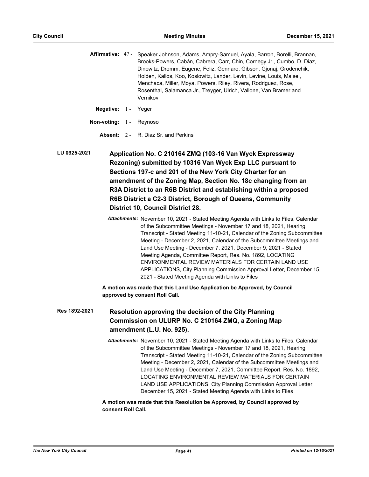|  | Affirmative: 47 - Speaker Johnson, Adams, Ampry-Samuel, Ayala, Barron, Borelli, Brannan, |
|--|------------------------------------------------------------------------------------------|
|  | Brooks-Powers, Cabán, Cabrera, Carr, Chin, Cornegy Jr., Cumbo, D. Diaz,                  |
|  | Dinowitz, Dromm, Eugene, Feliz, Gennaro, Gibson, Gionaj, Grodenchik,                     |
|  | Holden, Kallos, Koo, Koslowitz, Lander, Levin, Levine, Louis, Maisel,                    |
|  | Menchaca, Miller, Moya, Powers, Riley, Rivera, Rodriguez, Rose,                          |
|  | Rosenthal, Salamanca Jr., Treyger, Ulrich, Vallone, Van Bramer and                       |
|  | Vernikov                                                                                 |
|  |                                                                                          |

**Negative:** 1 - Yeger

**Non-voting:** 1 - Reynoso

**Absent:** 2 - R. Diaz Sr. and Perkins

**Application No. C 210164 ZMQ (103-16 Van Wyck Expressway Rezoning) submitted by 10316 Van Wyck Exp LLC pursuant to Sections 197-c and 201 of the New York City Charter for an amendment of the Zoning Map, Section No. 18c changing from an R3A District to an R6B District and establishing within a proposed R6B District a C2-3 District, Borough of Queens, Community District 10, Council District 28. LU 0925-2021**

> *Attachments:* November 10, 2021 - Stated Meeting Agenda with Links to Files, Calendar of the Subcommittee Meetings - November 17 and 18, 2021, Hearing Transcript - Stated Meeting 11-10-21, Calendar of the Zoning Subcommittee Meeting - December 2, 2021, Calendar of the Subcommittee Meetings and Land Use Meeting - December 7, 2021, December 9, 2021 - Stated Meeting Agenda, Committee Report, Res. No. 1892, LOCATING ENVIRONMENTAL REVIEW MATERIALS FOR CERTAIN LAND USE APPLICATIONS, City Planning Commission Approval Letter, December 15, 2021 - Stated Meeting Agenda with Links to Files

**A motion was made that this Land Use Application be Approved, by Council approved by consent Roll Call.**

**Resolution approving the decision of the City Planning Commission on ULURP No. C 210164 ZMQ, a Zoning Map amendment (L.U. No. 925). Res 1892-2021**

> *Attachments:* November 10, 2021 - Stated Meeting Agenda with Links to Files, Calendar of the Subcommittee Meetings - November 17 and 18, 2021, Hearing Transcript - Stated Meeting 11-10-21, Calendar of the Zoning Subcommittee Meeting - December 2, 2021, Calendar of the Subcommittee Meetings and Land Use Meeting - December 7, 2021, Committee Report, Res. No. 1892, LOCATING ENVIRONMENTAL REVIEW MATERIALS FOR CERTAIN LAND USE APPLICATIONS, City Planning Commission Approval Letter, December 15, 2021 - Stated Meeting Agenda with Links to Files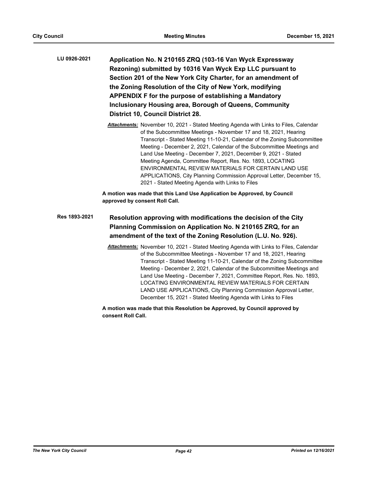| LU 0926-2021  | Application No. N 210165 ZRQ (103-16 Van Wyck Expressway<br>Rezoning) submitted by 10316 Van Wyck Exp LLC pursuant to<br>Section 201 of the New York City Charter, for an amendment of<br>the Zoning Resolution of the City of New York, modifying<br>APPENDIX F for the purpose of establishing a Mandatory<br><b>Inclusionary Housing area, Borough of Queens, Community</b><br><b>District 10, Council District 28.</b>                                                                                                                                                                                                       |
|---------------|----------------------------------------------------------------------------------------------------------------------------------------------------------------------------------------------------------------------------------------------------------------------------------------------------------------------------------------------------------------------------------------------------------------------------------------------------------------------------------------------------------------------------------------------------------------------------------------------------------------------------------|
|               | Attachments: November 10, 2021 - Stated Meeting Agenda with Links to Files, Calendar<br>of the Subcommittee Meetings - November 17 and 18, 2021, Hearing<br>Transcript - Stated Meeting 11-10-21, Calendar of the Zoning Subcommittee<br>Meeting - December 2, 2021, Calendar of the Subcommittee Meetings and<br>Land Use Meeting - December 7, 2021, December 9, 2021 - Stated<br>Meeting Agenda, Committee Report, Res. No. 1893, LOCATING<br>ENVIRONMENTAL REVIEW MATERIALS FOR CERTAIN LAND USE<br>APPLICATIONS, City Planning Commission Approval Letter, December 15,<br>2021 - Stated Meeting Agenda with Links to Files |
|               | A motion was made that this Land Use Application be Approved, by Council<br>approved by consent Roll Call.                                                                                                                                                                                                                                                                                                                                                                                                                                                                                                                       |
| Res 1893-2021 | Resolution approving with modifications the decision of the City<br>Planning Commission on Application No. N 210165 ZRQ, for an<br>amendment of the text of the Zoning Resolution (L.U. No. 926).                                                                                                                                                                                                                                                                                                                                                                                                                                |
|               | Attachments: November 10, 2021 - Stated Meeting Agenda with Links to Files, Calendar<br>of the Subcommittee Meetings - November 17 and 18, 2021, Hearing<br>Transcript - Stated Meeting 11-10-21, Calendar of the Zoning Subcommittee<br>Meeting - December 2, 2021, Calendar of the Subcommittee Meetings and<br>Land Use Meeting - December 7, 2021, Committee Report, Res. No. 1893,<br>LOCATING ENVIRONMENTAL REVIEW MATERIALS FOR CERTAIN<br>LAND USE APPLICATIONS, City Planning Commission Approval Letter,<br>December 15, 2021 - Stated Meeting Agenda with Links to Files                                              |
|               | A motion was made that this Resolution be Approved, by Council approved by                                                                                                                                                                                                                                                                                                                                                                                                                                                                                                                                                       |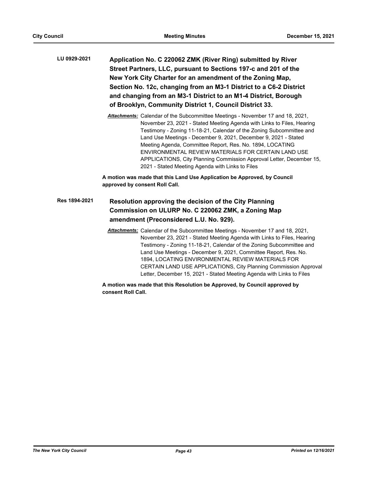| LU 0929-2021 | Application No. C 220062 ZMK (River Ring) submitted by River       |
|--------------|--------------------------------------------------------------------|
|              | Street Partners, LLC, pursuant to Sections 197-c and 201 of the    |
|              | New York City Charter for an amendment of the Zoning Map,          |
|              | Section No. 12c, changing from an M3-1 District to a C6-2 District |
|              | and changing from an M3-1 District to an M1-4 District, Borough    |
|              | of Brooklyn, Community District 1, Council District 33.            |

*Attachments:* Calendar of the Subcommittee Meetings - November 17 and 18, 2021, November 23, 2021 - Stated Meeting Agenda with Links to Files, Hearing Testimony - Zoning 11-18-21, Calendar of the Zoning Subcommittee and Land Use Meetings - December 9, 2021, December 9, 2021 - Stated Meeting Agenda, Committee Report, Res. No. 1894, LOCATING ENVIRONMENTAL REVIEW MATERIALS FOR CERTAIN LAND USE APPLICATIONS, City Planning Commission Approval Letter, December 15, 2021 - Stated Meeting Agenda with Links to Files

**A motion was made that this Land Use Application be Approved, by Council approved by consent Roll Call.**

#### **Resolution approving the decision of the City Planning Commission on ULURP No. C 220062 ZMK, a Zoning Map amendment (Preconsidered L.U. No. 929). Res 1894-2021**

*Attachments:* Calendar of the Subcommittee Meetings - November 17 and 18, 2021, November 23, 2021 - Stated Meeting Agenda with Links to Files, Hearing Testimony - Zoning 11-18-21, Calendar of the Zoning Subcommittee and Land Use Meetings - December 9, 2021, Committee Report, Res. No. 1894, LOCATING ENVIRONMENTAL REVIEW MATERIALS FOR CERTAIN LAND USE APPLICATIONS, City Planning Commission Approval Letter, December 15, 2021 - Stated Meeting Agenda with Links to Files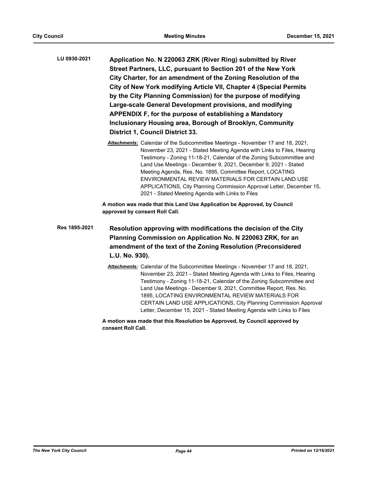- **Application No. N 220063 ZRK (River Ring) submitted by River Street Partners, LLC, pursuant to Section 201 of the New York City Charter, for an amendment of the Zoning Resolution of the City of New York modifying Article VII, Chapter 4 (Special Permits by the City Planning Commission) for the purpose of modifying Large-scale General Development provisions, and modifying APPENDIX F, for the purpose of establishing a Mandatory Inclusionary Housing area, Borough of Brooklyn, Community District 1, Council District 33. LU 0930-2021**
	- *Attachments:* Calendar of the Subcommittee Meetings November 17 and 18, 2021, November 23, 2021 - Stated Meeting Agenda with Links to Files, Hearing Testimony - Zoning 11-18-21, Calendar of the Zoning Subcommittee and Land Use Meetings - December 9, 2021, December 9, 2021 - Stated Meeting Agenda, Res. No. 1895, Committee Report, LOCATING ENVIRONMENTAL REVIEW MATERIALS FOR CERTAIN LAND USE APPLICATIONS, City Planning Commission Approval Letter, December 15, 2021 - Stated Meeting Agenda with Links to Files

**A motion was made that this Land Use Application be Approved, by Council approved by consent Roll Call.**

**Resolution approving with modifications the decision of the City Planning Commission on Application No. N 220063 ZRK, for an amendment of the text of the Zoning Resolution (Preconsidered L.U. No. 930). Res 1895-2021**

> *Attachments:* Calendar of the Subcommittee Meetings - November 17 and 18, 2021, November 23, 2021 - Stated Meeting Agenda with Links to Files, Hearing Testimony - Zoning 11-18-21, Calendar of the Zoning Subcommittee and Land Use Meetings - December 9, 2021, Committee Report, Res. No. 1895, LOCATING ENVIRONMENTAL REVIEW MATERIALS FOR CERTAIN LAND USE APPLICATIONS, City Planning Commission Approval Letter, December 15, 2021 - Stated Meeting Agenda with Links to Files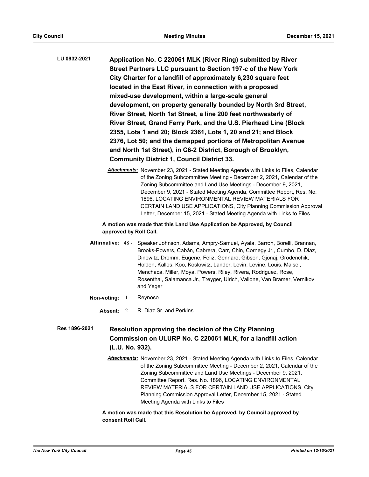- **Application No. C 220061 MLK (River Ring) submitted by River Street Partners LLC pursuant to Section 197-c of the New York City Charter for a landfill of approximately 6,230 square feet located in the East River, in connection with a proposed mixed-use development, within a large-scale general development, on property generally bounded by North 3rd Street, River Street, North 1st Street, a line 200 feet northwesterly of River Street, Grand Ferry Park, and the U.S. Pierhead Line (Block 2355, Lots 1 and 20; Block 2361, Lots 1, 20 and 21; and Block 2376, Lot 50; and the demapped portions of Metropolitan Avenue and North 1st Street), in C6-2 District, Borough of Brooklyn, Community District 1, Council District 33. LU 0932-2021**
	- *Attachments:* November 23, 2021 Stated Meeting Agenda with Links to Files, Calendar of the Zoning Subcommittee Meeting - December 2, 2021, Calendar of the Zoning Subcommittee and Land Use Meetings - December 9, 2021, December 9, 2021 - Stated Meeting Agenda, Committee Report, Res. No. 1896, LOCATING ENVIRONMENTAL REVIEW MATERIALS FOR CERTAIN LAND USE APPLICATIONS, City Planning Commission Approval Letter, December 15, 2021 - Stated Meeting Agenda with Links to Files

# **A motion was made that this Land Use Application be Approved, by Council approved by Roll Call.**

- Affirmative: 48 Speaker Johnson, Adams, Ampry-Samuel, Ayala, Barron, Borelli, Brannan, Brooks-Powers, Cabán, Cabrera, Carr, Chin, Cornegy Jr., Cumbo, D. Diaz, Dinowitz, Dromm, Eugene, Feliz, Gennaro, Gibson, Gjonaj, Grodenchik, Holden, Kallos, Koo, Koslowitz, Lander, Levin, Levine, Louis, Maisel, Menchaca, Miller, Moya, Powers, Riley, Rivera, Rodriguez, Rose, Rosenthal, Salamanca Jr., Treyger, Ulrich, Vallone, Van Bramer, Vernikov and Yeger
- **Non-voting:** 1 Reynoso
	- **Absent:** 2 R. Diaz Sr. and Perkins

### **Resolution approving the decision of the City Planning Commission on ULURP No. C 220061 MLK, for a landfill action (L.U. No. 932). Res 1896-2021**

*Attachments:* November 23, 2021 - Stated Meeting Agenda with Links to Files, Calendar of the Zoning Subcommittee Meeting - December 2, 2021, Calendar of the Zoning Subcommittee and Land Use Meetings - December 9, 2021, Committee Report, Res. No. 1896, LOCATING ENVIRONMENTAL REVIEW MATERIALS FOR CERTAIN LAND USE APPLICATIONS, City Planning Commission Approval Letter, December 15, 2021 - Stated Meeting Agenda with Links to Files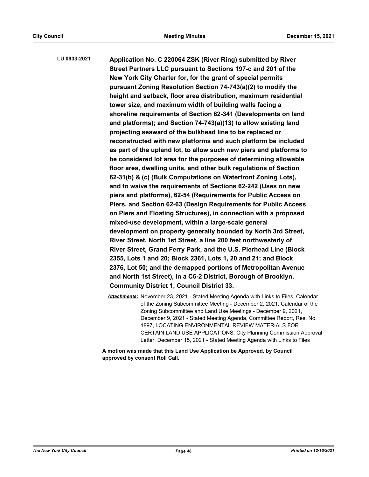**Application No. C 220064 ZSK (River Ring) submitted by River Street Partners LLC pursuant to Sections 197-c and 201 of the New York City Charter for, for the grant of special permits pursuant Zoning Resolution Section 74-743(a)(2) to modify the height and setback, floor area distribution, maximum residential tower size, and maximum width of building walls facing a shoreline requirements of Section 62-341 (Developments on land and platforms); and Section 74-743(a)(13) to allow existing land projecting seaward of the bulkhead line to be replaced or reconstructed with new platforms and such platform be included as part of the upland lot, to allow such new piers and platforms to be considered lot area for the purposes of determining allowable floor area, dwelling units, and other bulk regulations of Section 62-31(b) & (c) (Bulk Computations on Waterfront Zoning Lots), and to waive the requirements of Sections 62-242 (Uses on new piers and platforms), 62-54 (Requirements for Public Access on Piers, and Section 62-63 (Design Requirements for Public Access on Piers and Floating Structures), in connection with a proposed mixed-use development, within a large-scale general development on property generally bounded by North 3rd Street, River Street, North 1st Street, a line 200 feet northwesterly of River Street, Grand Ferry Park, and the U.S. Pierhead Line (Block 2355, Lots 1 and 20; Block 2361, Lots 1, 20 and 21; and Block 2376, Lot 50; and the demapped portions of Metropolitan Avenue and North 1st Street), in a C6-2 District, Borough of Brooklyn, Community District 1, Council District 33. LU 0933-2021**

*Attachments:* November 23, 2021 - Stated Meeting Agenda with Links to Files, Calendar of the Zoning Subcommittee Meeting - December 2, 2021, Calendar of the Zoning Subcommittee and Land Use Meetings - December 9, 2021, December 9, 2021 - Stated Meeting Agenda, Committee Report, Res. No. 1897, LOCATING ENVIRONMENTAL REVIEW MATERIALS FOR CERTAIN LAND USE APPLICATIONS, City Planning Commission Approval Letter, December 15, 2021 - Stated Meeting Agenda with Links to Files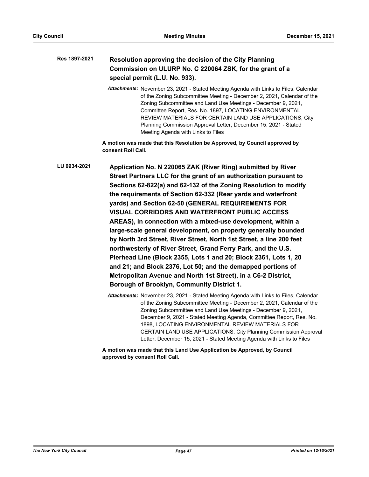| Res 1897-2021 | Resolution approving the decision of the City Planning<br>Commission on ULURP No. C 220064 ZSK, for the grant of a<br>special permit (L.U. No. 933).                                                                                                                                                                                                                                                                                                                                                                                                                                                                                                                                                                                                                                                                                                                                                         |
|---------------|--------------------------------------------------------------------------------------------------------------------------------------------------------------------------------------------------------------------------------------------------------------------------------------------------------------------------------------------------------------------------------------------------------------------------------------------------------------------------------------------------------------------------------------------------------------------------------------------------------------------------------------------------------------------------------------------------------------------------------------------------------------------------------------------------------------------------------------------------------------------------------------------------------------|
|               | Attachments: November 23, 2021 - Stated Meeting Agenda with Links to Files, Calendar<br>of the Zoning Subcommittee Meeting - December 2, 2021, Calendar of the<br>Zoning Subcommittee and Land Use Meetings - December 9, 2021,<br>Committee Report, Res. No. 1897, LOCATING ENVIRONMENTAL<br>REVIEW MATERIALS FOR CERTAIN LAND USE APPLICATIONS, City<br>Planning Commission Approval Letter, December 15, 2021 - Stated<br>Meeting Agenda with Links to Files                                                                                                                                                                                                                                                                                                                                                                                                                                              |
|               | A motion was made that this Resolution be Approved, by Council approved by<br>consent Roll Call.                                                                                                                                                                                                                                                                                                                                                                                                                                                                                                                                                                                                                                                                                                                                                                                                             |
| LU 0934-2021  | Application No. N 220065 ZAK (River Ring) submitted by River<br>Street Partners LLC for the grant of an authorization pursuant to<br>Sections 62-822(a) and 62-132 of the Zoning Resolution to modify<br>the requirements of Section 62-332 (Rear yards and waterfront<br>yards) and Section 62-50 (GENERAL REQUIREMENTS FOR<br>VISUAL CORRIDORS AND WATERFRONT PUBLIC ACCESS<br>AREAS), in connection with a mixed-use development, within a<br>large-scale general development, on property generally bounded<br>by North 3rd Street, River Street, North 1st Street, a line 200 feet<br>northwesterly of River Street, Grand Ferry Park, and the U.S.<br>Pierhead Line (Block 2355, Lots 1 and 20; Block 2361, Lots 1, 20<br>and 21; and Block 2376, Lot 50; and the demapped portions of<br>Metropolitan Avenue and North 1st Street), in a C6-2 District,<br>Borough of Brooklyn, Community District 1. |
|               | Attachments: November 23, 2021 - Stated Meeting Agenda with Links to Files, Calendar<br>of the Zoning Subcommittee Meeting - December 2, 2021, Calendar of the<br>Zoning Subcommittee and Land Use Meetings - December 9, 2021,                                                                                                                                                                                                                                                                                                                                                                                                                                                                                                                                                                                                                                                                              |

December 9, 2021 - Stated Meeting Agenda, Committee Report, Res. No. 1898, LOCATING ENVIRONMENTAL REVIEW MATERIALS FOR CERTAIN LAND USE APPLICATIONS, City Planning Commission Approval Letter, December 15, 2021 - Stated Meeting Agenda with Links to Files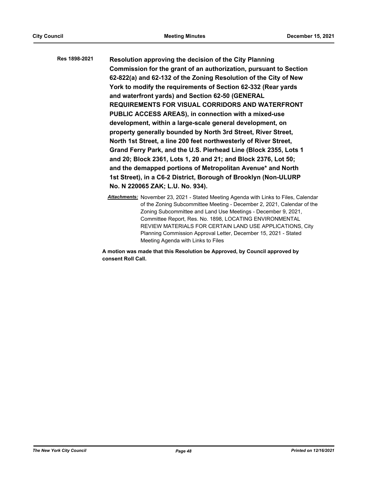**Resolution approving the decision of the City Planning Commission for the grant of an authorization, pursuant to Section 62-822(a) and 62-132 of the Zoning Resolution of the City of New York to modify the requirements of Section 62-332 (Rear yards and waterfront yards) and Section 62-50 (GENERAL REQUIREMENTS FOR VISUAL CORRIDORS AND WATERFRONT PUBLIC ACCESS AREAS), in connection with a mixed-use development, within a large-scale general development, on property generally bounded by North 3rd Street, River Street, North 1st Street, a line 200 feet northwesterly of River Street, Grand Ferry Park, and the U.S. Pierhead Line (Block 2355, Lots 1 and 20; Block 2361, Lots 1, 20 and 21; and Block 2376, Lot 50; and the demapped portions of Metropolitan Avenue\* and North 1st Street), in a C6-2 District, Borough of Brooklyn (Non-ULURP No. N 220065 ZAK; L.U. No. 934). Res 1898-2021**

> *Attachments:* November 23, 2021 - Stated Meeting Agenda with Links to Files, Calendar of the Zoning Subcommittee Meeting - December 2, 2021, Calendar of the Zoning Subcommittee and Land Use Meetings - December 9, 2021, Committee Report, Res. No. 1898, LOCATING ENVIRONMENTAL REVIEW MATERIALS FOR CERTAIN LAND USE APPLICATIONS, City Planning Commission Approval Letter, December 15, 2021 - Stated Meeting Agenda with Links to Files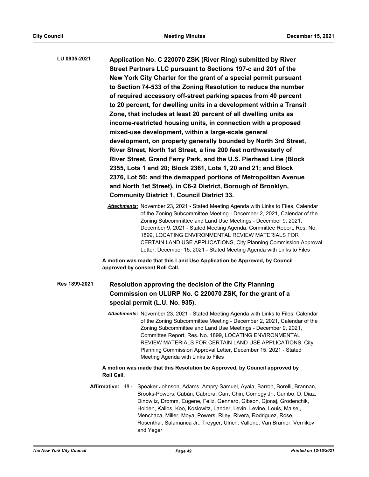| LU 0935-2021  | Application No. C 220070 ZSK (River Ring) submitted by River<br>Street Partners LLC pursuant to Sections 197-c and 201 of the<br>New York City Charter for the grant of a special permit pursuant<br>to Section 74-533 of the Zoning Resolution to reduce the number<br>of required accessory off-street parking spaces from 40 percent<br>to 20 percent, for dwelling units in a development within a Transit<br>Zone, that includes at least 20 percent of all dwelling units as<br>income-restricted housing units, in connection with a proposed<br>mixed-use development, within a large-scale general<br>development, on property generally bounded by North 3rd Street,<br>River Street, North 1st Street, a line 200 feet northwesterly of<br>River Street, Grand Ferry Park, and the U.S. Pierhead Line (Block<br>2355, Lots 1 and 20; Block 2361, Lots 1, 20 and 21; and Block<br>2376, Lot 50; and the demapped portions of Metropolitan Avenue<br>and North 1st Street), in C6-2 District, Borough of Brooklyn,<br><b>Community District 1, Council District 33.</b> |
|---------------|----------------------------------------------------------------------------------------------------------------------------------------------------------------------------------------------------------------------------------------------------------------------------------------------------------------------------------------------------------------------------------------------------------------------------------------------------------------------------------------------------------------------------------------------------------------------------------------------------------------------------------------------------------------------------------------------------------------------------------------------------------------------------------------------------------------------------------------------------------------------------------------------------------------------------------------------------------------------------------------------------------------------------------------------------------------------------------|
|               | Attachments: November 23, 2021 - Stated Meeting Agenda with Links to Files, Calendar<br>of the Zoning Subcommittee Meeting - December 2, 2021, Calendar of the<br>Zoning Subcommittee and Land Use Meetings - December 9, 2021,<br>December 9, 2021 - Stated Meeting Agenda, Committee Report, Res. No.<br>1899, LOCATING ENVIRONMENTAL REVIEW MATERIALS FOR<br>CERTAIN LAND USE APPLICATIONS, City Planning Commission Approval<br>Letter, December 15, 2021 - Stated Meeting Agenda with Links to Files                                                                                                                                                                                                                                                                                                                                                                                                                                                                                                                                                                        |
|               | A motion was made that this Land Use Application be Approved, by Council<br>approved by consent Roll Call.                                                                                                                                                                                                                                                                                                                                                                                                                                                                                                                                                                                                                                                                                                                                                                                                                                                                                                                                                                       |
| Res 1899-2021 | Resolution approving the decision of the City Planning<br>Commission on ULURP No. C 220070 ZSK, for the grant of a<br>special permit (L.U. No. 935).                                                                                                                                                                                                                                                                                                                                                                                                                                                                                                                                                                                                                                                                                                                                                                                                                                                                                                                             |
|               | Attachments: November 23, 2021 - Stated Meeting Agenda with Links to Files, Calendar<br>of the Zoning Subcommittee Meeting - December 2, 2021, Calendar of the<br>Zoning Subcommittee and Land Use Meetings - December 9, 2021,<br>Committee Report, Res. No. 1899, LOCATING ENVIRONMENTAL<br>REVIEW MATERIALS FOR CERTAIN LAND USE APPLICATIONS, City<br>Planning Commission Approval Letter, December 15, 2021 - Stated<br>Meeting Agenda with Links to Files<br>A motion was made that this Resolution be Approved, by Council approved by                                                                                                                                                                                                                                                                                                                                                                                                                                                                                                                                    |
|               | Roll Call.                                                                                                                                                                                                                                                                                                                                                                                                                                                                                                                                                                                                                                                                                                                                                                                                                                                                                                                                                                                                                                                                       |

Affirmative: 48 - Speaker Johnson, Adams, Ampry-Samuel, Ayala, Barron, Borelli, Brannan, Brooks-Powers, Cabán, Cabrera, Carr, Chin, Cornegy Jr., Cumbo, D. Diaz, Dinowitz, Dromm, Eugene, Feliz, Gennaro, Gibson, Gjonaj, Grodenchik, Holden, Kallos, Koo, Koslowitz, Lander, Levin, Levine, Louis, Maisel, Menchaca, Miller, Moya, Powers, Riley, Rivera, Rodriguez, Rose, Rosenthal, Salamanca Jr., Treyger, Ulrich, Vallone, Van Bramer, Vernikov and Yeger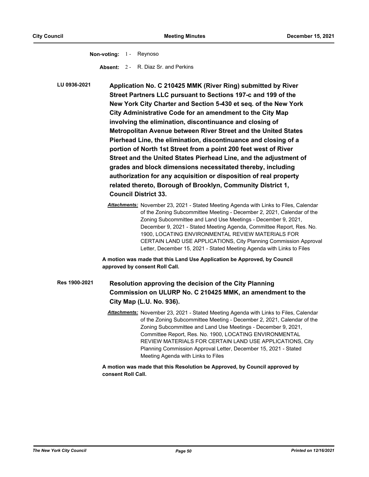**Non-voting:** 1 - Reynoso **Absent:** 2 - R. Diaz Sr. and Perkins

**Application No. C 210425 MMK (River Ring) submitted by River Street Partners LLC pursuant to Sections 197-c and 199 of the New York City Charter and Section 5-430 et seq. of the New York City Administrative Code for an amendment to the City Map involving the elimination, discontinuance and closing of Metropolitan Avenue between River Street and the United States Pierhead Line, the elimination, discontinuance and closing of a portion of North 1st Street from a point 200 feet west of River Street and the United States Pierhead Line, and the adjustment of grades and block dimensions necessitated thereby, including authorization for any acquisition or disposition of real property related thereto, Borough of Brooklyn, Community District 1, Council District 33. LU 0936-2021**

> *Attachments:* November 23, 2021 - Stated Meeting Agenda with Links to Files, Calendar of the Zoning Subcommittee Meeting - December 2, 2021, Calendar of the Zoning Subcommittee and Land Use Meetings - December 9, 2021, December 9, 2021 - Stated Meeting Agenda, Committee Report, Res. No. 1900, LOCATING ENVIRONMENTAL REVIEW MATERIALS FOR CERTAIN LAND USE APPLICATIONS, City Planning Commission Approval Letter, December 15, 2021 - Stated Meeting Agenda with Links to Files

**A motion was made that this Land Use Application be Approved, by Council approved by consent Roll Call.**

**Resolution approving the decision of the City Planning Commission on ULURP No. C 210425 MMK, an amendment to the City Map (L.U. No. 936). Res 1900-2021**

> *Attachments:* November 23, 2021 - Stated Meeting Agenda with Links to Files, Calendar of the Zoning Subcommittee Meeting - December 2, 2021, Calendar of the Zoning Subcommittee and Land Use Meetings - December 9, 2021, Committee Report, Res. No. 1900, LOCATING ENVIRONMENTAL REVIEW MATERIALS FOR CERTAIN LAND USE APPLICATIONS, City Planning Commission Approval Letter, December 15, 2021 - Stated Meeting Agenda with Links to Files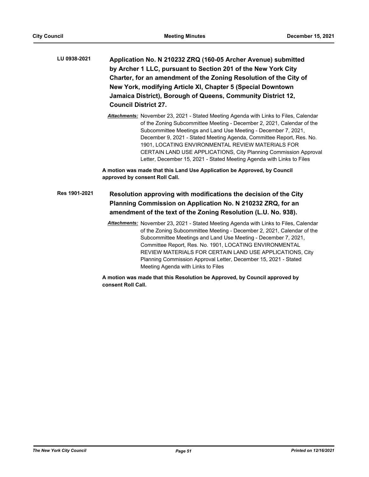| LU 0938-2021 | Application No. N 210232 ZRQ (160-05 Archer Avenue) submitted     |
|--------------|-------------------------------------------------------------------|
|              | by Archer 1 LLC, pursuant to Section 201 of the New York City     |
|              | Charter, for an amendment of the Zoning Resolution of the City of |
|              | New York, modifying Article XI, Chapter 5 (Special Downtown       |
|              | Jamaica District), Borough of Queens, Community District 12,      |
|              | <b>Council District 27.</b>                                       |

*Attachments:* November 23, 2021 - Stated Meeting Agenda with Links to Files, Calendar of the Zoning Subcommittee Meeting - December 2, 2021, Calendar of the Subcommittee Meetings and Land Use Meeting - December 7, 2021, December 9, 2021 - Stated Meeting Agenda, Committee Report, Res. No. 1901, LOCATING ENVIRONMENTAL REVIEW MATERIALS FOR CERTAIN LAND USE APPLICATIONS, City Planning Commission Approval Letter, December 15, 2021 - Stated Meeting Agenda with Links to Files

**A motion was made that this Land Use Application be Approved, by Council approved by consent Roll Call.**

# **Resolution approving with modifications the decision of the City Planning Commission on Application No. N 210232 ZRQ, for an amendment of the text of the Zoning Resolution (L.U. No. 938). Res 1901-2021**

*Attachments:* November 23, 2021 - Stated Meeting Agenda with Links to Files, Calendar of the Zoning Subcommittee Meeting - December 2, 2021, Calendar of the Subcommittee Meetings and Land Use Meeting - December 7, 2021, Committee Report, Res. No. 1901, LOCATING ENVIRONMENTAL REVIEW MATERIALS FOR CERTAIN LAND USE APPLICATIONS, City Planning Commission Approval Letter, December 15, 2021 - Stated Meeting Agenda with Links to Files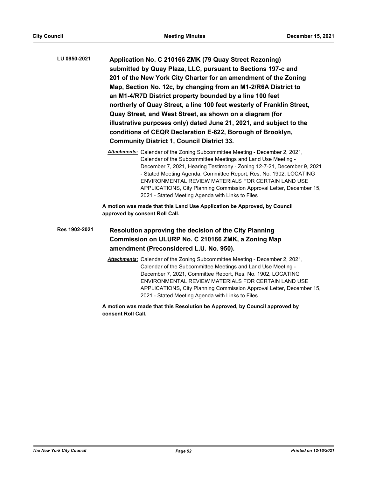| LU 0950-2021 | Application No. C 210166 ZMK (79 Quay Street Rezoning)                 |
|--------------|------------------------------------------------------------------------|
|              | submitted by Quay Plaza, LLC, pursuant to Sections 197-c and           |
|              | 201 of the New York City Charter for an amendment of the Zoning        |
|              | Map, Section No. 12c, by changing from an M1-2/R6A District to         |
|              | an M1-4/R7D District property bounded by a line 100 feet               |
|              | northerly of Quay Street, a line 100 feet westerly of Franklin Street, |
|              | Quay Street, and West Street, as shown on a diagram (for               |
|              | illustrative purposes only) dated June 21, 2021, and subject to the    |
|              | conditions of CEQR Declaration E-622, Borough of Brooklyn,             |
|              | <b>Community District 1, Council District 33.</b>                      |

*Attachments:* Calendar of the Zoning Subcommittee Meeting - December 2, 2021, Calendar of the Subcommittee Meetings and Land Use Meeting - December 7, 2021, Hearing Testimony - Zoning 12-7-21, December 9, 2021 - Stated Meeting Agenda, Committee Report, Res. No. 1902, LOCATING ENVIRONMENTAL REVIEW MATERIALS FOR CERTAIN LAND USE APPLICATIONS, City Planning Commission Approval Letter, December 15, 2021 - Stated Meeting Agenda with Links to Files

**A motion was made that this Land Use Application be Approved, by Council approved by consent Roll Call.**

## **Resolution approving the decision of the City Planning Commission on ULURP No. C 210166 ZMK, a Zoning Map amendment (Preconsidered L.U. No. 950). Res 1902-2021**

*Attachments:* Calendar of the Zoning Subcommittee Meeting - December 2, 2021, Calendar of the Subcommittee Meetings and Land Use Meeting - December 7, 2021, Committee Report, Res. No. 1902, LOCATING ENVIRONMENTAL REVIEW MATERIALS FOR CERTAIN LAND USE APPLICATIONS, City Planning Commission Approval Letter, December 15, 2021 - Stated Meeting Agenda with Links to Files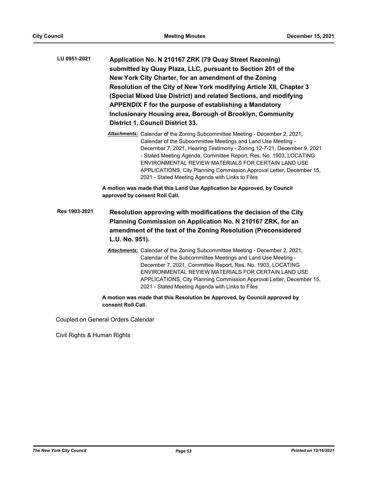| LU 0951-2021 | Application No. N 210167 ZRK (79 Quay Street Rezoning)              |
|--------------|---------------------------------------------------------------------|
|              | submitted by Quay Plaza, LLC, pursuant to Section 201 of the        |
|              | New York City Charter, for an amendment of the Zoning               |
|              | Resolution of the City of New York modifying Article XII, Chapter 3 |
|              | (Special Mixed Use District) and related Sections, and modifying    |
|              | APPENDIX F for the purpose of establishing a Mandatory              |
|              | Inclusionary Housing area, Borough of Brooklyn, Community           |
|              | <b>District 1, Council District 33.</b>                             |
|              |                                                                     |

*Attachments:* Calendar of the Zoning Subcommittee Meeting - December 2, 2021, Calendar of the Subcommittee Meetings and Land Use Meeting - December 7, 2021, Hearing Testimony - Zoning 12-7-21, December 9, 2021 - Stated Meeting Agenda, Committee Report, Res. No. 1903, LOCATING ENVIRONMENTAL REVIEW MATERIALS FOR CERTAIN LAND USE APPLICATIONS, City Planning Commission Approval Letter, December 15, 2021 - Stated Meeting Agenda with Links to Files

**A motion was made that this Land Use Application be Approved, by Council approved by consent Roll Call.**

- **Resolution approving with modifications the decision of the City Planning Commission on Application No. N 210167 ZRK, for an amendment of the text of the Zoning Resolution (Preconsidered L.U. No. 951). Res 1903-2021**
	- *Attachments:* Calendar of the Zoning Subcommittee Meeting December 2, 2021, Calendar of the Subcommittee Meetings and Land Use Meeting - December 7, 2021, Committee Report, Res. No. 1903, LOCATING ENVIRONMENTAL REVIEW MATERIALS FOR CERTAIN LAND USE APPLICATIONS, City Planning Commission Approval Letter, December 15, 2021 - Stated Meeting Agenda with Links to Files

**A motion was made that this Resolution be Approved, by Council approved by consent Roll Call.**

Coupled on General Orders Calendar

Civil Rights & Human Rights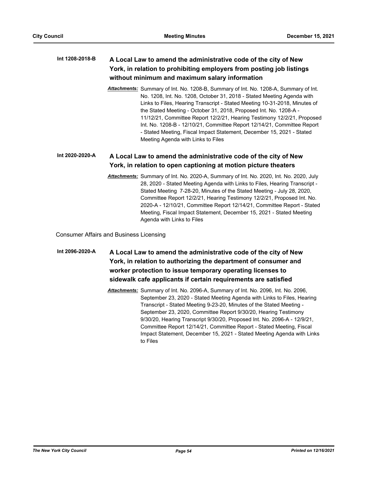## **A Local Law to amend the administrative code of the city of New York, in relation to prohibiting employers from posting job listings without minimum and maximum salary information Int 1208-2018-B**

*Attachments:* Summary of Int. No. 1208-B, Summary of Int. No. 1208-A, Summary of Int. No. 1208, Int. No. 1208, October 31, 2018 - Stated Meeting Agenda with Links to Files, Hearing Transcript - Stated Meeting 10-31-2018, Minutes of the Stated Meeting - October 31, 2018, Proposed Int. No. 1208-A - 11/12/21, Committee Report 12/2/21, Hearing Testimony 12/2/21, Proposed Int. No. 1208-B - 12/10/21, Committee Report 12/14/21, Committee Report - Stated Meeting, Fiscal Impact Statement, December 15, 2021 - Stated Meeting Agenda with Links to Files

#### **A Local Law to amend the administrative code of the city of New York, in relation to open captioning at motion picture theaters Int 2020-2020-A**

*Attachments:* Summary of Int. No. 2020-A, Summary of Int. No. 2020, Int. No. 2020, July 28, 2020 - Stated Meeting Agenda with Links to Files, Hearing Transcript - Stated Meeting 7-28-20, Minutes of the Stated Meeting - July 28, 2020, Committee Report 12/2/21, Hearing Testimony 12/2/21, Proposed Int. No. 2020-A - 12/10/21, Committee Report 12/14/21, Committee Report - Stated Meeting, Fiscal Impact Statement, December 15, 2021 - Stated Meeting Agenda with Links to Files

Consumer Affairs and Business Licensing

# **A Local Law to amend the administrative code of the city of New York, in relation to authorizing the department of consumer and worker protection to issue temporary operating licenses to sidewalk cafe applicants if certain requirements are satisfied Int 2096-2020-A**

*Attachments:* Summary of Int. No. 2096-A, Summary of Int. No. 2096, Int. No. 2096, September 23, 2020 - Stated Meeting Agenda with Links to Files, Hearing Transcript - Stated Meeting 9-23-20, Minutes of the Stated Meeting - September 23, 2020, Committee Report 9/30/20, Hearing Testimony 9/30/20, Hearing Transcript 9/30/20, Proposed Int. No. 2096-A - 12/9/21, Committee Report 12/14/21, Committee Report - Stated Meeting, Fiscal Impact Statement, December 15, 2021 - Stated Meeting Agenda with Links to Files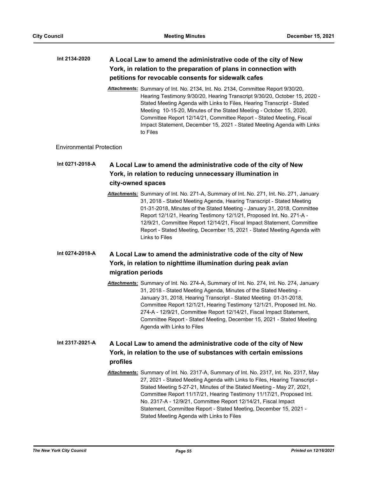### **A Local Law to amend the administrative code of the city of New York, in relation to the preparation of plans in connection with petitions for revocable consents for sidewalk cafes Int 2134-2020**

*Attachments:* Summary of Int. No. 2134, Int. No. 2134, Committee Report 9/30/20, Hearing Testimony 9/30/20, Hearing Transcript 9/30/20, October 15, 2020 - Stated Meeting Agenda with Links to Files, Hearing Transcript - Stated Meeting 10-15-20, Minutes of the Stated Meeting - October 15, 2020, Committee Report 12/14/21, Committee Report - Stated Meeting, Fiscal Impact Statement, December 15, 2021 - Stated Meeting Agenda with Links to Files

# Environmental Protection

# **A Local Law to amend the administrative code of the city of New York, in relation to reducing unnecessary illumination in city-owned spaces Int 0271-2018-A**

*Attachments:* Summary of Int. No. 271-A, Summary of Int. No. 271, Int. No. 271, January 31, 2018 - Stated Meeting Agenda, Hearing Transcript - Stated Meeting 01-31-2018, Minutes of the Stated Meeting - January 31, 2018, Committee Report 12/1/21, Hearing Testimony 12/1/21, Proposed Int. No. 271-A - 12/9/21, Committee Report 12/14/21, Fiscal Impact Statement, Committee Report - Stated Meeting, December 15, 2021 - Stated Meeting Agenda with Links to Files

### **A Local Law to amend the administrative code of the city of New York, in relation to nighttime illumination during peak avian migration periods Int 0274-2018-A**

*Attachments:* Summary of Int. No. 274-A, Summary of Int. No. 274, Int. No. 274, January 31, 2018 - Stated Meeting Agenda, Minutes of the Stated Meeting - January 31, 2018, Hearing Transcript - Stated Meeting 01-31-2018, Committee Report 12/1/21, Hearing Testimony 12/1/21, Proposed Int. No. 274-A - 12/9/21, Committee Report 12/14/21, Fiscal Impact Statement, Committee Report - Stated Meeting, December 15, 2021 - Stated Meeting Agenda with Links to Files

### **A Local Law to amend the administrative code of the city of New York, in relation to the use of substances with certain emissions profiles Int 2317-2021-A**

*Attachments:* Summary of Int. No. 2317-A, Summary of Int. No. 2317, Int. No. 2317, May 27, 2021 - Stated Meeting Agenda with Links to Files, Hearing Transcript - Stated Meeting 5-27-21, Minutes of the Stated Meeting - May 27, 2021, Committee Report 11/17/21, Hearing Testimony 11/17/21, Proposed Int. No. 2317-A - 12/9/21, Committee Report 12/14/21, Fiscal Impact Statement, Committee Report - Stated Meeting, December 15, 2021 - Stated Meeting Agenda with Links to Files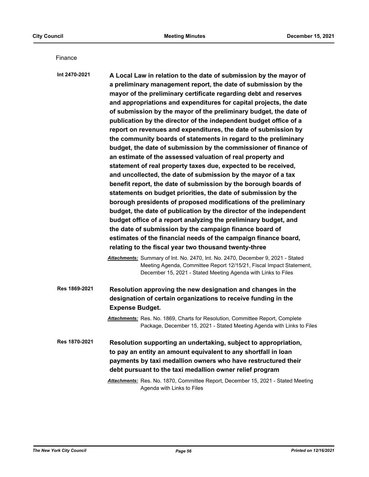Finance

**A Local Law in relation to the date of submission by the mayor of a preliminary management report, the date of submission by the mayor of the preliminary certificate regarding debt and reserves and appropriations and expenditures for capital projects, the date of submission by the mayor of the preliminary budget, the date of publication by the director of the independent budget office of a report on revenues and expenditures, the date of submission by the community boards of statements in regard to the preliminary budget, the date of submission by the commissioner of finance of an estimate of the assessed valuation of real property and statement of real property taxes due, expected to be received, and uncollected, the date of submission by the mayor of a tax benefit report, the date of submission by the borough boards of statements on budget priorities, the date of submission by the borough presidents of proposed modifications of the preliminary budget, the date of publication by the director of the independent budget office of a report analyzing the preliminary budget, and the date of submission by the campaign finance board of estimates of the financial needs of the campaign finance board, relating to the fiscal year two thousand twenty-three Int 2470-2021** *Attachments:* Summary of Int. No. 2470, Int. No. 2470, December 9, 2021 - Stated Meeting Agenda, Committee Report 12/15/21, Fiscal Impact Statement, December 15, 2021 - Stated Meeting Agenda with Links to Files **Resolution approving the new designation and changes in the designation of certain organizations to receive funding in the Expense Budget. Res 1869-2021** *Attachments:* Res. No. 1869, Charts for Resolution, Committee Report, Complete Package, December 15, 2021 - Stated Meeting Agenda with Links to Files **Resolution supporting an undertaking, subject to appropriation, to pay an entity an amount equivalent to any shortfall in loan Res 1870-2021**

**payments by taxi medallion owners who have restructured their debt pursuant to the taxi medallion owner relief program**

*Attachments:* Res. No. 1870, Committee Report, December 15, 2021 - Stated Meeting Agenda with Links to Files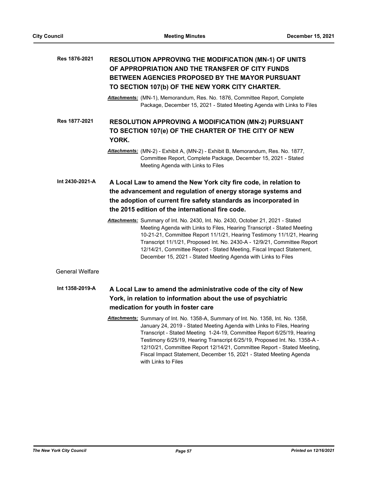| Res 1876-2021 | <b>RESOLUTION APPROVING THE MODIFICATION (MN-1) OF UNITS</b> |
|---------------|--------------------------------------------------------------|
|               | OF APPROPRIATION AND THE TRANSFER OF CITY FUNDS              |
|               | <b>BETWEEN AGENCIES PROPOSED BY THE MAYOR PURSUANT</b>       |
|               | TO SECTION 107(b) OF THE NEW YORK CITY CHARTER.              |

*Attachments:* (MN-1), Memorandum, Res. No. 1876, Committee Report, Complete Package, December 15, 2021 - Stated Meeting Agenda with Links to Files

**RESOLUTION APPROVING A MODIFICATION (MN-2) PURSUANT TO SECTION 107(e) OF THE CHARTER OF THE CITY OF NEW YORK. Res 1877-2021**

**A Local Law to amend the New York city fire code, in relation to the advancement and regulation of energy storage systems and the adoption of current fire safety standards as incorporated in the 2015 edition of the international fire code. Int 2430-2021-A**

> *Attachments:* Summary of Int. No. 2430, Int. No. 2430, October 21, 2021 - Stated Meeting Agenda with Links to Files, Hearing Transcript - Stated Meeting 10-21-21, Committee Report 11/1/21, Hearing Testimony 11/1/21, Hearing Transcript 11/1/21, Proposed Int. No. 2430-A - 12/9/21, Committee Report 12/14/21, Committee Report - Stated Meeting, Fiscal Impact Statement, December 15, 2021 - Stated Meeting Agenda with Links to Files

General Welfare

- **A Local Law to amend the administrative code of the city of New York, in relation to information about the use of psychiatric medication for youth in foster care Int 1358-2019-A**
	- *Attachments:* Summary of Int. No. 1358-A, Summary of Int. No. 1358, Int. No. 1358, January 24, 2019 - Stated Meeting Agenda with Links to Files, Hearing Transcript - Stated Meeting 1-24-19, Committee Report 6/25/19, Hearing Testimony 6/25/19, Hearing Transcript 6/25/19, Proposed Int. No. 1358-A - 12/10/21, Committee Report 12/14/21, Committee Report - Stated Meeting, Fiscal Impact Statement, December 15, 2021 - Stated Meeting Agenda with Links to Files

*Attachments:* (MN-2) - Exhibit A, (MN-2) - Exhibit B, Memorandum, Res. No. 1877, Committee Report, Complete Package, December 15, 2021 - Stated Meeting Agenda with Links to Files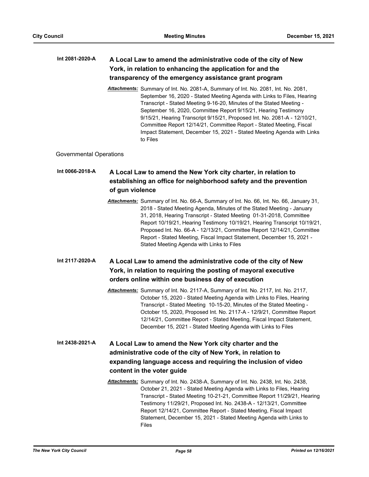### **A Local Law to amend the administrative code of the city of New York, in relation to enhancing the application for and the transparency of the emergency assistance grant program Int 2081-2020-A**

*Attachments:* Summary of Int. No. 2081-A, Summary of Int. No. 2081, Int. No. 2081, September 16, 2020 - Stated Meeting Agenda with Links to Files, Hearing Transcript - Stated Meeting 9-16-20, Minutes of the Stated Meeting - September 16, 2020, Committee Report 9/15/21, Hearing Testimony 9/15/21, Hearing Transcript 9/15/21, Proposed Int. No. 2081-A - 12/10/21, Committee Report 12/14/21, Committee Report - Stated Meeting, Fiscal Impact Statement, December 15, 2021 - Stated Meeting Agenda with Links to Files

# Governmental Operations

# **A Local Law to amend the New York city charter, in relation to establishing an office for neighborhood safety and the prevention of gun violence Int 0066-2018-A**

*Attachments:* Summary of Int. No. 66-A, Summary of Int. No. 66, Int. No. 66, January 31, 2018 - Stated Meeting Agenda, Minutes of the Stated Meeting - January 31, 2018, Hearing Transcript - Stated Meeting 01-31-2018, Committee Report 10/19/21, Hearing Testimony 10/19/21, Hearing Transcript 10/19/21, Proposed Int. No. 66-A - 12/13/21, Committee Report 12/14/21, Committee Report - Stated Meeting, Fiscal Impact Statement, December 15, 2021 - Stated Meeting Agenda with Links to Files

#### **A Local Law to amend the administrative code of the city of New York, in relation to requiring the posting of mayoral executive orders online within one business day of execution Int 2117-2020-A**

*Attachments:* Summary of Int. No. 2117-A, Summary of Int. No. 2117, Int. No. 2117, October 15, 2020 - Stated Meeting Agenda with Links to Files, Hearing Transcript - Stated Meeting 10-15-20, Minutes of the Stated Meeting - October 15, 2020, Proposed Int. No. 2117-A - 12/9/21, Committee Report 12/14/21, Committee Report - Stated Meeting, Fiscal Impact Statement, December 15, 2021 - Stated Meeting Agenda with Links to Files

# **A Local Law to amend the New York city charter and the administrative code of the city of New York, in relation to expanding language access and requiring the inclusion of video content in the voter guide Int 2438-2021-A**

*Attachments:* Summary of Int. No. 2438-A, Summary of Int. No. 2438, Int. No. 2438, October 21, 2021 - Stated Meeting Agenda with Links to Files, Hearing Transcript - Stated Meeting 10-21-21, Committee Report 11/29/21, Hearing Testimony 11/29/21, Proposed Int. No. 2438-A - 12/13/21, Committee Report 12/14/21, Committee Report - Stated Meeting, Fiscal Impact Statement, December 15, 2021 - Stated Meeting Agenda with Links to Files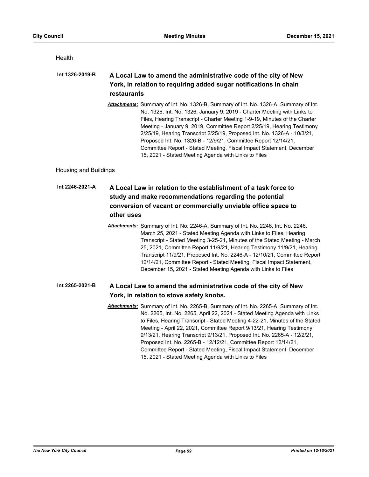**Health** 

#### **A Local Law to amend the administrative code of the city of New York, in relation to requiring added sugar notifications in chain restaurants Int 1326-2019-B**

*Attachments:* Summary of Int. No. 1326-B, Summary of Int. No. 1326-A, Summary of Int. No. 1326, Int. No. 1326, January 9, 2019 - Charter Meeting with Links to Files, Hearing Transcript - Charter Meeting 1-9-19, Minutes of the Charter Meeting - January 9, 2019, Committee Report 2/25/19, Hearing Testimony 2/25/19, Hearing Transcript 2/25/19, Proposed Int. No. 1326-A - 10/3/21, Proposed Int. No. 1326-B - 12/9/21, Committee Report 12/14/21, Committee Report - Stated Meeting, Fiscal Impact Statement, December 15, 2021 - Stated Meeting Agenda with Links to Files

Housing and Buildings

# **A Local Law in relation to the establishment of a task force to study and make recommendations regarding the potential conversion of vacant or commercially unviable office space to other uses Int 2246-2021-A**

*Attachments:* Summary of Int. No. 2246-A, Summary of Int. No. 2246, Int. No. 2246, March 25, 2021 - Stated Meeting Agenda with Links to Files, Hearing Transcript - Stated Meeting 3-25-21, Minutes of the Stated Meeting - March 25, 2021, Committee Report 11/9/21, Hearing Testimony 11/9/21, Hearing Transcript 11/9/21, Proposed Int. No. 2246-A - 12/10/21, Committee Report 12/14/21, Committee Report - Stated Meeting, Fiscal Impact Statement, December 15, 2021 - Stated Meeting Agenda with Links to Files

#### **A Local Law to amend the administrative code of the city of New York, in relation to stove safety knobs. Int 2265-2021-B**

*Attachments:* Summary of Int. No. 2265-B, Summary of Int. No. 2265-A, Summary of Int. No. 2265, Int. No. 2265, April 22, 2021 - Stated Meeting Agenda with Links to Files, Hearing Transcript - Stated Meeting 4-22-21, Minutes of the Stated Meeting - April 22, 2021, Committee Report 9/13/21, Hearing Testimony 9/13/21, Hearing Transcript 9/13/21, Proposed Int. No. 2265-A - 12/2/21, Proposed Int. No. 2265-B - 12/12/21, Committee Report 12/14/21, Committee Report - Stated Meeting, Fiscal Impact Statement, December 15, 2021 - Stated Meeting Agenda with Links to Files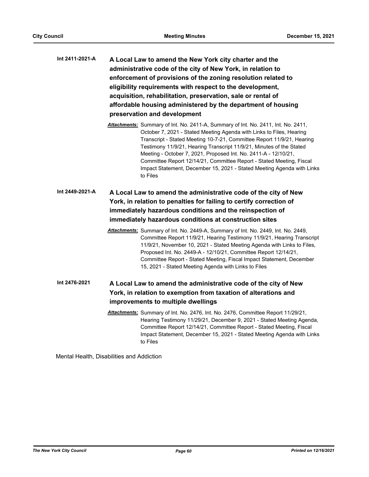| Int 2411-2021-A | A Local Law to amend the New York city charter and the        |
|-----------------|---------------------------------------------------------------|
|                 | administrative code of the city of New York, in relation to   |
|                 | enforcement of provisions of the zoning resolution related to |
|                 | eligibility requirements with respect to the development,     |
|                 | acquisition, rehabilitation, preservation, sale or rental of  |
|                 | affordable housing administered by the department of housing  |
|                 | preservation and development                                  |
|                 |                                                               |

*Attachments:* Summary of Int. No. 2411-A, Summary of Int. No. 2411, Int. No. 2411, October 7, 2021 - Stated Meeting Agenda with Links to Files, Hearing Transcript - Stated Meeting 10-7-21, Committee Report 11/9/21, Hearing Testimony 11/9/21, Hearing Transcript 11/9/21, Minutes of the Stated Meeting - October 7, 2021, Proposed Int. No. 2411-A - 12/10/21, Committee Report 12/14/21, Committee Report - Stated Meeting, Fiscal Impact Statement, December 15, 2021 - Stated Meeting Agenda with Links to Files

# **A Local Law to amend the administrative code of the city of New York, in relation to penalties for failing to certify correction of immediately hazardous conditions and the reinspection of immediately hazardous conditions at construction sites Int 2449-2021-A**

*Attachments:* Summary of Int. No. 2449-A, Summary of Int. No. 2449, Int. No. 2449, Committee Report 11/9/21, Hearing Testimony 11/9/21, Hearing Transcript 11/9/21, November 10, 2021 - Stated Meeting Agenda with Links to Files, Proposed Int. No. 2449-A - 12/10/21, Committee Report 12/14/21, Committee Report - Stated Meeting, Fiscal Impact Statement, December 15, 2021 - Stated Meeting Agenda with Links to Files

### **A Local Law to amend the administrative code of the city of New York, in relation to exemption from taxation of alterations and improvements to multiple dwellings Int 2476-2021**

*Attachments:* Summary of Int. No. 2476, Int. No. 2476, Committee Report 11/29/21, Hearing Testimony 11/29/21, December 9, 2021 - Stated Meeting Agenda, Committee Report 12/14/21, Committee Report - Stated Meeting, Fiscal Impact Statement, December 15, 2021 - Stated Meeting Agenda with Links to Files

Mental Health, Disabilities and Addiction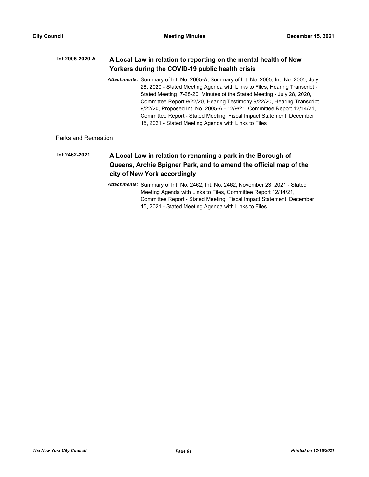#### **A Local Law in relation to reporting on the mental health of New Yorkers during the COVID-19 public health crisis Int 2005-2020-A**

*Attachments:* Summary of Int. No. 2005-A, Summary of Int. No. 2005, Int. No. 2005, July 28, 2020 - Stated Meeting Agenda with Links to Files, Hearing Transcript - Stated Meeting 7-28-20, Minutes of the Stated Meeting - July 28, 2020, Committee Report 9/22/20, Hearing Testimony 9/22/20, Hearing Transcript 9/22/20, Proposed Int. No. 2005-A - 12/9/21, Committee Report 12/14/21, Committee Report - Stated Meeting, Fiscal Impact Statement, December 15, 2021 - Stated Meeting Agenda with Links to Files

Parks and Recreation

# **A Local Law in relation to renaming a park in the Borough of Queens, Archie Spigner Park, and to amend the official map of the city of New York accordingly Int 2462-2021**

*Attachments:* Summary of Int. No. 2462, Int. No. 2462, November 23, 2021 - Stated Meeting Agenda with Links to Files, Committee Report 12/14/21, Committee Report - Stated Meeting, Fiscal Impact Statement, December 15, 2021 - Stated Meeting Agenda with Links to Files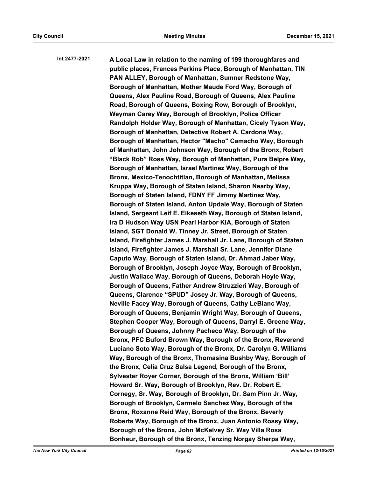**A Local Law in relation to the naming of 199 thoroughfares and public places, Frances Perkins Place, Borough of Manhattan, TIN PAN ALLEY, Borough of Manhattan, Sumner Redstone Way, Borough of Manhattan, Mother Maude Ford Way, Borough of Queens, Alex Pauline Road, Borough of Queens, Alex Pauline Road, Borough of Queens, Boxing Row, Borough of Brooklyn, Weyman Carey Way, Borough of Brooklyn, Police Officer Randolph Holder Way, Borough of Manhattan, Cicely Tyson Way, Borough of Manhattan, Detective Robert A. Cardona Way, Borough of Manhattan, Hector "Macho" Camacho Way, Borough of Manhattan, John Johnson Way, Borough of the Bronx, Robert "Black Rob" Ross Way, Borough of Manhattan, Pura Belpre Way, Borough of Manhattan, Israel Martinez Way, Borough of the Bronx, Mexico-Tenochtitlan, Borough of Manhattan, Melissa Kruppa Way, Borough of Staten Island, Sharon Nearby Way, Borough of Staten Island, FDNY FF Jimmy Martinez Way, Borough of Staten Island, Anton Updale Way, Borough of Staten Island, Sergeant Leif E. Eikeseth Way, Borough of Staten Island, Ira D Hudson Way USN Pearl Harbor KIA, Borough of Staten Island, SGT Donald W. Tinney Jr. Street, Borough of Staten Island, Firefighter James J. Marshall Jr. Lane, Borough of Staten Island, Firefighter James J. Marshall Sr. Lane, Jennifer Diane Caputo Way, Borough of Staten Island, Dr. Ahmad Jaber Way, Borough of Brooklyn, Joseph Joyce Way, Borough of Brooklyn, Justin Wallace Way, Borough of Queens, Deborah Hoyle Way, Borough of Queens, Father Andrew Struzzieri Way, Borough of Queens, Clarence "SPUD" Josey Jr. Way, Borough of Queens, Neville Facey Way, Borough of Queens, Cathy LeBlanc Way, Borough of Queens, Benjamin Wright Way, Borough of Queens, Stephen Cooper Way, Borough of Queens, Darryl E. Greene Way, Borough of Queens, Johnny Pacheco Way, Borough of the Bronx, PFC Buford Brown Way, Borough of the Bronx, Reverend Luciano Soto Way, Borough of the Bronx, Dr. Carolyn G. Williams Way, Borough of the Bronx, Thomasina Bushby Way, Borough of the Bronx, Celia Cruz Salsa Legend, Borough of the Bronx, Sylvester Royer Corner, Borough of the Bronx, William 'Bill' Howard Sr. Way, Borough of Brooklyn, Rev. Dr. Robert E. Cornegy, Sr. Way, Borough of Brooklyn, Dr. Sam Pinn Jr. Way, Borough of Brooklyn, Carmelo Sanchez Way, Borough of the Bronx, Roxanne Reid Way, Borough of the Bronx, Beverly Roberts Way, Borough of the Bronx, Juan Antonio Rossy Way, Borough of the Bronx, John McKelvey Sr. Way Villa Rosa Bonheur, Borough of the Bronx, Tenzing Norgay Sherpa Way, Int 2477-2021**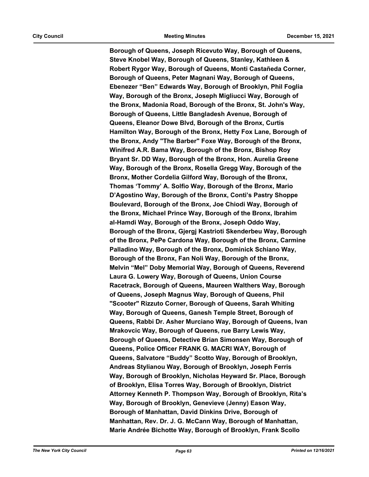**Borough of Queens, Joseph Ricevuto Way, Borough of Queens, Steve Knobel Way, Borough of Queens, Stanley, Kathleen & Robert Rygor Way, Borough of Queens, Monti Castañeda Corner, Borough of Queens, Peter Magnani Way, Borough of Queens, Ebenezer "Ben" Edwards Way, Borough of Brooklyn, Phil Foglia Way, Borough of the Bronx, Joseph Migliucci Way, Borough of the Bronx, Madonia Road, Borough of the Bronx, St. John's Way, Borough of Queens, Little Bangladesh Avenue, Borough of Queens, Eleanor Dowe Blvd, Borough of the Bronx, Curtis Hamilton Way, Borough of the Bronx, Hetty Fox Lane, Borough of the Bronx, Andy "The Barber" Foxe Way, Borough of the Bronx, Winifred A.R. Bama Way, Borough of the Bronx, Bishop Roy Bryant Sr. DD Way, Borough of the Bronx, Hon. Aurelia Greene Way, Borough of the Bronx, Rosella Gregg Way, Borough of the Bronx, Mother Cordelia Gilford Way, Borough of the Bronx, Thomas 'Tommy' A. Solfio Way, Borough of the Bronx, Mario D'Agostino Way, Borough of the Bronx, Conti's Pastry Shoppe Boulevard, Borough of the Bronx, Joe Chiodi Way, Borough of the Bronx, Michael Prince Way, Borough of the Bronx, Ibrahim al-Hamdi Way, Borough of the Bronx, Joseph Oddo Way, Borough of the Bronx, Gjergj Kastrioti Skenderbeu Way, Borough of the Bronx, PePe Cardona Way, Borough of the Bronx, Carmine Palladino Way, Borough of the Bronx, Dominick Schiano Way, Borough of the Bronx, Fan Noli Way, Borough of the Bronx, Melvin "Mel" Doby Memorial Way, Borough of Queens, Reverend Laura G. Lowery Way, Borough of Queens, Union Course Racetrack, Borough of Queens, Maureen Walthers Way, Borough of Queens, Joseph Magnus Way, Borough of Queens, Phil "Scooter" Rizzuto Corner, Borough of Queens, Sarah Whiting Way, Borough of Queens, Ganesh Temple Street, Borough of Queens, Rabbi Dr. Asher Murciano Way, Borough of Queens, Ivan Mrakovcic Way, Borough of Queens, rue Barry Lewis Way, Borough of Queens, Detective Brian Simonsen Way, Borough of Queens, Police Officer FRANK G. MACRI WAY, Borough of Queens, Salvatore "Buddy" Scotto Way, Borough of Brooklyn, Andreas Stylianou Way, Borough of Brooklyn, Joseph Ferris Way, Borough of Brooklyn, Nicholas Heyward Sr. Place, Borough of Brooklyn, Elisa Torres Way, Borough of Brooklyn, District Attorney Kenneth P. Thompson Way, Borough of Brooklyn, Rita's Way, Borough of Brooklyn, Genevieve (Jenny) Eason Way, Borough of Manhattan, David Dinkins Drive, Borough of Manhattan, Rev. Dr. J. G. McCann Way, Borough of Manhattan, Marie Andrée Bichotte Way, Borough of Brooklyn, Frank Scollo**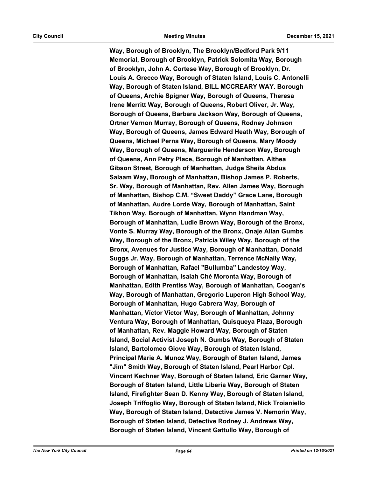**Way, Borough of Brooklyn, The Brooklyn/Bedford Park 9/11 Memorial, Borough of Brooklyn, Patrick Solomita Way, Borough of Brooklyn, John A. Cortese Way, Borough of Brooklyn, Dr. Louis A. Grecco Way, Borough of Staten Island, Louis C. Antonelli Way, Borough of Staten Island, BILL MCCREARY WAY. Borough of Queens, Archie Spigner Way, Borough of Queens, Theresa Irene Merritt Way, Borough of Queens, Robert Oliver, Jr. Way, Borough of Queens, Barbara Jackson Way, Borough of Queens, Ortner Vernon Murray, Borough of Queens, Rodney Johnson Way, Borough of Queens, James Edward Heath Way, Borough of Queens, Michael Perna Way, Borough of Queens, Mary Moody Way, Borough of Queens, Marguerite Henderson Way, Borough of Queens, Ann Petry Place, Borough of Manhattan, Althea Gibson Street, Borough of Manhattan, Judge Sheila Abdus Salaam Way, Borough of Manhattan, Bishop James P. Roberts, Sr. Way, Borough of Manhattan, Rev. Allen James Way, Borough of Manhattan, Bishop C.M. "Sweet Daddy" Grace Lane, Borough of Manhattan, Audre Lorde Way, Borough of Manhattan, Saint Tikhon Way, Borough of Manhattan, Wynn Handman Way, Borough of Manhattan, Ludie Brown Way, Borough of the Bronx, Vonte S. Murray Way, Borough of the Bronx, Onaje Allan Gumbs Way, Borough of the Bronx, Patricia Wiley Way, Borough of the Bronx, Avenues for Justice Way, Borough of Manhattan, Donald Suggs Jr. Way, Borough of Manhattan, Terrence McNally Way, Borough of Manhattan, Rafael "Bullumba" Landestoy Way, Borough of Manhattan, Isaiah Ché Moronta Way, Borough of Manhattan, Edith Prentiss Way, Borough of Manhattan, Coogan's Way, Borough of Manhattan, Gregorio Luperon High School Way, Borough of Manhattan, Hugo Cabrera Way, Borough of Manhattan, Víctor Víctor Way, Borough of Manhattan, Johnny Ventura Way, Borough of Manhattan, Quisqueya Plaza, Borough of Manhattan, Rev. Maggie Howard Way, Borough of Staten Island, Social Activist Joseph N. Gumbs Way, Borough of Staten Island, Bartolomeo Giove Way, Borough of Staten Island, Principal Marie A. Munoz Way, Borough of Staten Island, James "Jim" Smith Way, Borough of Staten Island, Pearl Harbor Cpl. Vincent Kechner Way, Borough of Staten Island, Eric Garner Way, Borough of Staten Island, Little Liberia Way, Borough of Staten Island, Firefighter Sean D. Kenny Way, Borough of Staten Island, Joseph Triffoglio Way, Borough of Staten Island, Nick Troianiello Way, Borough of Staten Island, Detective James V. Nemorin Way, Borough of Staten Island, Detective Rodney J. Andrews Way, Borough of Staten Island, Vincent Gattullo Way, Borough of**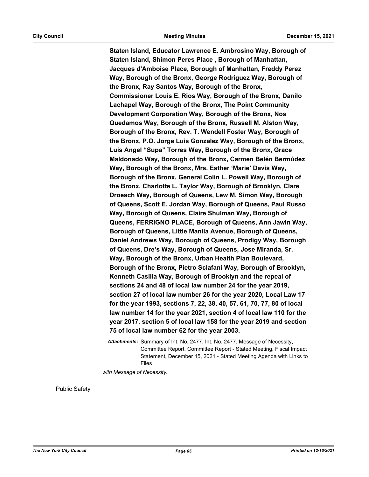**Staten Island, Educator Lawrence E. Ambrosino Way, Borough of Staten Island, Shimon Peres Place , Borough of Manhattan, Jacques d'Amboise Place, Borough of Manhattan, Freddy Perez Way, Borough of the Bronx, George Rodriguez Way, Borough of the Bronx, Ray Santos Way, Borough of the Bronx, Commissioner Louis E. Rios Way, Borough of the Bronx, Danilo Lachapel Way, Borough of the Bronx, The Point Community Development Corporation Way, Borough of the Bronx, Nos Quedamos Way, Borough of the Bronx, Russell M. Alston Way, Borough of the Bronx, Rev. T. Wendell Foster Way, Borough of the Bronx, P.O. Jorge Luis Gonzalez Way, Borough of the Bronx, Luis Angel "Supa" Torres Way, Borough of the Bronx, Grace Maldonado Way, Borough of the Bronx, Carmen Belén Bermúdez Way, Borough of the Bronx, Mrs. Esther 'Marie' Davis Way, Borough of the Bronx, General Colin L. Powell Way, Borough of the Bronx, Charlotte L. Taylor Way, Borough of Brooklyn, Clare Droesch Way, Borough of Queens, Lew M. Simon Way, Borough of Queens, Scott E. Jordan Way, Borough of Queens, Paul Russo Way, Borough of Queens, Claire Shulman Way, Borough of Queens, FERRIGNO PLACE, Borough of Queens, Ann Jawin Way, Borough of Queens, Little Manila Avenue, Borough of Queens, Daniel Andrews Way, Borough of Queens, Prodigy Way, Borough of Queens, Dre's Way, Borough of Queens, Jose Miranda, Sr. Way, Borough of the Bronx, Urban Health Plan Boulevard, Borough of the Bronx, Pietro Sclafani Way, Borough of Brooklyn, Kenneth Casilla Way, Borough of Brooklyn and the repeal of sections 24 and 48 of local law number 24 for the year 2019, section 27 of local law number 26 for the year 2020, Local Law 17 for the year 1993, sections 7, 22, 38, 40, 57, 61, 70, 77, 80 of local law number 14 for the year 2021, section 4 of local law 110 for the year 2017, section 5 of local law 158 for the year 2019 and section 75 of local law number 62 for the year 2003.**

*Attachments:* Summary of Int. No. 2477, Int. No. 2477, Message of Necessity, Committee Report, Committee Report - Stated Meeting, Fiscal Impact Statement, December 15, 2021 - Stated Meeting Agenda with Links to Files

*with Message of Necessity.*

Public Safety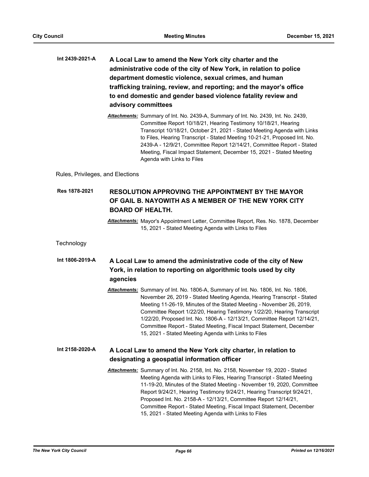- **A Local Law to amend the New York city charter and the administrative code of the city of New York, in relation to police department domestic violence, sexual crimes, and human trafficking training, review, and reporting; and the mayor's office to end domestic and gender based violence fatality review and advisory committees Int 2439-2021-A**
	- *Attachments:* Summary of Int. No. 2439-A, Summary of Int. No. 2439, Int. No. 2439, Committee Report 10/18/21, Hearing Testimony 10/18/21, Hearing Transcript 10/18/21, October 21, 2021 - Stated Meeting Agenda with Links to Files, Hearing Transcript - Stated Meeting 10-21-21, Proposed Int. No. 2439-A - 12/9/21, Committee Report 12/14/21, Committee Report - Stated Meeting, Fiscal Impact Statement, December 15, 2021 - Stated Meeting Agenda with Links to Files

Rules, Privileges, and Elections

### **RESOLUTION APPROVING THE APPOINTMENT BY THE MAYOR OF GAIL B. NAYOWITH AS A MEMBER OF THE NEW YORK CITY BOARD OF HEALTH. Res 1878-2021**

*Attachments:* Mayor's Appointment Letter, Committee Report, Res. No. 1878, December 15, 2021 - Stated Meeting Agenda with Links to Files

# **Technology**

### **A Local Law to amend the administrative code of the city of New York, in relation to reporting on algorithmic tools used by city agencies Int 1806-2019-A**

*Attachments:* Summary of Int. No. 1806-A, Summary of Int. No. 1806, Int. No. 1806, November 26, 2019 - Stated Meeting Agenda, Hearing Transcript - Stated Meeting 11-26-19, Minutes of the Stated Meeting - November 26, 2019, Committee Report 1/22/20, Hearing Testimony 1/22/20, Hearing Transcript 1/22/20, Proposed Int. No. 1806-A - 12/13/21, Committee Report 12/14/21, Committee Report - Stated Meeting, Fiscal Impact Statement, December 15, 2021 - Stated Meeting Agenda with Links to Files

#### **A Local Law to amend the New York city charter, in relation to designating a geospatial information officer Int 2158-2020-A**

*Attachments:* Summary of Int. No. 2158, Int. No. 2158, November 19, 2020 - Stated Meeting Agenda with Links to Files, Hearing Transcript - Stated Meeting 11-19-20, Minutes of the Stated Meeting - November 19, 2020, Committee Report 9/24/21, Hearing Testimony 9/24/21, Hearing Transcript 9/24/21, Proposed Int. No. 2158-A - 12/13/21, Committee Report 12/14/21, Committee Report - Stated Meeting, Fiscal Impact Statement, December 15, 2021 - Stated Meeting Agenda with Links to Files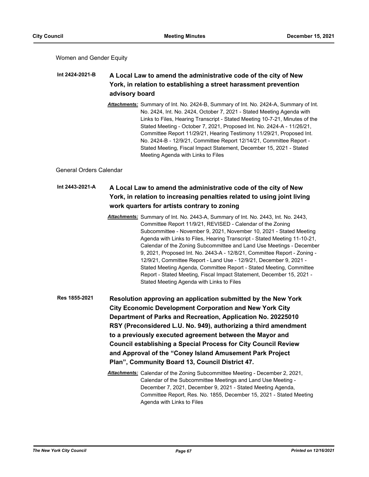Women and Gender Equity

### **A Local Law to amend the administrative code of the city of New York, in relation to establishing a street harassment prevention advisory board Int 2424-2021-B**

*Attachments:* Summary of Int. No. 2424-B, Summary of Int. No. 2424-A, Summary of Int. No. 2424, Int. No. 2424, October 7, 2021 - Stated Meeting Agenda with Links to Files, Hearing Transcript - Stated Meeting 10-7-21, Minutes of the Stated Meeting - October 7, 2021, Proposed Int. No. 2424-A - 11/26/21, Committee Report 11/29/21, Hearing Testimony 11/29/21, Proposed Int. No. 2424-B - 12/9/21, Committee Report 12/14/21, Committee Report - Stated Meeting, Fiscal Impact Statement, December 15, 2021 - Stated Meeting Agenda with Links to Files

General Orders Calendar

### **A Local Law to amend the administrative code of the city of New York, in relation to increasing penalties related to using joint living work quarters for artists contrary to zoning Int 2443-2021-A**

*Attachments:* Summary of Int. No. 2443-A, Summary of Int. No. 2443, Int. No. 2443, Committee Report 11/9/21, REVISED - Calendar of the Zoning Subcommittee - November 9, 2021, November 10, 2021 - Stated Meeting Agenda with Links to Files, Hearing Transcript - Stated Meeting 11-10-21, Calendar of the Zoning Subcommittee and Land Use Meetings - December 9, 2021, Proposed Int. No. 2443-A - 12/8/21, Committee Report - Zoning - 12/9/21, Committee Report - Land Use - 12/9/21, December 9, 2021 - Stated Meeting Agenda, Committee Report - Stated Meeting, Committee Report - Stated Meeting, Fiscal Impact Statement, December 15, 2021 - Stated Meeting Agenda with Links to Files

**Resolution approving an application submitted by the New York City Economic Development Corporation and New York City Department of Parks and Recreation, Application No. 20225010 RSY (Preconsidered L.U. No. 949), authorizing a third amendment to a previously executed agreement between the Mayor and Council establishing a Special Process for City Council Review and Approval of the "Coney Island Amusement Park Project Plan", Community Board 13, Council District 47. Res 1855-2021**

> *Attachments:* Calendar of the Zoning Subcommittee Meeting - December 2, 2021, Calendar of the Subcommittee Meetings and Land Use Meeting - December 7, 2021, December 9, 2021 - Stated Meeting Agenda, Committee Report, Res. No. 1855, December 15, 2021 - Stated Meeting Agenda with Links to Files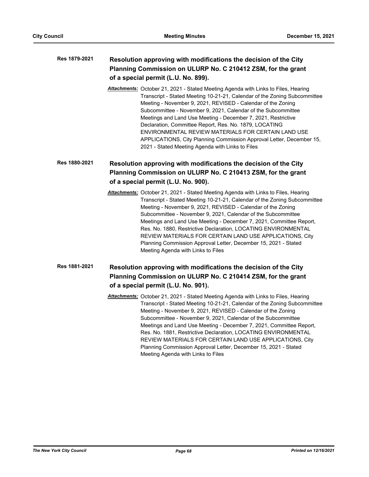### **Resolution approving with modifications the decision of the City Planning Commission on ULURP No. C 210412 ZSM, for the grant of a special permit (L.U. No. 899). Res 1879-2021**

*Attachments:* October 21, 2021 - Stated Meeting Agenda with Links to Files, Hearing Transcript - Stated Meeting 10-21-21, Calendar of the Zoning Subcommittee Meeting - November 9, 2021, REVISED - Calendar of the Zoning Subcommittee - November 9, 2021, Calendar of the Subcommittee Meetings and Land Use Meeting - December 7, 2021, Restrictive Declaration, Committee Report, Res. No. 1879, LOCATING ENVIRONMENTAL REVIEW MATERIALS FOR CERTAIN LAND USE APPLICATIONS, City Planning Commission Approval Letter, December 15, 2021 - Stated Meeting Agenda with Links to Files

# **Resolution approving with modifications the decision of the City Planning Commission on ULURP No. C 210413 ZSM, for the grant of a special permit (L.U. No. 900). Res 1880-2021**

*Attachments:* October 21, 2021 - Stated Meeting Agenda with Links to Files, Hearing Transcript - Stated Meeting 10-21-21, Calendar of the Zoning Subcommittee Meeting - November 9, 2021, REVISED - Calendar of the Zoning Subcommittee - November 9, 2021, Calendar of the Subcommittee Meetings and Land Use Meeting - December 7, 2021, Committee Report, Res. No. 1880, Restrictive Declaration, LOCATING ENVIRONMENTAL REVIEW MATERIALS FOR CERTAIN LAND USE APPLICATIONS, City Planning Commission Approval Letter, December 15, 2021 - Stated Meeting Agenda with Links to Files

# **Resolution approving with modifications the decision of the City Planning Commission on ULURP No. C 210414 ZSM, for the grant of a special permit (L.U. No. 901). Res 1881-2021**

*Attachments:* October 21, 2021 - Stated Meeting Agenda with Links to Files, Hearing Transcript - Stated Meeting 10-21-21, Calendar of the Zoning Subcommittee Meeting - November 9, 2021, REVISED - Calendar of the Zoning Subcommittee - November 9, 2021, Calendar of the Subcommittee Meetings and Land Use Meeting - December 7, 2021, Committee Report, Res. No. 1881, Restrictive Declaration, LOCATING ENVIRONMENTAL REVIEW MATERIALS FOR CERTAIN LAND USE APPLICATIONS, City Planning Commission Approval Letter, December 15, 2021 - Stated Meeting Agenda with Links to Files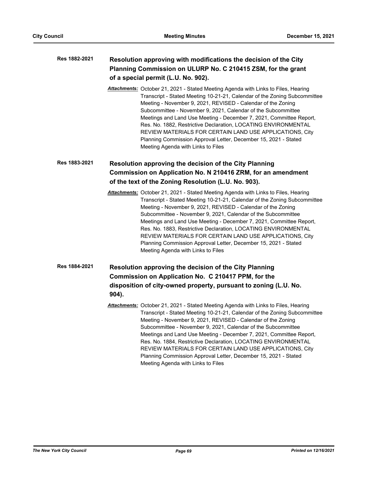### **Resolution approving with modifications the decision of the City Planning Commission on ULURP No. C 210415 ZSM, for the grant of a special permit (L.U. No. 902). Res 1882-2021**

*Attachments:* October 21, 2021 - Stated Meeting Agenda with Links to Files, Hearing Transcript - Stated Meeting 10-21-21, Calendar of the Zoning Subcommittee Meeting - November 9, 2021, REVISED - Calendar of the Zoning Subcommittee - November 9, 2021, Calendar of the Subcommittee Meetings and Land Use Meeting - December 7, 2021, Committee Report, Res. No. 1882, Restrictive Declaration, LOCATING ENVIRONMENTAL REVIEW MATERIALS FOR CERTAIN LAND USE APPLICATIONS, City Planning Commission Approval Letter, December 15, 2021 - Stated Meeting Agenda with Links to Files

# **Resolution approving the decision of the City Planning Commission on Application No. N 210416 ZRM, for an amendment of the text of the Zoning Resolution (L.U. No. 903). Res 1883-2021**

*Attachments:* October 21, 2021 - Stated Meeting Agenda with Links to Files, Hearing Transcript - Stated Meeting 10-21-21, Calendar of the Zoning Subcommittee Meeting - November 9, 2021, REVISED - Calendar of the Zoning Subcommittee - November 9, 2021, Calendar of the Subcommittee Meetings and Land Use Meeting - December 7, 2021, Committee Report, Res. No. 1883, Restrictive Declaration, LOCATING ENVIRONMENTAL REVIEW MATERIALS FOR CERTAIN LAND USE APPLICATIONS, City Planning Commission Approval Letter, December 15, 2021 - Stated Meeting Agenda with Links to Files

# **Resolution approving the decision of the City Planning Commission on Application No. C 210417 PPM, for the disposition of city-owned property, pursuant to zoning (L.U. No. 904). Res 1884-2021**

*Attachments:* October 21, 2021 - Stated Meeting Agenda with Links to Files, Hearing Transcript - Stated Meeting 10-21-21, Calendar of the Zoning Subcommittee Meeting - November 9, 2021, REVISED - Calendar of the Zoning Subcommittee - November 9, 2021, Calendar of the Subcommittee Meetings and Land Use Meeting - December 7, 2021, Committee Report, Res. No. 1884, Restrictive Declaration, LOCATING ENVIRONMENTAL REVIEW MATERIALS FOR CERTAIN LAND USE APPLICATIONS, City Planning Commission Approval Letter, December 15, 2021 - Stated Meeting Agenda with Links to Files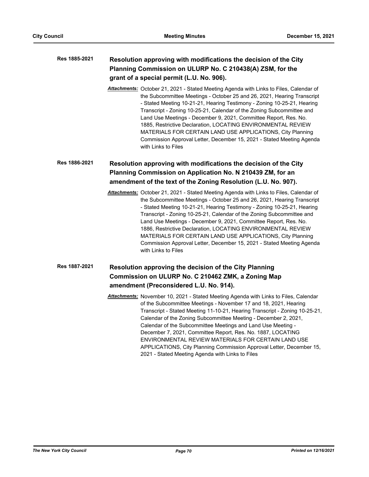### **Resolution approving with modifications the decision of the City Planning Commission on ULURP No. C 210438(A) ZSM, for the grant of a special permit (L.U. No. 906). Res 1885-2021**

*Attachments:* October 21, 2021 - Stated Meeting Agenda with Links to Files, Calendar of the Subcommittee Meetings - October 25 and 26, 2021, Hearing Transcript - Stated Meeting 10-21-21, Hearing Testimony - Zoning 10-25-21, Hearing Transcript - Zoning 10-25-21, Calendar of the Zoning Subcommittee and Land Use Meetings - December 9, 2021, Committee Report, Res. No. 1885, Restrictive Declaration, LOCATING ENVIRONMENTAL REVIEW MATERIALS FOR CERTAIN LAND USE APPLICATIONS, City Planning Commission Approval Letter, December 15, 2021 - Stated Meeting Agenda with Links to Files

## **Resolution approving with modifications the decision of the City Planning Commission on Application No. N 210439 ZM, for an amendment of the text of the Zoning Resolution (L.U. No. 907). Res 1886-2021**

*Attachments:* October 21, 2021 - Stated Meeting Agenda with Links to Files, Calendar of the Subcommittee Meetings - October 25 and 26, 2021, Hearing Transcript - Stated Meeting 10-21-21, Hearing Testimony - Zoning 10-25-21, Hearing Transcript - Zoning 10-25-21, Calendar of the Zoning Subcommittee and Land Use Meetings - December 9, 2021, Committee Report, Res. No. 1886, Restrictive Declaration, LOCATING ENVIRONMENTAL REVIEW MATERIALS FOR CERTAIN LAND USE APPLICATIONS, City Planning Commission Approval Letter, December 15, 2021 - Stated Meeting Agenda with Links to Files

### **Resolution approving the decision of the City Planning Commission on ULURP No. C 210462 ZMK, a Zoning Map amendment (Preconsidered L.U. No. 914). Res 1887-2021**

*Attachments:* November 10, 2021 - Stated Meeting Agenda with Links to Files, Calendar of the Subcommittee Meetings - November 17 and 18, 2021, Hearing Transcript - Stated Meeting 11-10-21, Hearing Transcript - Zoning 10-25-21, Calendar of the Zoning Subcommittee Meeting - December 2, 2021, Calendar of the Subcommittee Meetings and Land Use Meeting - December 7, 2021, Committee Report, Res. No. 1887, LOCATING ENVIRONMENTAL REVIEW MATERIALS FOR CERTAIN LAND USE APPLICATIONS, City Planning Commission Approval Letter, December 15, 2021 - Stated Meeting Agenda with Links to Files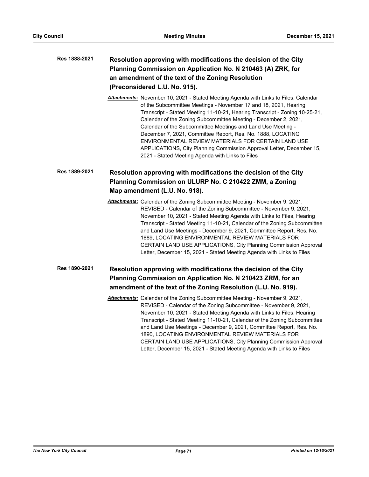| Res 1888-2021 | Resolution approving with modifications the decision of the City |
|---------------|------------------------------------------------------------------|
|               | Planning Commission on Application No. N 210463 (A) ZRK, for     |
|               | an amendment of the text of the Zoning Resolution                |
|               | (Preconsidered L.U. No. 915).                                    |

*Attachments:* November 10, 2021 - Stated Meeting Agenda with Links to Files, Calendar of the Subcommittee Meetings - November 17 and 18, 2021, Hearing Transcript - Stated Meeting 11-10-21, Hearing Transcript - Zoning 10-25-21, Calendar of the Zoning Subcommittee Meeting - December 2, 2021, Calendar of the Subcommittee Meetings and Land Use Meeting - December 7, 2021, Committee Report, Res. No. 1888, LOCATING ENVIRONMENTAL REVIEW MATERIALS FOR CERTAIN LAND USE APPLICATIONS, City Planning Commission Approval Letter, December 15, 2021 - Stated Meeting Agenda with Links to Files

### **Resolution approving with modifications the decision of the City Planning Commission on ULURP No. C 210422 ZMM, a Zoning Map amendment (L.U. No. 918). Res 1889-2021**

*Attachments:* Calendar of the Zoning Subcommittee Meeting - November 9, 2021, REVISED - Calendar of the Zoning Subcommittee - November 9, 2021, November 10, 2021 - Stated Meeting Agenda with Links to Files, Hearing Transcript - Stated Meeting 11-10-21, Calendar of the Zoning Subcommittee and Land Use Meetings - December 9, 2021, Committee Report, Res. No. 1889, LOCATING ENVIRONMENTAL REVIEW MATERIALS FOR CERTAIN LAND USE APPLICATIONS, City Planning Commission Approval Letter, December 15, 2021 - Stated Meeting Agenda with Links to Files

### **Resolution approving with modifications the decision of the City Planning Commission on Application No. N 210423 ZRM, for an amendment of the text of the Zoning Resolution (L.U. No. 919). Res 1890-2021**

*Attachments:* Calendar of the Zoning Subcommittee Meeting - November 9, 2021, REVISED - Calendar of the Zoning Subcommittee - November 9, 2021, November 10, 2021 - Stated Meeting Agenda with Links to Files, Hearing Transcript - Stated Meeting 11-10-21, Calendar of the Zoning Subcommittee and Land Use Meetings - December 9, 2021, Committee Report, Res. No. 1890, LOCATING ENVIRONMENTAL REVIEW MATERIALS FOR CERTAIN LAND USE APPLICATIONS, City Planning Commission Approval Letter, December 15, 2021 - Stated Meeting Agenda with Links to Files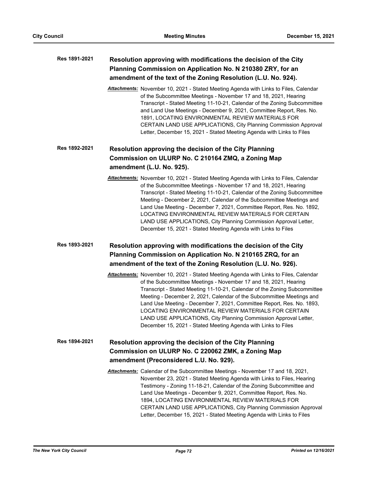| Res 1891-2021 | Resolution approving with modifications the decision of the City<br>Planning Commission on Application No. N 210380 ZRY, for an<br>amendment of the text of the Zoning Resolution (L.U. No. 924).                                                                                                                                                                                                                                                                                                                                                                                   |
|---------------|-------------------------------------------------------------------------------------------------------------------------------------------------------------------------------------------------------------------------------------------------------------------------------------------------------------------------------------------------------------------------------------------------------------------------------------------------------------------------------------------------------------------------------------------------------------------------------------|
|               | Attachments: November 10, 2021 - Stated Meeting Agenda with Links to Files, Calendar<br>of the Subcommittee Meetings - November 17 and 18, 2021, Hearing<br>Transcript - Stated Meeting 11-10-21, Calendar of the Zoning Subcommittee<br>and Land Use Meetings - December 9, 2021, Committee Report, Res. No.<br>1891, LOCATING ENVIRONMENTAL REVIEW MATERIALS FOR<br>CERTAIN LAND USE APPLICATIONS, City Planning Commission Approval<br>Letter, December 15, 2021 - Stated Meeting Agenda with Links to Files                                                                     |
| Res 1892-2021 | Resolution approving the decision of the City Planning                                                                                                                                                                                                                                                                                                                                                                                                                                                                                                                              |
|               | Commission on ULURP No. C 210164 ZMQ, a Zoning Map<br>amendment (L.U. No. 925).                                                                                                                                                                                                                                                                                                                                                                                                                                                                                                     |
|               | Attachments: November 10, 2021 - Stated Meeting Agenda with Links to Files, Calendar<br>of the Subcommittee Meetings - November 17 and 18, 2021, Hearing<br>Transcript - Stated Meeting 11-10-21, Calendar of the Zoning Subcommittee<br>Meeting - December 2, 2021, Calendar of the Subcommittee Meetings and<br>Land Use Meeting - December 7, 2021, Committee Report, Res. No. 1892,<br>LOCATING ENVIRONMENTAL REVIEW MATERIALS FOR CERTAIN<br>LAND USE APPLICATIONS, City Planning Commission Approval Letter,<br>December 15, 2021 - Stated Meeting Agenda with Links to Files |
| Res 1893-2021 | Resolution approving with modifications the decision of the City                                                                                                                                                                                                                                                                                                                                                                                                                                                                                                                    |
|               | Planning Commission on Application No. N 210165 ZRQ, for an<br>amendment of the text of the Zoning Resolution (L.U. No. 926).                                                                                                                                                                                                                                                                                                                                                                                                                                                       |
|               | Attachments: November 10, 2021 - Stated Meeting Agenda with Links to Files, Calendar<br>of the Subcommittee Meetings - November 17 and 18, 2021, Hearing<br>Transcript - Stated Meeting 11-10-21, Calendar of the Zoning Subcommittee<br>Meeting - December 2, 2021, Calendar of the Subcommittee Meetings and<br>Land Use Meeting - December 7, 2021, Committee Report, Res. No. 1893,<br>LOCATING ENVIRONMENTAL REVIEW MATERIALS FOR CERTAIN<br>LAND USE APPLICATIONS, City Planning Commission Approval Letter,<br>December 15, 2021 - Stated Meeting Agenda with Links to Files |
| Res 1894-2021 | Resolution approving the decision of the City Planning                                                                                                                                                                                                                                                                                                                                                                                                                                                                                                                              |
|               | Commission on ULURP No. C 220062 ZMK, a Zoning Map<br>amendment (Preconsidered L.U. No. 929).                                                                                                                                                                                                                                                                                                                                                                                                                                                                                       |
|               | Attachments: Calendar of the Subcommittee Meetings - November 17 and 18, 2021,<br>November 23, 2021 - Stated Meeting Agenda with Links to Files, Hearing<br>Testimony - Zoning 11-18-21, Calendar of the Zoning Subcommittee and<br>Land Use Meetings - December 9, 2021, Committee Report, Res. No.<br>1894, LOCATING ENVIRONMENTAL REVIEW MATERIALS FOR<br>CERTAIN LAND USE APPLICATIONS, City Planning Commission Approval<br>Letter, December 15, 2021 - Stated Meeting Agenda with Links to Files                                                                              |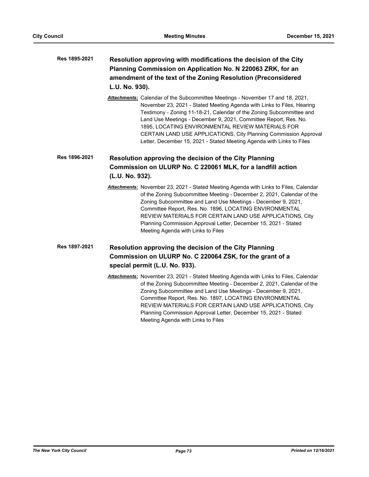## **Resolution approving with modifications the decision of the City Planning Commission on Application No. N 220063 ZRK, for an amendment of the text of the Zoning Resolution (Preconsidered L.U. No. 930). Res 1895-2021**

*Attachments:* Calendar of the Subcommittee Meetings - November 17 and 18, 2021, November 23, 2021 - Stated Meeting Agenda with Links to Files, Hearing Testimony - Zoning 11-18-21, Calendar of the Zoning Subcommittee and Land Use Meetings - December 9, 2021, Committee Report, Res. No. 1895, LOCATING ENVIRONMENTAL REVIEW MATERIALS FOR CERTAIN LAND USE APPLICATIONS, City Planning Commission Approval Letter, December 15, 2021 - Stated Meeting Agenda with Links to Files

### **Resolution approving the decision of the City Planning Commission on ULURP No. C 220061 MLK, for a landfill action (L.U. No. 932). Res 1896-2021**

*Attachments:* November 23, 2021 - Stated Meeting Agenda with Links to Files, Calendar of the Zoning Subcommittee Meeting - December 2, 2021, Calendar of the Zoning Subcommittee and Land Use Meetings - December 9, 2021, Committee Report, Res. No. 1896, LOCATING ENVIRONMENTAL REVIEW MATERIALS FOR CERTAIN LAND USE APPLICATIONS, City Planning Commission Approval Letter, December 15, 2021 - Stated Meeting Agenda with Links to Files

### **Resolution approving the decision of the City Planning Commission on ULURP No. C 220064 ZSK, for the grant of a special permit (L.U. No. 933). Res 1897-2021**

*Attachments:* November 23, 2021 - Stated Meeting Agenda with Links to Files, Calendar of the Zoning Subcommittee Meeting - December 2, 2021, Calendar of the Zoning Subcommittee and Land Use Meetings - December 9, 2021, Committee Report, Res. No. 1897, LOCATING ENVIRONMENTAL REVIEW MATERIALS FOR CERTAIN LAND USE APPLICATIONS, City Planning Commission Approval Letter, December 15, 2021 - Stated Meeting Agenda with Links to Files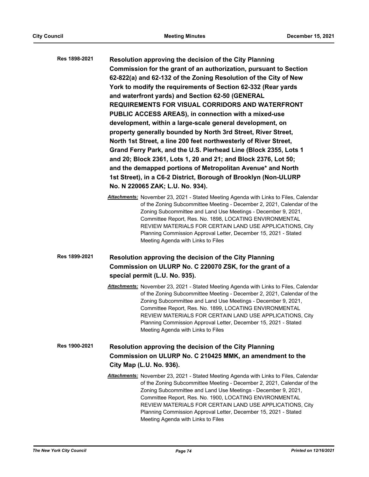| Res 1898-2021 | Resolution approving the decision of the City Planning<br>Commission for the grant of an authorization, pursuant to Section<br>62-822(a) and 62-132 of the Zoning Resolution of the City of New<br>York to modify the requirements of Section 62-332 (Rear yards<br>and waterfront yards) and Section 62-50 (GENERAL<br><b>REQUIREMENTS FOR VISUAL CORRIDORS AND WATERFRONT</b><br>PUBLIC ACCESS AREAS), in connection with a mixed-use<br>development, within a large-scale general development, on<br>property generally bounded by North 3rd Street, River Street,<br>North 1st Street, a line 200 feet northwesterly of River Street,<br>Grand Ferry Park, and the U.S. Pierhead Line (Block 2355, Lots 1<br>and 20; Block 2361, Lots 1, 20 and 21; and Block 2376, Lot 50;<br>and the demapped portions of Metropolitan Avenue* and North<br>1st Street), in a C6-2 District, Borough of Brooklyn (Non-ULURP<br>No. N 220065 ZAK; L.U. No. 934). |
|---------------|-------------------------------------------------------------------------------------------------------------------------------------------------------------------------------------------------------------------------------------------------------------------------------------------------------------------------------------------------------------------------------------------------------------------------------------------------------------------------------------------------------------------------------------------------------------------------------------------------------------------------------------------------------------------------------------------------------------------------------------------------------------------------------------------------------------------------------------------------------------------------------------------------------------------------------------------------------|
|               | <b>Attachments:</b> November 23, 2021 - Stated Meeting Agenda with Links to Files, Calendar<br>of the Zoning Subcommittee Meeting - December 2, 2021, Calendar of the<br>Zoning Subcommittee and Land Use Meetings - December 9, 2021,<br>Committee Report, Res. No. 1898, LOCATING ENVIRONMENTAL<br>REVIEW MATERIALS FOR CERTAIN LAND USE APPLICATIONS, City<br>Planning Commission Approval Letter, December 15, 2021 - Stated<br>Meeting Agenda with Links to Files                                                                                                                                                                                                                                                                                                                                                                                                                                                                                |
| Res 1899-2021 | Resolution approving the decision of the City Planning<br>Commission on ULURP No. C 220070 ZSK, for the grant of a<br>special permit (L.U. No. 935).<br><b>Attachments:</b> November 23, 2021 - Stated Meeting Agenda with Links to Files, Calendar                                                                                                                                                                                                                                                                                                                                                                                                                                                                                                                                                                                                                                                                                                   |
|               | of the Zoning Subcommittee Meeting - December 2, 2021, Calendar of the<br>Zening Cubeammittee and Land Lee Meetings December 0, 2021                                                                                                                                                                                                                                                                                                                                                                                                                                                                                                                                                                                                                                                                                                                                                                                                                  |

Zoning Subcommittee and Land Use Meetings - December 9, 2021, Committee Report, Res. No. 1899, LOCATING ENVIRONMENTAL REVIEW MATERIALS FOR CERTAIN LAND USE APPLICATIONS, City Planning Commission Approval Letter, December 15, 2021 - Stated Meeting Agenda with Links to Files

## **Resolution approving the decision of the City Planning Commission on ULURP No. C 210425 MMK, an amendment to the City Map (L.U. No. 936). Res 1900-2021**

*Attachments:* November 23, 2021 - Stated Meeting Agenda with Links to Files, Calendar of the Zoning Subcommittee Meeting - December 2, 2021, Calendar of the Zoning Subcommittee and Land Use Meetings - December 9, 2021, Committee Report, Res. No. 1900, LOCATING ENVIRONMENTAL REVIEW MATERIALS FOR CERTAIN LAND USE APPLICATIONS, City Planning Commission Approval Letter, December 15, 2021 - Stated Meeting Agenda with Links to Files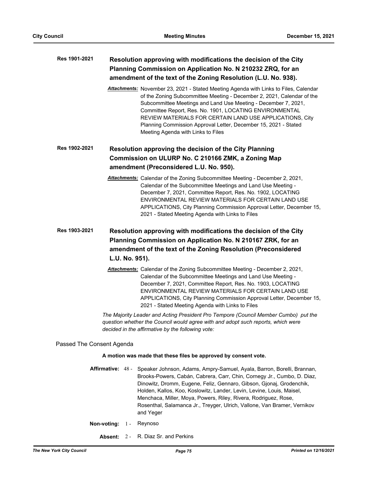| Res 1901-2021             |                | Resolution approving with modifications the decision of the City<br>Planning Commission on Application No. N 210232 ZRQ, for an<br>amendment of the text of the Zoning Resolution (L.U. No. 938).                                                                                                                                                                                                                                                                |
|---------------------------|----------------|------------------------------------------------------------------------------------------------------------------------------------------------------------------------------------------------------------------------------------------------------------------------------------------------------------------------------------------------------------------------------------------------------------------------------------------------------------------|
|                           |                | Attachments: November 23, 2021 - Stated Meeting Agenda with Links to Files, Calendar<br>of the Zoning Subcommittee Meeting - December 2, 2021, Calendar of the<br>Subcommittee Meetings and Land Use Meeting - December 7, 2021,<br>Committee Report, Res. No. 1901, LOCATING ENVIRONMENTAL<br>REVIEW MATERIALS FOR CERTAIN LAND USE APPLICATIONS, City<br>Planning Commission Approval Letter, December 15, 2021 - Stated<br>Meeting Agenda with Links to Files |
| Res 1902-2021             |                | Resolution approving the decision of the City Planning                                                                                                                                                                                                                                                                                                                                                                                                           |
|                           |                | Commission on ULURP No. C 210166 ZMK, a Zoning Map                                                                                                                                                                                                                                                                                                                                                                                                               |
|                           |                | amendment (Preconsidered L.U. No. 950).                                                                                                                                                                                                                                                                                                                                                                                                                          |
|                           |                | Attachments: Calendar of the Zoning Subcommittee Meeting - December 2, 2021,<br>Calendar of the Subcommittee Meetings and Land Use Meeting -<br>December 7, 2021, Committee Report, Res. No. 1902, LOCATING<br>ENVIRONMENTAL REVIEW MATERIALS FOR CERTAIN LAND USE<br>APPLICATIONS, City Planning Commission Approval Letter, December 15,<br>2021 - Stated Meeting Agenda with Links to Files                                                                   |
| Res 1903-2021             |                | Resolution approving with modifications the decision of the City                                                                                                                                                                                                                                                                                                                                                                                                 |
|                           |                | Planning Commission on Application No. N 210167 ZRK, for an                                                                                                                                                                                                                                                                                                                                                                                                      |
|                           |                | amendment of the text of the Zoning Resolution (Preconsidered                                                                                                                                                                                                                                                                                                                                                                                                    |
|                           | L.U. No. 951). |                                                                                                                                                                                                                                                                                                                                                                                                                                                                  |
|                           |                | Attachments: Calendar of the Zoning Subcommittee Meeting - December 2, 2021,<br>Calendar of the Subcommittee Meetings and Land Use Meeting -<br>December 7, 2021, Committee Report, Res. No. 1903, LOCATING<br>ENVIRONMENTAL REVIEW MATERIALS FOR CERTAIN LAND USE<br>APPLICATIONS, City Planning Commission Approval Letter, December 15,<br>2021 - Stated Meeting Agenda with Links to Files                                                                   |
|                           |                | The Majority Leader and Acting President Pro Tempore (Council Member Cumbo) put the<br>question whether the Council would agree with and adopt such reports, which were<br>decided in the affirmative by the following vote:                                                                                                                                                                                                                                     |
| Passed The Consent Agenda |                |                                                                                                                                                                                                                                                                                                                                                                                                                                                                  |
|                           |                | A motion was made that these files be approved by consent vote.                                                                                                                                                                                                                                                                                                                                                                                                  |
| Affirmative: 48 -         |                | Speaker Johnson, Adams, Ampry-Samuel, Ayala, Barron, Borelli, Brannan,<br>Brooks-Powers, Cabán, Cabrera, Carr, Chin, Cornegy Jr., Cumbo, D. Diaz,<br>Dinowitz, Dromm, Eugene, Feliz, Gennaro, Gibson, Gjonaj, Grodenchik,<br>Holden, Kallos, Koo, Koslowitz, Lander, Levin, Levine, Louis, Maisel,<br>Menchaca, Miller, Moya, Powers, Riley, Rivera, Rodriguez, Rose,<br>Rosenthal, Salamanca Jr., Treyger, Ulrich, Vallone, Van Bramer, Vernikov<br>and Yeger   |
| Non-voting:               | $1 -$          | Reynoso                                                                                                                                                                                                                                                                                                                                                                                                                                                          |
| Absent:                   | $2 -$          | R. Diaz Sr. and Perkins                                                                                                                                                                                                                                                                                                                                                                                                                                          |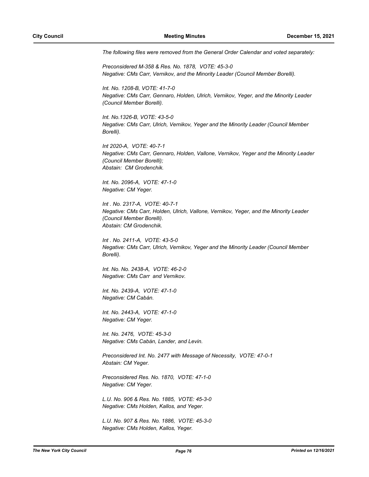*The following files were removed from the General Order Calendar and voted separately:*

*Preconsidered M-358 & Res. No. 1878, VOTE: 45-3-0 Negative: CMs Carr, Vernikov, and the Minority Leader (Council Member Borelli).*

*Int. No. 1208-B, VOTE: 41-7-0 Negative: CMs Carr, Gennaro, Holden, Ulrich, Vernikov, Yeger, and the Minority Leader (Council Member Borelli).*

*Int. No.1326-B, VOTE: 43-5-0 Negative: CMs Carr, Ulrich, Vernikov, Yeger and the Minority Leader (Council Member Borelli).*

*Int 2020-A, VOTE: 40-7-1 Negative: CMs Carr, Gennaro, Holden, Vallone, Vernikov, Yeger and the Minority Leader (Council Member Borelli); Abstain: CM Grodenchik.*

*Int. No. 2096-A, VOTE: 47-1-0 Negative: CM Yeger.*

*Int . No. 2317-A, VOTE: 40-7-1 Negative: CMs Carr, Holden, Ulrich, Vallone, Vernikov, Yeger, and the Minority Leader (Council Member Borelli). Abstain: CM Grodenchik.*

*Int . No. 2411-A, VOTE: 43-5-0 Negative: CMs Carr, Ulrich, Vernikov, Yeger and the Minority Leader (Council Member Borelli).*

*Int. No. No. 2438-A, VOTE: 46-2-0 Negative: CMs Carr and Vernikov.*

*Int. No. 2439-A, VOTE: 47-1-0 Negative: CM Cabán.*

*Int. No. 2443-A, VOTE: 47-1-0 Negative: CM Yeger.*

*Int. No. 2476, VOTE: 45-3-0 Negative: CMs Cabán, Lander, and Levin.*

*Preconsidered Int. No. 2477 with Message of Necessity, VOTE: 47-0-1 Abstain: CM Yeger.* 

*Preconsidered Res. No. 1870, VOTE: 47-1-0 Negative: CM Yeger.*

*L.U. No. 906 & Res. No. 1885, VOTE: 45-3-0 Negative: CMs Holden, Kallos, and Yeger.*

*L.U. No. 907 & Res. No. 1886, VOTE: 45-3-0 Negative: CMs Holden, Kallos, Yeger.*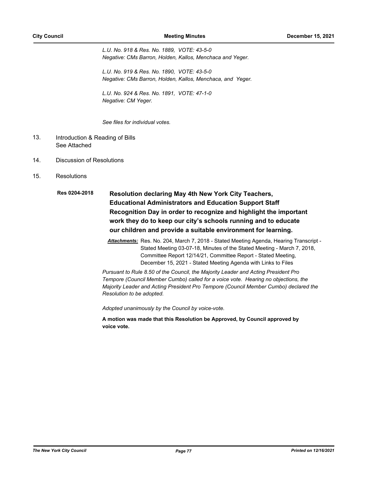*L.U. No. 918 & Res. No. 1889, VOTE: 43-5-0 Negative: CMs Barron, Holden, Kallos, Menchaca and Yeger.*

*L.U. No. 919 & Res. No. 1890, VOTE: 43-5-0 Negative: CMs Barron, Holden, Kallos, Menchaca, and Yeger.*

*L.U. No. 924 & Res. No. 1891, VOTE: 47-1-0 Negative: CM Yeger.*

*See files for individual votes.*

- Introduction & Reading of Bills See Attached 13.
- 14. Discussion of Resolutions
- 15. Resolutions
	- **Resolution declaring May 4th New York City Teachers, Educational Administrators and Education Support Staff Recognition Day in order to recognize and highlight the important work they do to keep our city's schools running and to educate our children and provide a suitable environment for learning. Res 0204-2018**
		- *Attachments:* Res. No. 204, March 7, 2018 Stated Meeting Agenda, Hearing Transcript Stated Meeting 03-07-18, Minutes of the Stated Meeting - March 7, 2018, Committee Report 12/14/21, Committee Report - Stated Meeting, December 15, 2021 - Stated Meeting Agenda with Links to Files

*Pursuant to Rule 8.50 of the Council, the Majority Leader and Acting President Pro Tempore (Council Member Cumbo) called for a voice vote. Hearing no objections, the Majority Leader and Acting President Pro Tempore (Council Member Cumbo) declared the Resolution to be adopted.*

*Adopted unanimously by the Council by voice-vote.*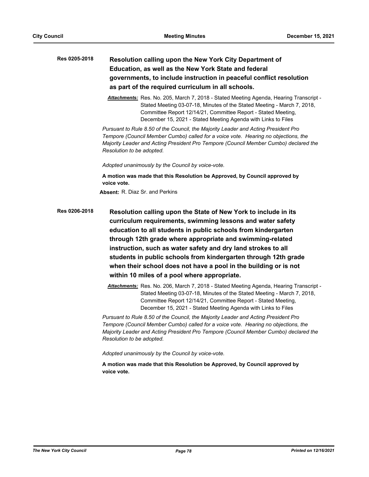# **Resolution calling upon the New York City Department of Education, as well as the New York State and federal governments, to include instruction in peaceful conflict resolution as part of the required curriculum in all schools. Res 0205-2018**

*Attachments:* Res. No. 205, March 7, 2018 - Stated Meeting Agenda, Hearing Transcript - Stated Meeting 03-07-18, Minutes of the Stated Meeting - March 7, 2018, Committee Report 12/14/21, Committee Report - Stated Meeting, December 15, 2021 - Stated Meeting Agenda with Links to Files

*Pursuant to Rule 8.50 of the Council, the Majority Leader and Acting President Pro Tempore (Council Member Cumbo) called for a voice vote. Hearing no objections, the Majority Leader and Acting President Pro Tempore (Council Member Cumbo) declared the Resolution to be adopted.*

*Adopted unanimously by the Council by voice-vote.*

**A motion was made that this Resolution be Approved, by Council approved by voice vote.**

**Absent:** R. Diaz Sr. and Perkins

**Resolution calling upon the State of New York to include in its curriculum requirements, swimming lessons and water safety education to all students in public schools from kindergarten through 12th grade where appropriate and swimming-related instruction, such as water safety and dry land strokes to all students in public schools from kindergarten through 12th grade when their school does not have a pool in the building or is not within 10 miles of a pool where appropriate. Res 0206-2018**

> *Attachments:* Res. No. 206, March 7, 2018 - Stated Meeting Agenda, Hearing Transcript - Stated Meeting 03-07-18, Minutes of the Stated Meeting - March 7, 2018, Committee Report 12/14/21, Committee Report - Stated Meeting, December 15, 2021 - Stated Meeting Agenda with Links to Files

*Pursuant to Rule 8.50 of the Council, the Majority Leader and Acting President Pro Tempore (Council Member Cumbo) called for a voice vote. Hearing no objections, the Majority Leader and Acting President Pro Tempore (Council Member Cumbo) declared the Resolution to be adopted.*

*Adopted unanimously by the Council by voice-vote.*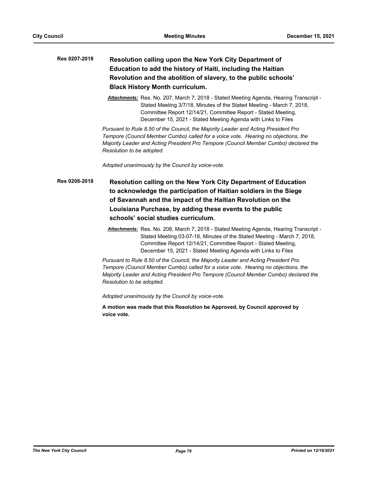# **Resolution calling upon the New York City Department of Education to add the history of Haiti, including the Haitian Revolution and the abolition of slavery, to the public schools' Black History Month curriculum. Res 0207-2018**

*Attachments:* Res. No. 207, March 7, 2018 - Stated Meeting Agenda, Hearing Transcript - Stated Meeting 3/7/18, Minutes of the Stated Meeting - March 7, 2018, Committee Report 12/14/21, Committee Report - Stated Meeting, December 15, 2021 - Stated Meeting Agenda with Links to Files

*Pursuant to Rule 8.50 of the Council, the Majority Leader and Acting President Pro Tempore (Council Member Cumbo) called for a voice vote. Hearing no objections, the Majority Leader and Acting President Pro Tempore (Council Member Cumbo) declared the Resolution to be adopted.*

*Adopted unanimously by the Council by voice-vote.*

**Resolution calling on the New York City Department of Education to acknowledge the participation of Haitian soldiers in the Siege of Savannah and the impact of the Haitian Revolution on the Louisiana Purchase, by adding these events to the public schools' social studies curriculum. Res 0208-2018**

> *Attachments:* Res. No. 208, March 7, 2018 - Stated Meeting Agenda, Hearing Transcript - Stated Meeting 03-07-18, Minutes of the Stated Meeting - March 7, 2018, Committee Report 12/14/21, Committee Report - Stated Meeting, December 15, 2021 - Stated Meeting Agenda with Links to Files

*Pursuant to Rule 8.50 of the Council, the Majority Leader and Acting President Pro Tempore (Council Member Cumbo) called for a voice vote. Hearing no objections, the Majority Leader and Acting President Pro Tempore (Council Member Cumbo) declared the Resolution to be adopted.*

*Adopted unanimously by the Council by voice-vote.*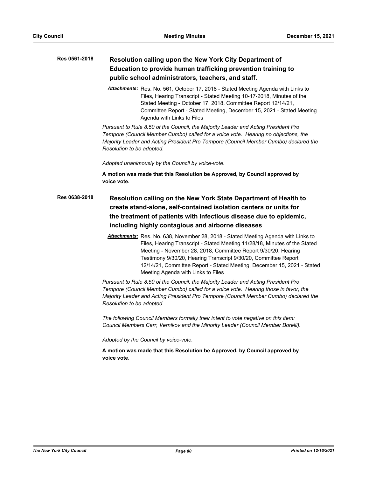### **Resolution calling upon the New York City Department of Education to provide human trafficking prevention training to public school administrators, teachers, and staff. Res 0561-2018**

*Attachments:* Res. No. 561, October 17, 2018 - Stated Meeting Agenda with Links to Files, Hearing Transcript - Stated Meeting 10-17-2018, Minutes of the Stated Meeting - October 17, 2018, Committee Report 12/14/21, Committee Report - Stated Meeting, December 15, 2021 - Stated Meeting Agenda with Links to Files

*Pursuant to Rule 8.50 of the Council, the Majority Leader and Acting President Pro Tempore (Council Member Cumbo) called for a voice vote. Hearing no objections, the Majority Leader and Acting President Pro Tempore (Council Member Cumbo) declared the Resolution to be adopted.*

*Adopted unanimously by the Council by voice-vote.*

**A motion was made that this Resolution be Approved, by Council approved by voice vote.**

- **Resolution calling on the New York State Department of Health to create stand-alone, self-contained isolation centers or units for the treatment of patients with infectious disease due to epidemic, including highly contagious and airborne diseases Res 0638-2018**
	- *Attachments:* Res. No. 638, November 28, 2018 Stated Meeting Agenda with Links to Files, Hearing Transcript - Stated Meeting 11/28/18, Minutes of the Stated Meeting - November 28, 2018, Committee Report 9/30/20, Hearing Testimony 9/30/20, Hearing Transcript 9/30/20, Committee Report 12/14/21, Committee Report - Stated Meeting, December 15, 2021 - Stated Meeting Agenda with Links to Files

*Pursuant to Rule 8.50 of the Council, the Majority Leader and Acting President Pro Tempore (Council Member Cumbo) called for a voice vote. Hearing those in favor, the Majority Leader and Acting President Pro Tempore (Council Member Cumbo) declared the Resolution to be adopted.*

*The following Council Members formally their intent to vote negative on this item: Council Members Carr, Vernikov and the Minority Leader (Council Member Borelli).*

*Adopted by the Council by voice-vote.*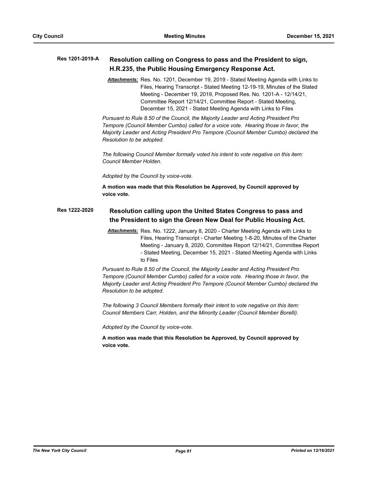#### **Resolution calling on Congress to pass and the President to sign, H.R.235, the Public Housing Emergency Response Act. Res 1201-2019-A**

*Attachments:* Res. No. 1201, December 19, 2019 - Stated Meeting Agenda with Links to Files, Hearing Transcript - Stated Meeting 12-19-19, Minutes of the Stated Meeting - December 19, 2019, Proposed Res. No. 1201-A - 12/14/21, Committee Report 12/14/21, Committee Report - Stated Meeting, December 15, 2021 - Stated Meeting Agenda with Links to Files

*Pursuant to Rule 8.50 of the Council, the Majority Leader and Acting President Pro Tempore (Council Member Cumbo) called for a voice vote. Hearing those in favor, the Majority Leader and Acting President Pro Tempore (Council Member Cumbo) declared the Resolution to be adopted.*

*The following Council Member formally voted his intent to vote negative on this item: Council Member Holden.*

*Adopted by the Council by voice-vote.*

**A motion was made that this Resolution be Approved, by Council approved by voice vote.**

#### **Resolution calling upon the United States Congress to pass and the President to sign the Green New Deal for Public Housing Act. Res 1222-2020**

*Attachments:* Res. No. 1222, January 8, 2020 - Charter Meeting Agenda with Links to Files, Hearing Transcript - Charter Meeting 1-8-20, Minutes of the Charter Meeting - January 8, 2020, Committee Report 12/14/21, Committee Report - Stated Meeting, December 15, 2021 - Stated Meeting Agenda with Links to Files

*Pursuant to Rule 8.50 of the Council, the Majority Leader and Acting President Pro Tempore (Council Member Cumbo) called for a voice vote. Hearing those in favor, the Majority Leader and Acting President Pro Tempore (Council Member Cumbo) declared the Resolution to be adopted.*

*The following 3 Council Members formally their intent to vote negative on this item: Council Members Carr, Holden, and the Minority Leader (Council Member Borelli).*

*Adopted by the Council by voice-vote.*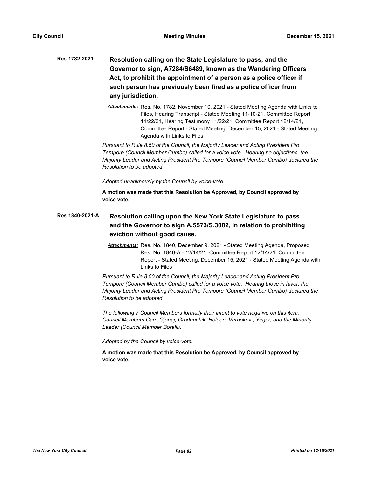- **Resolution calling on the State Legislature to pass, and the Governor to sign, A7284/S6489, known as the Wandering Officers Act, to prohibit the appointment of a person as a police officer if such person has previously been fired as a police officer from any jurisdiction. Res 1782-2021**
	- *Attachments:* Res. No. 1782, November 10, 2021 Stated Meeting Agenda with Links to Files, Hearing Transcript - Stated Meeting 11-10-21, Committee Report 11/22/21, Hearing Testimony 11/22/21, Committee Report 12/14/21, Committee Report - Stated Meeting, December 15, 2021 - Stated Meeting Agenda with Links to Files

*Pursuant to Rule 8.50 of the Council, the Majority Leader and Acting President Pro Tempore (Council Member Cumbo) called for a voice vote. Hearing no objections, the Majority Leader and Acting President Pro Tempore (Council Member Cumbo) declared the Resolution to be adopted.*

*Adopted unanimously by the Council by voice-vote.*

**A motion was made that this Resolution be Approved, by Council approved by voice vote.**

### **Resolution calling upon the New York State Legislature to pass and the Governor to sign A.5573/S.3082, in relation to prohibiting eviction without good cause. Res 1840-2021-A**

*Attachments:* Res. No. 1840, December 9, 2021 - Stated Meeting Agenda, Proposed Res. No. 1840-A - 12/14/21, Committee Report 12/14/21, Committee Report - Stated Meeting, December 15, 2021 - Stated Meeting Agenda with Links to Files

*Pursuant to Rule 8.50 of the Council, the Majority Leader and Acting President Pro Tempore (Council Member Cumbo) called for a voice vote. Hearing those in favor, the Majority Leader and Acting President Pro Tempore (Council Member Cumbo) declared the Resolution to be adopted.*

*The following 7 Council Members formally their intent to vote negative on this item: Council Members Carr, Gjonaj, Grodenchik, Holden, Vernokov., Yeger, and the Minority Leader (Council Member Borelli).*

*Adopted by the Council by voice-vote.*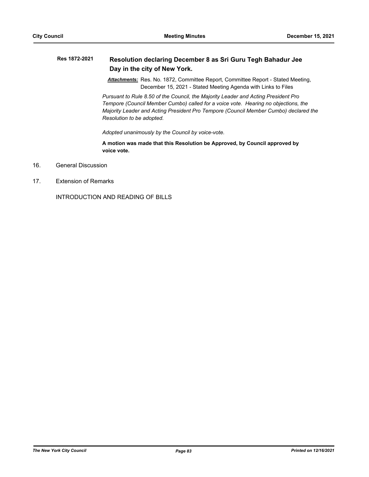#### **Resolution declaring December 8 as Sri Guru Tegh Bahadur Jee Day in the city of New York. Res 1872-2021**

*Attachments:* Res. No. 1872, Committee Report, Committee Report - Stated Meeting, December 15, 2021 - Stated Meeting Agenda with Links to Files

*Pursuant to Rule 8.50 of the Council, the Majority Leader and Acting President Pro Tempore (Council Member Cumbo) called for a voice vote. Hearing no objections, the Majority Leader and Acting President Pro Tempore (Council Member Cumbo) declared the Resolution to be adopted.*

*Adopted unanimously by the Council by voice-vote.*

**A motion was made that this Resolution be Approved, by Council approved by voice vote.**

- 16. General Discussion
- 17. Extension of Remarks

INTRODUCTION AND READING OF BILLS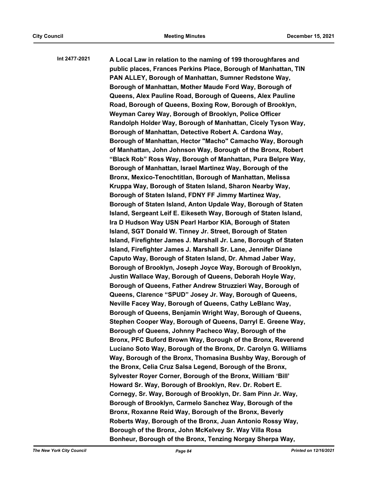**A Local Law in relation to the naming of 199 thoroughfares and public places, Frances Perkins Place, Borough of Manhattan, TIN PAN ALLEY, Borough of Manhattan, Sumner Redstone Way, Borough of Manhattan, Mother Maude Ford Way, Borough of Queens, Alex Pauline Road, Borough of Queens, Alex Pauline Road, Borough of Queens, Boxing Row, Borough of Brooklyn, Weyman Carey Way, Borough of Brooklyn, Police Officer Randolph Holder Way, Borough of Manhattan, Cicely Tyson Way, Borough of Manhattan, Detective Robert A. Cardona Way, Borough of Manhattan, Hector "Macho" Camacho Way, Borough of Manhattan, John Johnson Way, Borough of the Bronx, Robert "Black Rob" Ross Way, Borough of Manhattan, Pura Belpre Way, Borough of Manhattan, Israel Martinez Way, Borough of the Bronx, Mexico-Tenochtitlan, Borough of Manhattan, Melissa Kruppa Way, Borough of Staten Island, Sharon Nearby Way, Borough of Staten Island, FDNY FF Jimmy Martinez Way, Borough of Staten Island, Anton Updale Way, Borough of Staten Island, Sergeant Leif E. Eikeseth Way, Borough of Staten Island, Ira D Hudson Way USN Pearl Harbor KIA, Borough of Staten Island, SGT Donald W. Tinney Jr. Street, Borough of Staten Island, Firefighter James J. Marshall Jr. Lane, Borough of Staten Island, Firefighter James J. Marshall Sr. Lane, Jennifer Diane Caputo Way, Borough of Staten Island, Dr. Ahmad Jaber Way, Borough of Brooklyn, Joseph Joyce Way, Borough of Brooklyn, Justin Wallace Way, Borough of Queens, Deborah Hoyle Way, Borough of Queens, Father Andrew Struzzieri Way, Borough of Queens, Clarence "SPUD" Josey Jr. Way, Borough of Queens, Neville Facey Way, Borough of Queens, Cathy LeBlanc Way, Borough of Queens, Benjamin Wright Way, Borough of Queens, Stephen Cooper Way, Borough of Queens, Darryl E. Greene Way, Borough of Queens, Johnny Pacheco Way, Borough of the Bronx, PFC Buford Brown Way, Borough of the Bronx, Reverend Luciano Soto Way, Borough of the Bronx, Dr. Carolyn G. Williams Way, Borough of the Bronx, Thomasina Bushby Way, Borough of the Bronx, Celia Cruz Salsa Legend, Borough of the Bronx, Sylvester Royer Corner, Borough of the Bronx, William 'Bill' Howard Sr. Way, Borough of Brooklyn, Rev. Dr. Robert E. Cornegy, Sr. Way, Borough of Brooklyn, Dr. Sam Pinn Jr. Way, Borough of Brooklyn, Carmelo Sanchez Way, Borough of the Bronx, Roxanne Reid Way, Borough of the Bronx, Beverly Roberts Way, Borough of the Bronx, Juan Antonio Rossy Way, Borough of the Bronx, John McKelvey Sr. Way Villa Rosa Bonheur, Borough of the Bronx, Tenzing Norgay Sherpa Way, Int 2477-2021**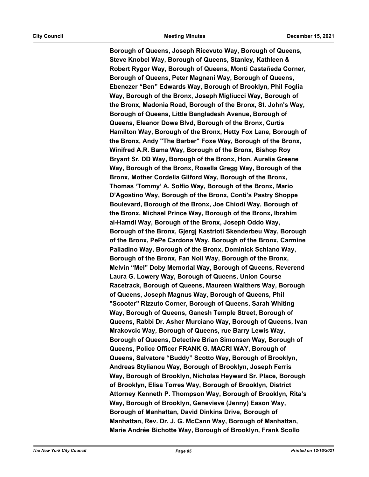**Borough of Queens, Joseph Ricevuto Way, Borough of Queens, Steve Knobel Way, Borough of Queens, Stanley, Kathleen & Robert Rygor Way, Borough of Queens, Monti Castañeda Corner, Borough of Queens, Peter Magnani Way, Borough of Queens, Ebenezer "Ben" Edwards Way, Borough of Brooklyn, Phil Foglia Way, Borough of the Bronx, Joseph Migliucci Way, Borough of the Bronx, Madonia Road, Borough of the Bronx, St. John's Way, Borough of Queens, Little Bangladesh Avenue, Borough of Queens, Eleanor Dowe Blvd, Borough of the Bronx, Curtis Hamilton Way, Borough of the Bronx, Hetty Fox Lane, Borough of the Bronx, Andy "The Barber" Foxe Way, Borough of the Bronx, Winifred A.R. Bama Way, Borough of the Bronx, Bishop Roy Bryant Sr. DD Way, Borough of the Bronx, Hon. Aurelia Greene Way, Borough of the Bronx, Rosella Gregg Way, Borough of the Bronx, Mother Cordelia Gilford Way, Borough of the Bronx, Thomas 'Tommy' A. Solfio Way, Borough of the Bronx, Mario D'Agostino Way, Borough of the Bronx, Conti's Pastry Shoppe Boulevard, Borough of the Bronx, Joe Chiodi Way, Borough of the Bronx, Michael Prince Way, Borough of the Bronx, Ibrahim al-Hamdi Way, Borough of the Bronx, Joseph Oddo Way, Borough of the Bronx, Gjergj Kastrioti Skenderbeu Way, Borough of the Bronx, PePe Cardona Way, Borough of the Bronx, Carmine Palladino Way, Borough of the Bronx, Dominick Schiano Way, Borough of the Bronx, Fan Noli Way, Borough of the Bronx, Melvin "Mel" Doby Memorial Way, Borough of Queens, Reverend Laura G. Lowery Way, Borough of Queens, Union Course Racetrack, Borough of Queens, Maureen Walthers Way, Borough of Queens, Joseph Magnus Way, Borough of Queens, Phil "Scooter" Rizzuto Corner, Borough of Queens, Sarah Whiting Way, Borough of Queens, Ganesh Temple Street, Borough of Queens, Rabbi Dr. Asher Murciano Way, Borough of Queens, Ivan Mrakovcic Way, Borough of Queens, rue Barry Lewis Way, Borough of Queens, Detective Brian Simonsen Way, Borough of Queens, Police Officer FRANK G. MACRI WAY, Borough of Queens, Salvatore "Buddy" Scotto Way, Borough of Brooklyn, Andreas Stylianou Way, Borough of Brooklyn, Joseph Ferris Way, Borough of Brooklyn, Nicholas Heyward Sr. Place, Borough of Brooklyn, Elisa Torres Way, Borough of Brooklyn, District Attorney Kenneth P. Thompson Way, Borough of Brooklyn, Rita's Way, Borough of Brooklyn, Genevieve (Jenny) Eason Way, Borough of Manhattan, David Dinkins Drive, Borough of Manhattan, Rev. Dr. J. G. McCann Way, Borough of Manhattan, Marie Andrée Bichotte Way, Borough of Brooklyn, Frank Scollo**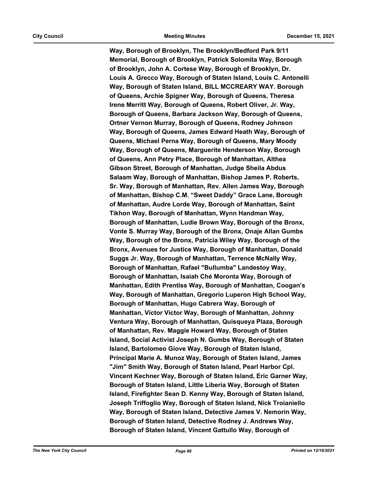**Way, Borough of Brooklyn, The Brooklyn/Bedford Park 9/11 Memorial, Borough of Brooklyn, Patrick Solomita Way, Borough of Brooklyn, John A. Cortese Way, Borough of Brooklyn, Dr. Louis A. Grecco Way, Borough of Staten Island, Louis C. Antonelli Way, Borough of Staten Island, BILL MCCREARY WAY. Borough of Queens, Archie Spigner Way, Borough of Queens, Theresa Irene Merritt Way, Borough of Queens, Robert Oliver, Jr. Way, Borough of Queens, Barbara Jackson Way, Borough of Queens, Ortner Vernon Murray, Borough of Queens, Rodney Johnson Way, Borough of Queens, James Edward Heath Way, Borough of Queens, Michael Perna Way, Borough of Queens, Mary Moody Way, Borough of Queens, Marguerite Henderson Way, Borough of Queens, Ann Petry Place, Borough of Manhattan, Althea Gibson Street, Borough of Manhattan, Judge Sheila Abdus Salaam Way, Borough of Manhattan, Bishop James P. Roberts, Sr. Way, Borough of Manhattan, Rev. Allen James Way, Borough of Manhattan, Bishop C.M. "Sweet Daddy" Grace Lane, Borough of Manhattan, Audre Lorde Way, Borough of Manhattan, Saint Tikhon Way, Borough of Manhattan, Wynn Handman Way, Borough of Manhattan, Ludie Brown Way, Borough of the Bronx, Vonte S. Murray Way, Borough of the Bronx, Onaje Allan Gumbs Way, Borough of the Bronx, Patricia Wiley Way, Borough of the Bronx, Avenues for Justice Way, Borough of Manhattan, Donald Suggs Jr. Way, Borough of Manhattan, Terrence McNally Way, Borough of Manhattan, Rafael "Bullumba" Landestoy Way, Borough of Manhattan, Isaiah Ché Moronta Way, Borough of Manhattan, Edith Prentiss Way, Borough of Manhattan, Coogan's Way, Borough of Manhattan, Gregorio Luperon High School Way, Borough of Manhattan, Hugo Cabrera Way, Borough of Manhattan, Víctor Víctor Way, Borough of Manhattan, Johnny Ventura Way, Borough of Manhattan, Quisqueya Plaza, Borough of Manhattan, Rev. Maggie Howard Way, Borough of Staten Island, Social Activist Joseph N. Gumbs Way, Borough of Staten Island, Bartolomeo Giove Way, Borough of Staten Island, Principal Marie A. Munoz Way, Borough of Staten Island, James "Jim" Smith Way, Borough of Staten Island, Pearl Harbor Cpl. Vincent Kechner Way, Borough of Staten Island, Eric Garner Way, Borough of Staten Island, Little Liberia Way, Borough of Staten Island, Firefighter Sean D. Kenny Way, Borough of Staten Island, Joseph Triffoglio Way, Borough of Staten Island, Nick Troianiello Way, Borough of Staten Island, Detective James V. Nemorin Way, Borough of Staten Island, Detective Rodney J. Andrews Way, Borough of Staten Island, Vincent Gattullo Way, Borough of**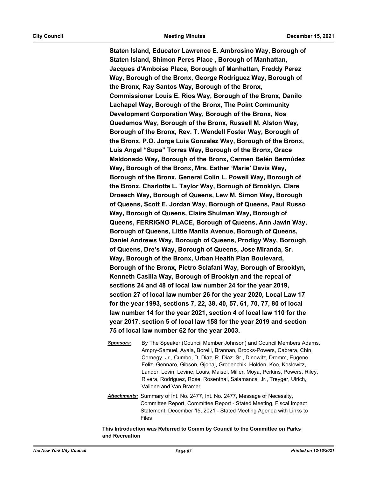**Staten Island, Educator Lawrence E. Ambrosino Way, Borough of Staten Island, Shimon Peres Place , Borough of Manhattan, Jacques d'Amboise Place, Borough of Manhattan, Freddy Perez Way, Borough of the Bronx, George Rodriguez Way, Borough of the Bronx, Ray Santos Way, Borough of the Bronx, Commissioner Louis E. Rios Way, Borough of the Bronx, Danilo Lachapel Way, Borough of the Bronx, The Point Community Development Corporation Way, Borough of the Bronx, Nos Quedamos Way, Borough of the Bronx, Russell M. Alston Way, Borough of the Bronx, Rev. T. Wendell Foster Way, Borough of the Bronx, P.O. Jorge Luis Gonzalez Way, Borough of the Bronx, Luis Angel "Supa" Torres Way, Borough of the Bronx, Grace Maldonado Way, Borough of the Bronx, Carmen Belén Bermúdez Way, Borough of the Bronx, Mrs. Esther 'Marie' Davis Way, Borough of the Bronx, General Colin L. Powell Way, Borough of the Bronx, Charlotte L. Taylor Way, Borough of Brooklyn, Clare Droesch Way, Borough of Queens, Lew M. Simon Way, Borough of Queens, Scott E. Jordan Way, Borough of Queens, Paul Russo Way, Borough of Queens, Claire Shulman Way, Borough of Queens, FERRIGNO PLACE, Borough of Queens, Ann Jawin Way, Borough of Queens, Little Manila Avenue, Borough of Queens, Daniel Andrews Way, Borough of Queens, Prodigy Way, Borough of Queens, Dre's Way, Borough of Queens, Jose Miranda, Sr. Way, Borough of the Bronx, Urban Health Plan Boulevard, Borough of the Bronx, Pietro Sclafani Way, Borough of Brooklyn, Kenneth Casilla Way, Borough of Brooklyn and the repeal of sections 24 and 48 of local law number 24 for the year 2019, section 27 of local law number 26 for the year 2020, Local Law 17 for the year 1993, sections 7, 22, 38, 40, 57, 61, 70, 77, 80 of local law number 14 for the year 2021, section 4 of local law 110 for the year 2017, section 5 of local law 158 for the year 2019 and section 75 of local law number 62 for the year 2003.**

- *Sponsors:* By The Speaker (Council Member Johnson) and Council Members Adams, Ampry-Samuel, Ayala, Borelli, Brannan, Brooks-Powers, Cabrera, Chin, Cornegy Jr., Cumbo, D. Diaz, R. Diaz Sr., Dinowitz, Dromm, Eugene, Feliz, Gennaro, Gibson, Gjonaj, Grodenchik, Holden, Koo, Koslowitz, Lander, Levin, Levine, Louis, Maisel, Miller, Moya, Perkins, Powers, Riley, Rivera, Rodriguez, Rose, Rosenthal, Salamanca Jr., Treyger, Ulrich, Vallone and Van Bramer
- *Attachments:* Summary of Int. No. 2477, Int. No. 2477, Message of Necessity, Committee Report, Committee Report - Stated Meeting, Fiscal Impact Statement, December 15, 2021 - Stated Meeting Agenda with Links to Files

**This Introduction was Referred to Comm by Council to the Committee on Parks and Recreation**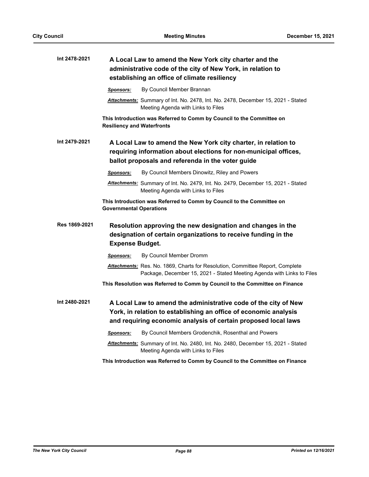| Int 2478-2021 | A Local Law to amend the New York city charter and the<br>administrative code of the city of New York, in relation to<br>establishing an office of climate resiliency                                 |
|---------------|-------------------------------------------------------------------------------------------------------------------------------------------------------------------------------------------------------|
|               | By Council Member Brannan<br><b>Sponsors:</b>                                                                                                                                                         |
|               | Attachments: Summary of Int. No. 2478, Int. No. 2478, December 15, 2021 - Stated<br>Meeting Agenda with Links to Files                                                                                |
|               | This Introduction was Referred to Comm by Council to the Committee on<br><b>Resiliency and Waterfronts</b>                                                                                            |
| Int 2479-2021 | A Local Law to amend the New York city charter, in relation to<br>requiring information about elections for non-municipal offices,<br>ballot proposals and referenda in the voter guide               |
|               | By Council Members Dinowitz, Riley and Powers<br><b>Sponsors:</b>                                                                                                                                     |
|               | <u>Attachments:</u> Summary of Int. No. 2479, Int. No. 2479, December 15, 2021 - Stated<br>Meeting Agenda with Links to Files                                                                         |
|               | This Introduction was Referred to Comm by Council to the Committee on<br><b>Governmental Operations</b>                                                                                               |
| Res 1869-2021 | Resolution approving the new designation and changes in the<br>designation of certain organizations to receive funding in the<br><b>Expense Budget.</b>                                               |
|               | By Council Member Dromm<br><u>Sponsors:</u>                                                                                                                                                           |
|               | Attachments: Res. No. 1869, Charts for Resolution, Committee Report, Complete<br>Package, December 15, 2021 - Stated Meeting Agenda with Links to Files                                               |
|               | This Resolution was Referred to Comm by Council to the Committee on Finance                                                                                                                           |
| Int 2480-2021 | A Local Law to amend the administrative code of the city of New<br>York, in relation to establishing an office of economic analysis<br>and requiring economic analysis of certain proposed local laws |
|               | By Council Members Grodenchik, Rosenthal and Powers<br><b>Sponsors:</b>                                                                                                                               |
|               | Attachments: Summary of Int. No. 2480, Int. No. 2480, December 15, 2021 - Stated<br>Meeting Agenda with Links to Files                                                                                |
|               | This Introduction was Referred to Comm by Council to the Committee on Finance                                                                                                                         |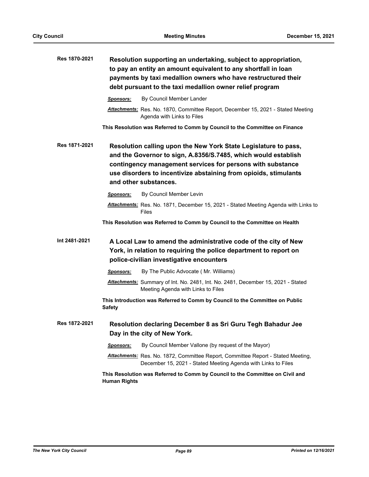| Res 1870-2021 |                     | Resolution supporting an undertaking, subject to appropriation,<br>to pay an entity an amount equivalent to any shortfall in loan<br>payments by taxi medallion owners who have restructured their<br>debt pursuant to the taxi medallion owner relief program                               |
|---------------|---------------------|----------------------------------------------------------------------------------------------------------------------------------------------------------------------------------------------------------------------------------------------------------------------------------------------|
|               | Sponsors:           | By Council Member Lander                                                                                                                                                                                                                                                                     |
|               |                     | Attachments: Res. No. 1870, Committee Report, December 15, 2021 - Stated Meeting<br>Agenda with Links to Files                                                                                                                                                                               |
|               |                     | This Resolution was Referred to Comm by Council to the Committee on Finance                                                                                                                                                                                                                  |
| Res 1871-2021 |                     | Resolution calling upon the New York State Legislature to pass,<br>and the Governor to sign, A.8356/S.7485, which would establish<br>contingency management services for persons with substance<br>use disorders to incentivize abstaining from opioids, stimulants<br>and other substances. |
|               | Sponsors:           | By Council Member Levin                                                                                                                                                                                                                                                                      |
|               |                     | Attachments: Res. No. 1871, December 15, 2021 - Stated Meeting Agenda with Links to<br>Files                                                                                                                                                                                                 |
|               |                     | This Resolution was Referred to Comm by Council to the Committee on Health                                                                                                                                                                                                                   |
| Int 2481-2021 |                     | A Local Law to amend the administrative code of the city of New<br>York, in relation to requiring the police department to report on<br>police-civilian investigative encounters                                                                                                             |
|               | Sponsors:           | By The Public Advocate (Mr. Williams)                                                                                                                                                                                                                                                        |
|               |                     | Attachments: Summary of Int. No. 2481, Int. No. 2481, December 15, 2021 - Stated<br>Meeting Agenda with Links to Files                                                                                                                                                                       |
|               | <b>Safety</b>       | This Introduction was Referred to Comm by Council to the Committee on Public                                                                                                                                                                                                                 |
| Res 1872-2021 |                     | Resolution declaring December 8 as Sri Guru Tegh Bahadur Jee<br>Day in the city of New York.                                                                                                                                                                                                 |
|               | Sponsors:           | By Council Member Vallone (by request of the Mayor)                                                                                                                                                                                                                                          |
|               |                     | <b>Attachments:</b> Res. No. 1872, Committee Report, Committee Report - Stated Meeting,<br>December 15, 2021 - Stated Meeting Agenda with Links to Files                                                                                                                                     |
|               | <b>Human Rights</b> | This Resolution was Referred to Comm by Council to the Committee on Civil and                                                                                                                                                                                                                |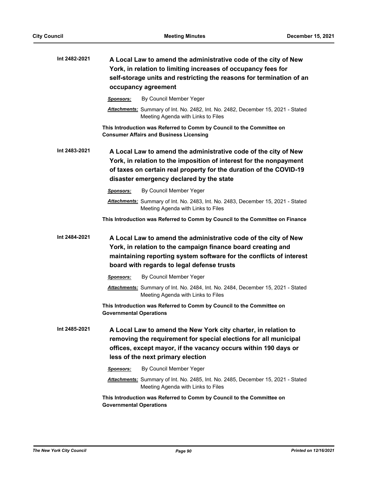| Int 2482-2021 | A Local Law to amend the administrative code of the city of New<br>York, in relation to limiting increases of occupancy fees for<br>self-storage units and restricting the reasons for termination of an<br>occupancy agreement                         |
|---------------|---------------------------------------------------------------------------------------------------------------------------------------------------------------------------------------------------------------------------------------------------------|
|               | By Council Member Yeger<br><b>Sponsors:</b>                                                                                                                                                                                                             |
|               | Attachments: Summary of Int. No. 2482, Int. No. 2482, December 15, 2021 - Stated<br>Meeting Agenda with Links to Files                                                                                                                                  |
|               | This Introduction was Referred to Comm by Council to the Committee on<br><b>Consumer Affairs and Business Licensing</b>                                                                                                                                 |
| Int 2483-2021 | A Local Law to amend the administrative code of the city of New<br>York, in relation to the imposition of interest for the nonpayment<br>of taxes on certain real property for the duration of the COVID-19<br>disaster emergency declared by the state |
|               | By Council Member Yeger<br><b>Sponsors:</b>                                                                                                                                                                                                             |
|               | Attachments: Summary of Int. No. 2483, Int. No. 2483, December 15, 2021 - Stated<br>Meeting Agenda with Links to Files                                                                                                                                  |
|               | This Introduction was Referred to Comm by Council to the Committee on Finance                                                                                                                                                                           |
| Int 2484-2021 | A Local Law to amend the administrative code of the city of New<br>York, in relation to the campaign finance board creating and<br>maintaining reporting system software for the conflicts of interest<br>board with regards to legal defense trusts    |
|               | By Council Member Yeger<br><b>Sponsors:</b>                                                                                                                                                                                                             |
|               | Attachments: Summary of Int. No. 2484, Int. No. 2484, December 15, 2021 - Stated<br>Meeting Agenda with Links to Files                                                                                                                                  |
|               | This Introduction was Referred to Comm by Council to the Committee on<br><b>Governmental Operations</b>                                                                                                                                                 |
| Int 2485-2021 | A Local Law to amend the New York city charter, in relation to<br>removing the requirement for special elections for all municipal<br>offices, except mayor, if the vacancy occurs within 190 days or<br>less of the next primary election              |
|               | By Council Member Yeger<br><b>Sponsors:</b>                                                                                                                                                                                                             |
|               | Attachments: Summary of Int. No. 2485, Int. No. 2485, December 15, 2021 - Stated<br>Meeting Agenda with Links to Files                                                                                                                                  |
|               | This Introduction was Referred to Comm by Council to the Committee on<br><b>Governmental Operations</b>                                                                                                                                                 |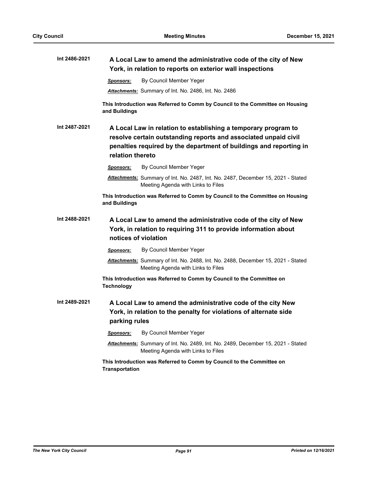| Int 2486-2021 | A Local Law to amend the administrative code of the city of New<br>York, in relation to reports on exterior wall inspections                                                                                                |
|---------------|-----------------------------------------------------------------------------------------------------------------------------------------------------------------------------------------------------------------------------|
|               | By Council Member Yeger<br><b>Sponsors:</b>                                                                                                                                                                                 |
|               | Attachments: Summary of Int. No. 2486, Int. No. 2486                                                                                                                                                                        |
|               | This Introduction was Referred to Comm by Council to the Committee on Housing<br>and Buildings                                                                                                                              |
| Int 2487-2021 | A Local Law in relation to establishing a temporary program to<br>resolve certain outstanding reports and associated unpaid civil<br>penalties required by the department of buildings and reporting in<br>relation thereto |
|               | By Council Member Yeger<br><b>Sponsors:</b>                                                                                                                                                                                 |
|               | Attachments: Summary of Int. No. 2487, Int. No. 2487, December 15, 2021 - Stated<br>Meeting Agenda with Links to Files                                                                                                      |
|               | This Introduction was Referred to Comm by Council to the Committee on Housing<br>and Buildings                                                                                                                              |
| Int 2488-2021 | A Local Law to amend the administrative code of the city of New<br>York, in relation to requiring 311 to provide information about<br>notices of violation                                                                  |
|               | By Council Member Yeger<br>Sponsors:                                                                                                                                                                                        |
|               | Attachments: Summary of Int. No. 2488, Int. No. 2488, December 15, 2021 - Stated<br>Meeting Agenda with Links to Files                                                                                                      |
|               | This Introduction was Referred to Comm by Council to the Committee on<br><b>Technology</b>                                                                                                                                  |
| Int 2489-2021 | A Local Law to amend the administrative code of the city New<br>York, in relation to the penalty for violations of alternate side<br>parking rules                                                                          |
|               | By Council Member Yeger<br><u>Sponsors:</u>                                                                                                                                                                                 |
|               | Attachments: Summary of Int. No. 2489, Int. No. 2489, December 15, 2021 - Stated<br>Meeting Agenda with Links to Files                                                                                                      |
|               | This Introduction was Referred to Comm by Council to the Committee on<br><b>Transportation</b>                                                                                                                              |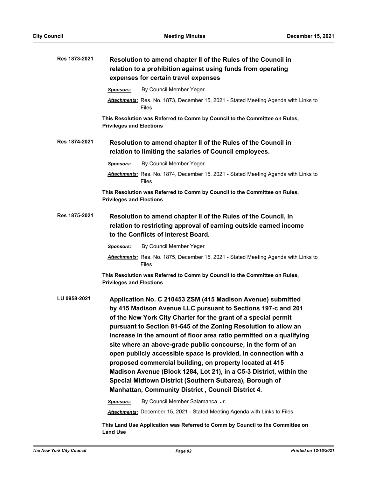| Res 1873-2021 | Resolution to amend chapter II of the Rules of the Council in<br>relation to a prohibition against using funds from operating                                                                                                                                                                                                                                                                                                                                                                                                                                                                                                                                                                                                            |
|---------------|------------------------------------------------------------------------------------------------------------------------------------------------------------------------------------------------------------------------------------------------------------------------------------------------------------------------------------------------------------------------------------------------------------------------------------------------------------------------------------------------------------------------------------------------------------------------------------------------------------------------------------------------------------------------------------------------------------------------------------------|
|               | expenses for certain travel expenses                                                                                                                                                                                                                                                                                                                                                                                                                                                                                                                                                                                                                                                                                                     |
|               | By Council Member Yeger<br><b>Sponsors:</b>                                                                                                                                                                                                                                                                                                                                                                                                                                                                                                                                                                                                                                                                                              |
|               | Attachments: Res. No. 1873, December 15, 2021 - Stated Meeting Agenda with Links to<br>Files                                                                                                                                                                                                                                                                                                                                                                                                                                                                                                                                                                                                                                             |
|               | This Resolution was Referred to Comm by Council to the Committee on Rules,<br><b>Privileges and Elections</b>                                                                                                                                                                                                                                                                                                                                                                                                                                                                                                                                                                                                                            |
| Res 1874-2021 | Resolution to amend chapter II of the Rules of the Council in<br>relation to limiting the salaries of Council employees.                                                                                                                                                                                                                                                                                                                                                                                                                                                                                                                                                                                                                 |
|               | By Council Member Yeger<br>Sponsors:                                                                                                                                                                                                                                                                                                                                                                                                                                                                                                                                                                                                                                                                                                     |
|               | Attachments: Res. No. 1874, December 15, 2021 - Stated Meeting Agenda with Links to<br><b>Files</b>                                                                                                                                                                                                                                                                                                                                                                                                                                                                                                                                                                                                                                      |
|               | This Resolution was Referred to Comm by Council to the Committee on Rules,<br><b>Privileges and Elections</b>                                                                                                                                                                                                                                                                                                                                                                                                                                                                                                                                                                                                                            |
| Res 1875-2021 | Resolution to amend chapter II of the Rules of the Council, in<br>relation to restricting approval of earning outside earned income<br>to the Conflicts of Interest Board.                                                                                                                                                                                                                                                                                                                                                                                                                                                                                                                                                               |
|               | By Council Member Yeger<br>Sponsors:                                                                                                                                                                                                                                                                                                                                                                                                                                                                                                                                                                                                                                                                                                     |
|               | Attachments: Res. No. 1875, December 15, 2021 - Stated Meeting Agenda with Links to<br><b>Files</b>                                                                                                                                                                                                                                                                                                                                                                                                                                                                                                                                                                                                                                      |
|               | This Resolution was Referred to Comm by Council to the Committee on Rules,<br><b>Privileges and Elections</b>                                                                                                                                                                                                                                                                                                                                                                                                                                                                                                                                                                                                                            |
| LU 0958-2021  | Application No. C 210453 ZSM (415 Madison Avenue) submitted<br>by 415 Madison Avenue LLC pursuant to Sections 197-c and 201<br>of the New York City Charter for the grant of a special permit<br>pursuant to Section 81-645 of the Zoning Resolution to allow an<br>increase in the amount of floor area ratio permitted on a qualifying<br>site where an above-grade public concourse, in the form of an<br>open publicly accessible space is provided, in connection with a<br>proposed commercial building, on property located at 415<br>Madison Avenue (Block 1284, Lot 21), in a C5-3 District, within the<br>Special Midtown District (Southern Subarea), Borough of<br><b>Manhattan, Community District, Council District 4.</b> |
|               | By Council Member Salamanca Jr.<br>Sponsors:                                                                                                                                                                                                                                                                                                                                                                                                                                                                                                                                                                                                                                                                                             |
|               | <b>Attachments:</b> December 15, 2021 - Stated Meeting Agenda with Links to Files                                                                                                                                                                                                                                                                                                                                                                                                                                                                                                                                                                                                                                                        |
|               | This Land Use Application was Referred to Comm by Council to the Committee on                                                                                                                                                                                                                                                                                                                                                                                                                                                                                                                                                                                                                                                            |

**Land Use**